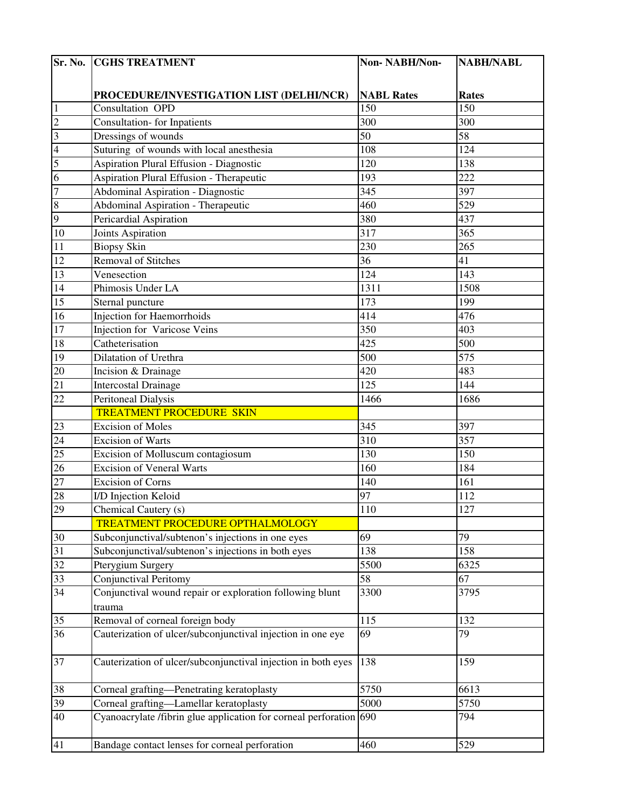|                 | Sr. No. CGHS TREATMENT                                         | Non-NABH/Non-     | <b>NABH/NABL</b> |
|-----------------|----------------------------------------------------------------|-------------------|------------------|
|                 |                                                                |                   |                  |
|                 | PROCEDURE/INVESTIGATION LIST (DELHI/NCR)                       | <b>NABL Rates</b> | <b>Rates</b>     |
| $\vert$ 1       | Consultation OPD                                               | 150               | 150              |
| $\overline{c}$  | <b>Consultation-</b> for Inpatients                            | 300               | 300              |
| $\overline{3}$  | Dressings of wounds                                            | $\overline{50}$   | 58               |
| $\overline{4}$  | Suturing of wounds with local anesthesia                       | 108               | 124              |
| 5               | <b>Aspiration Plural Effusion - Diagnostic</b>                 | 120               | 138              |
| $\overline{6}$  | <b>Aspiration Plural Effusion - Therapeutic</b>                | 193               | 222              |
| $\overline{7}$  | <b>Abdominal Aspiration - Diagnostic</b>                       | 345               | 397              |
| $\infty$        | <b>Abdominal Aspiration - Therapeutic</b>                      | 460               | 529              |
| 9               | Pericardial Aspiration                                         | 380               | 437              |
| $10\,$          | Joints Aspiration                                              | 317               | 365              |
| $\overline{11}$ | <b>Biopsy Skin</b>                                             | 230               | 265              |
| 12              | <b>Removal of Stitches</b>                                     | 36                | 41               |
| 13              | Venesection                                                    | 124               | 143              |
| 14              | Phimosis Under LA                                              | 1311              | 1508             |
| 15              | Sternal puncture                                               | 173               | 199              |
| 16              | <b>Injection for Haemorrhoids</b>                              | 414               | 476              |
| 17              | <b>Injection for Varicose Veins</b>                            | 350               | 403              |
| $18\,$          | Catheterisation                                                | 425               | 500              |
| 19              | Dilatation of Urethra                                          | 500               | 575              |
| 20              | Incision & Drainage                                            | 420               | 483              |
| 21              | Intercostal Drainage                                           | 125               | 144              |
| $\overline{22}$ | <b>Peritoneal Dialysis</b>                                     | 1466              | 1686             |
|                 | <b>TREATMENT PROCEDURE SKIN</b>                                |                   |                  |
| $\overline{23}$ | <b>Excision of Moles</b>                                       | 345               | 397              |
| 24              | <b>Excision of Warts</b>                                       | 310               | 357              |
| $\overline{25}$ | Excision of Molluscum contagiosum                              | 130               | 150              |
| $\overline{26}$ | <b>Excision of Veneral Warts</b>                               | 160               | 184              |
| 27              | <b>Excision of Corns</b>                                       | 140               | 161              |
| 28              | I/D Injection Keloid                                           | 97                | 112              |
| 29              | Chemical Cautery (s)                                           | 110               | 127              |
|                 | TREATMENT PROCEDURE OPTHALMOLOGY                               |                   |                  |
| 30              | Subconjunctival/subtenon's injections in one eyes              | 69                | 79               |
| 31              | Subconjunctival/subtenon's injections in both eyes             | 138               | 158              |
| 32              | Pterygium Surgery                                              | 5500              | 6325             |
| $\overline{33}$ | Conjunctival Peritomy                                          | 58                | 67               |
| 34              | Conjunctival wound repair or exploration following blunt       | 3300              | 3795             |
| 35              | trauma<br>Removal of corneal foreign body                      | 115               | 132              |
| 36              | Cauterization of ulcer/subconjunctival injection in one eye    | 69                | 79               |
|                 |                                                                |                   |                  |
| 37              | Cauterization of ulcer/subconjunctival injection in both eyes  | 138               | 159              |
| 38              | Corneal grafting-Penetrating keratoplasty                      | 5750              | 6613             |
| 39              | Corneal grafting—Lamellar keratoplasty                         | 5000              | 5750             |
| 40              | Cyanoacrylate /fibrin glue application for corneal perforation | 690               | 794              |
| 41              | Bandage contact lenses for corneal perforation                 | 460               | 529              |
|                 |                                                                |                   |                  |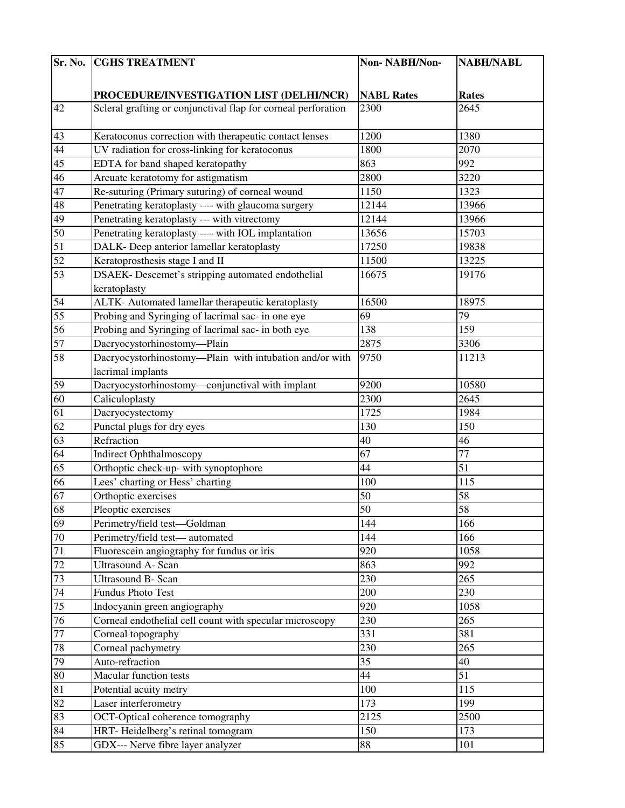| Sr. No.         | <b>CGHS TREATMENT</b>                                         | Non-NABH/Non-     | <b>NABH/NABL</b> |
|-----------------|---------------------------------------------------------------|-------------------|------------------|
|                 |                                                               |                   |                  |
|                 | PROCEDURE/INVESTIGATION LIST (DELHI/NCR)                      | <b>NABL Rates</b> | <b>Rates</b>     |
| 42              | Scleral grafting or conjunctival flap for corneal perforation | 2300              | 2645             |
|                 |                                                               |                   |                  |
| 43              | Keratoconus correction with therapeutic contact lenses        | 1200              | 1380             |
| 44              | UV radiation for cross-linking for keratoconus                | 1800              | 2070             |
| 45              | EDTA for band shaped keratopathy                              | 863               | 992              |
| 46              | Arcuate keratotomy for astigmatism                            | 2800              | 3220             |
| 47              | Re-suturing (Primary suturing) of corneal wound               | 1150              | 1323             |
| 48              | Penetrating keratoplasty ---- with glaucoma surgery           | 12144             | 13966            |
| 49              | Penetrating keratoplasty --- with vitrectomy                  | 12144             | 13966            |
| 50              | Penetrating keratoplasty ---- with IOL implantation           | 13656             | 15703            |
| 51              | DALK- Deep anterior lamellar keratoplasty                     | 17250             | 19838            |
| $\overline{52}$ | Keratoprosthesis stage I and II                               | 11500             | 13225            |
| 53              | DSAEK- Descemet's stripping automated endothelial             | 16675             | 19176            |
|                 | keratoplasty                                                  |                   |                  |
| 54              | ALTK- Automated lamellar therapeutic keratoplasty             | 16500             | 18975            |
| 55              | Probing and Syringing of lacrimal sac- in one eye             | 69                | 79               |
| 56              | Probing and Syringing of lacrimal sac- in both eye            | 138               | 159              |
| 57              | Dacryocystorhinostomy-Plain                                   | 2875              | 3306             |
| 58              | Dacryocystorhinostomy-Plain with intubation and/or with       | 9750              | 11213            |
|                 | lacrimal implants                                             |                   |                  |
| 59              | Dacryocystorhinostomy-conjunctival with implant               | 9200              | 10580            |
| 60              | Caliculoplasty                                                | 2300              | 2645             |
| 61              | Dacryocystectomy                                              | 1725              | 1984             |
| 62              | Punctal plugs for dry eyes                                    | 130               | 150              |
| 63              | Refraction                                                    | 40                | 46               |
| 64              | <b>Indirect Ophthalmoscopy</b>                                | 67                | 77               |
| 65              | Orthoptic check-up- with synoptophore                         | 44                | 51               |
| 66              | Lees' charting or Hess' charting                              | 100               | 115              |
| 67              | Orthoptic exercises                                           | 50                | 58               |
| 68              | Pleoptic exercises                                            | 50                | 58               |
| 69              | Perimetry/field test-Goldman                                  | 144               | 166              |
| 70              | Perimetry/field test-automated                                | 144               | 166              |
| 71              | Fluorescein angiography for fundus or iris                    | 920               | 1058             |
| 72              | <b>Ultrasound A- Scan</b>                                     | 863               | 992              |
| 73              | <b>Ultrasound B- Scan</b>                                     | 230               | 265              |
| 74              | Fundus Photo Test                                             | 200               | 230              |
| 75              | Indocyanin green angiography                                  | 920               | 1058             |
| 76              | Corneal endothelial cell count with specular microscopy       | 230               | 265              |
| 77              | Corneal topography                                            | 331               | 381              |
| 78              | Corneal pachymetry                                            | 230               | 265              |
| 79              | Auto-refraction                                               | 35                | 40               |
| 80              | Macular function tests                                        | $\overline{44}$   | 51               |
| 81              | Potential acuity metry                                        | 100               | 115              |
| 82              | Laser interferometry                                          | 173               | 199              |
| 83              | OCT-Optical coherence tomography                              | 2125              | 2500             |
| 84              | HRT-Heidelberg's retinal tomogram                             | 150               | 173              |
| 85              | GDX--- Nerve fibre layer analyzer                             | 88                | 101              |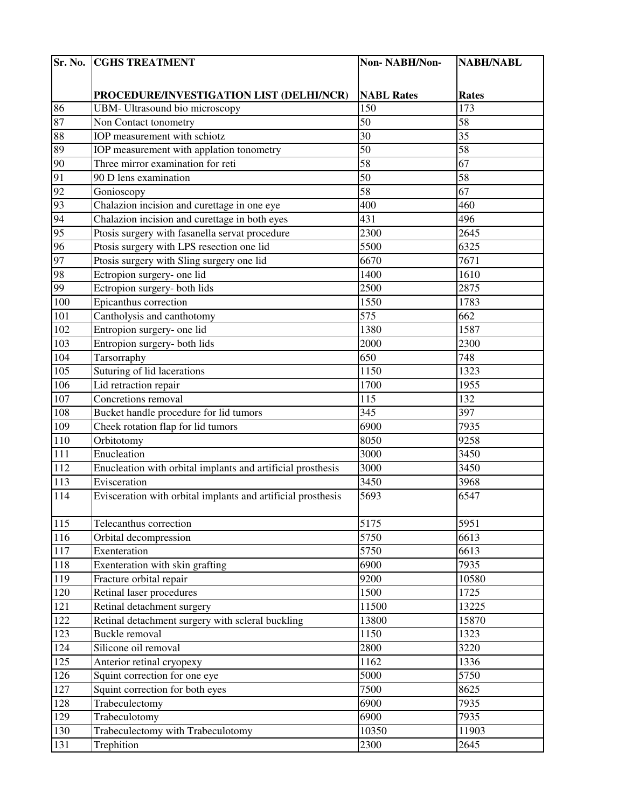| Sr. No.         | <b>CGHS TREATMENT</b>                                        | Non-NABH/Non-     | <b>NABH/NABL</b> |
|-----------------|--------------------------------------------------------------|-------------------|------------------|
|                 |                                                              |                   |                  |
|                 | PROCEDURE/INVESTIGATION LIST (DELHI/NCR)                     | <b>NABL Rates</b> | <b>Rates</b>     |
| 86              | UBM- Ultrasound bio microscopy                               | 150               | 173              |
| 87              | Non Contact tonometry                                        | 50                | 58               |
| 88              | IOP measurement with schiotz                                 | 30                | 35               |
| 89              | IOP measurement with applation tonometry                     | 50                | 58               |
| 90              | Three mirror examination for reti                            | 58                | 67               |
| 91              | 90 D lens examination                                        | 50                | 58               |
| 92              | Gonioscopy                                                   | 58                | 67               |
| 93              | Chalazion incision and curettage in one eye                  | 400               | 460              |
| 94              | Chalazion incision and curettage in both eyes                | 431               | 496              |
| 95              | Ptosis surgery with fasanella servat procedure               | 2300              | 2645             |
| 96              | Ptosis surgery with LPS resection one lid                    | 5500              | 6325             |
| 97              | Ptosis surgery with Sling surgery one lid                    | 6670              | 7671             |
| 98              | Ectropion surgery- one lid                                   | 1400              | 1610             |
| 99              | Ectropion surgery- both lids                                 | 2500              | 2875             |
| 100             | Epicanthus correction                                        | 1550              | 1783             |
| 101             | Cantholysis and canthotomy                                   | 575               | 662              |
| 102             | Entropion surgery- one lid                                   | 1380              | 1587             |
| 103             | Entropion surgery- both lids                                 | 2000              | 2300             |
| 104             | Tarsorraphy                                                  | 650               | 748              |
| 105             | Suturing of lid lacerations                                  | 1150              | 1323             |
| 10 <sub>6</sub> | Lid retraction repair                                        | 1700              | 1955             |
| 107             | Concretions removal                                          | 115               | 132              |
| 108             | Bucket handle procedure for lid tumors                       | $\overline{345}$  | 397              |
| 109             | Cheek rotation flap for lid tumors                           | 6900              | 7935             |
| 110             | Orbitotomy                                                   | 8050              | 9258             |
| 111             | Enucleation                                                  | 3000              | 3450             |
| 112             | Enucleation with orbital implants and artificial prosthesis  | 3000              | 3450             |
| 113             | Evisceration                                                 | 3450              | 3968             |
| 114             | Evisceration with orbital implants and artificial prosthesis | 5693              | 6547             |
| 115             | Telecanthus correction                                       | 5175              | 5951             |
| 116             | Orbital decompression                                        | 5750              | 6613             |
| 117             | Exenteration                                                 | 5750              | 6613             |
| 118             | Exenteration with skin grafting                              | 6900              | 7935             |
| 119             | Fracture orbital repair                                      | 9200              | 10580            |
| 120             | Retinal laser procedures                                     | 1500              | 1725             |
| 121             | Retinal detachment surgery                                   | 11500             | 13225            |
| 122             | Retinal detachment surgery with scleral buckling             | 13800             | 15870            |
| 123             | Buckle removal                                               | 1150              | 1323             |
| 124             | Silicone oil removal                                         | 2800              | 3220             |
| 125             | Anterior retinal cryopexy                                    | 1162              | 1336             |
| 126             | Squint correction for one eye                                | 5000              | 5750             |
| 127             | Squint correction for both eyes                              | 7500              | 8625             |
| 128             | Trabeculectomy                                               | 6900              | 7935             |
| 129             | Trabeculotomy                                                | 6900              | 7935             |
| 130             | Trabeculectomy with Trabeculotomy                            | 10350             | 11903            |
| 131             | Trephition                                                   | 2300              | 2645             |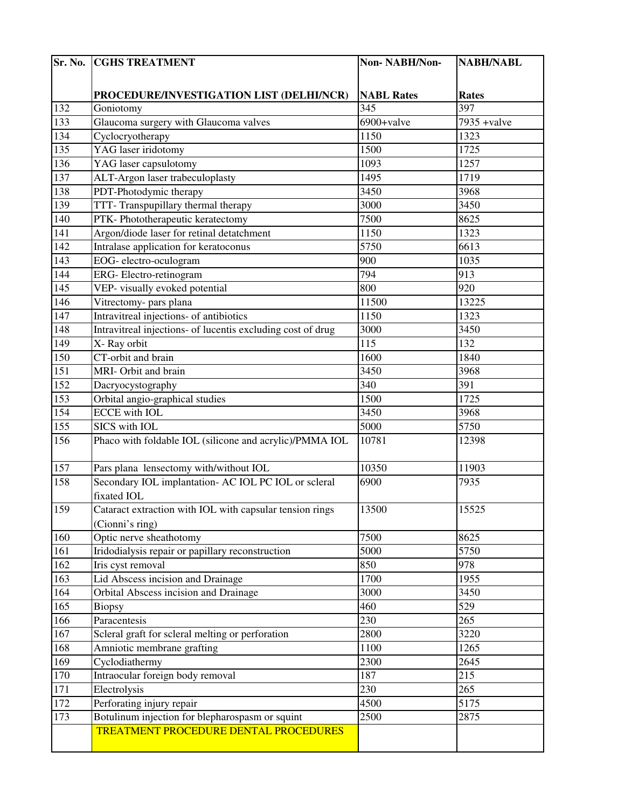| Sr. No. | <b>CGHS TREATMENT</b>                                       | Non-NABH/Non-     | <b>NABH/NABL</b> |
|---------|-------------------------------------------------------------|-------------------|------------------|
|         |                                                             |                   |                  |
|         | PROCEDURE/INVESTIGATION LIST (DELHI/NCR)                    | <b>NABL Rates</b> | <b>Rates</b>     |
| 132     | Goniotomy                                                   | 345               | 397              |
| 133     | Glaucoma surgery with Glaucoma valves                       | 6900+valve        | $7935 + value$   |
| 134     | Cyclocryotherapy                                            | 1150              | 1323             |
| 135     | YAG laser iridotomy                                         | 1500              | 1725             |
| 136     | YAG laser capsulotomy                                       | 1093              | 1257             |
| 137     | ALT-Argon laser trabeculoplasty                             | 1495              | 1719             |
| 138     | PDT-Photodymic therapy                                      | 3450              | 3968             |
| 139     | TTT- Transpupillary thermal therapy                         | 3000              | 3450             |
| 140     | PTK-Phototherapeutic keratectomy                            | 7500              | 8625             |
| 141     | Argon/diode laser for retinal detatchment                   | 1150              | 1323             |
| 142     | Intralase application for keratoconus                       | $\frac{1}{5750}$  | 6613             |
| 143     | EOG-electro-oculogram                                       | 900               | 1035             |
| 144     | ERG-Electro-retinogram                                      | 794               | 913              |
| 145     | VEP- visually evoked potential                              | 800               | 920              |
| 146     | Vitrectomy- pars plana                                      | 11500             | 13225            |
| 147     | Intravitreal injections- of antibiotics                     | 1150              | 1323             |
| 148     | Intravitreal injections- of lucentis excluding cost of drug | 3000              | 3450             |
| 149     | X-Ray orbit                                                 | 115               | 132              |
| 150     | CT-orbit and brain                                          | 1600              | 1840             |
| 151     | MRI-Orbit and brain                                         | 3450              | 3968             |
| 152     | Dacryocystography                                           | 340               | 391              |
| 153     | Orbital angio-graphical studies                             | 1500              | 1725             |
| 154     | <b>ECCE</b> with <b>IOL</b>                                 | 3450              | 3968             |
| 155     | SICS with IOL                                               | 5000              | 5750             |
| 156     | Phaco with foldable IOL (silicone and acrylic)/PMMA IOL     | 10781             | 12398            |
|         |                                                             |                   |                  |
| 157     | Pars plana lensectomy with/without IOL                      | 10350             | 11903            |
| 158     | Secondary IOL implantation- AC IOL PC IOL or scleral        | 6900              | 7935             |
|         | fixated IOL                                                 |                   |                  |
| 159     | Cataract extraction with IOL with capsular tension rings    | 13500             | 15525            |
|         | (Cionni's ring)                                             |                   |                  |
| 160     | Optic nerve sheathotomy                                     | 7500              | 8625             |
| 161     | Iridodialysis repair or papillary reconstruction            | 5000              | 5750             |
| 162     | Iris cyst removal                                           | 850               | 978              |
| 163     | Lid Abscess incision and Drainage                           | 1700              | 1955             |
| 164     | Orbital Abscess incision and Drainage                       | 3000              | 3450             |
| 165     | <b>Biopsy</b>                                               | 460               | 529              |
| 166     | Paracentesis                                                | 230               | 265              |
| 167     | Scleral graft for scleral melting or perforation            | 2800              | 3220             |
| 168     | Amniotic membrane grafting                                  | 1100              | 1265             |
| 169     | Cyclodiathermy                                              | 2300              | 2645             |
| 170     | Intraocular foreign body removal                            | 187               | 215              |
| 171     | Electrolysis                                                | 230               | 265              |
| 172     | Perforating injury repair                                   | 4500              | 5175             |
| 173     | Botulinum injection for blepharospasm or squint             | 2500              | 2875             |
|         | <b>TREATMENT PROCEDURE DENTAL PROCEDURES</b>                |                   |                  |
|         |                                                             |                   |                  |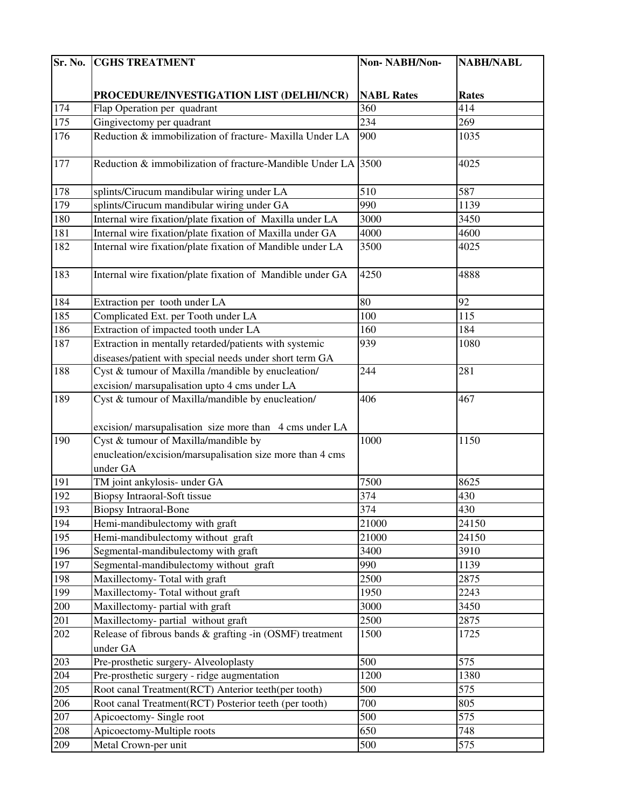| Sr. No. | <b>CGHS TREATMENT</b>                                         | Non-NABH/Non-     | <b>NABH/NABL</b> |
|---------|---------------------------------------------------------------|-------------------|------------------|
|         |                                                               |                   |                  |
|         | PROCEDURE/INVESTIGATION LIST (DELHI/NCR)                      | <b>NABL Rates</b> | <b>Rates</b>     |
| 174     | Flap Operation per quadrant                                   | 360               | 414              |
| 175     | Gingivectomy per quadrant                                     | 234               | 269              |
| 176     | Reduction & immobilization of fracture- Maxilla Under LA      | 900               | 1035             |
|         |                                                               |                   |                  |
| 177     | Reduction & immobilization of fracture-Mandible Under LA 3500 |                   | 4025             |
|         |                                                               |                   |                  |
| 178     | splints/Cirucum mandibular wiring under LA                    | 510               | 587              |
| 179     | splints/Cirucum mandibular wiring under GA                    | 990               | 1139             |
| 180     | Internal wire fixation/plate fixation of Maxilla under LA     | 3000              | 3450             |
| 181     | Internal wire fixation/plate fixation of Maxilla under GA     | 4000              | 4600             |
| 182     | Internal wire fixation/plate fixation of Mandible under LA    | 3500              | 4025             |
|         |                                                               |                   |                  |
| 183     | Internal wire fixation/plate fixation of Mandible under GA    | 4250              | 4888             |
|         |                                                               |                   |                  |
| 184     | Extraction per tooth under LA                                 | 80                | 92               |
| 185     | Complicated Ext. per Tooth under LA                           | 100               | 115              |
| 186     | Extraction of impacted tooth under LA                         | 160               | 184              |
| 187     | Extraction in mentally retarded/patients with systemic        | 939               | 1080             |
|         | diseases/patient with special needs under short term GA       |                   |                  |
| 188     | Cyst & tumour of Maxilla /mandible by enucleation/            | 244               | 281              |
|         | excision/ marsupalisation upto 4 cms under LA                 |                   |                  |
| 189     | Cyst & tumour of Maxilla/mandible by enucleation/             | 406               | 467              |
|         |                                                               |                   |                  |
|         | excision/ marsupalisation size more than 4 cms under LA       |                   |                  |
| 190     | Cyst & tumour of Maxilla/mandible by                          | 1000              | 1150             |
|         | enucleation/excision/marsupalisation size more than 4 cms     |                   |                  |
|         | under GA                                                      |                   |                  |
| 191     | TM joint ankylosis- under GA                                  | 7500              | 8625             |
| 192     | <b>Biopsy Intraoral-Soft tissue</b>                           | 374               | 430              |
| 193     | <b>Biopsy Intraoral-Bone</b>                                  | 374               | 430              |
| 194     | Hemi-mandibulectomy with graft                                | 21000             | 24150            |
| 195     | Hemi-mandibulectomy without graft                             | 21000             | 24150            |
| 196     | Segmental-mandibulectomy with graft                           | 3400              | 3910             |
| 197     | Segmental-mandibulectomy without graft                        | 990               | 1139             |
| 198     | Maxillectomy-Total with graft                                 | 2500              | 2875             |
| 199     | Maxillectomy-Total without graft                              | 1950              | 2243             |
| 200     | Maxillectomy- partial with graft                              | 3000              | 3450             |
| 201     | Maxillectomy- partial without graft                           | 2500              | 2875             |
| 202     | Release of fibrous bands & grafting -in (OSMF) treatment      | 1500              | 1725             |
|         | under GA                                                      |                   |                  |
| 203     | Pre-prosthetic surgery-Alveoloplasty                          | 500               | 575              |
| 204     | Pre-prosthetic surgery - ridge augmentation                   | 1200              | 1380             |
| 205     | Root canal Treatment(RCT) Anterior teeth(per tooth)           | 500               | 575              |
| 206     | Root canal Treatment(RCT) Posterior teeth (per tooth)         | 700<br>500        | 805              |
| 207     | Apicoectomy-Single root                                       | 650               | 575<br>748       |
| 208     | Apicoectomy-Multiple roots                                    |                   |                  |
| 209     | Metal Crown-per unit                                          | 500               | 575              |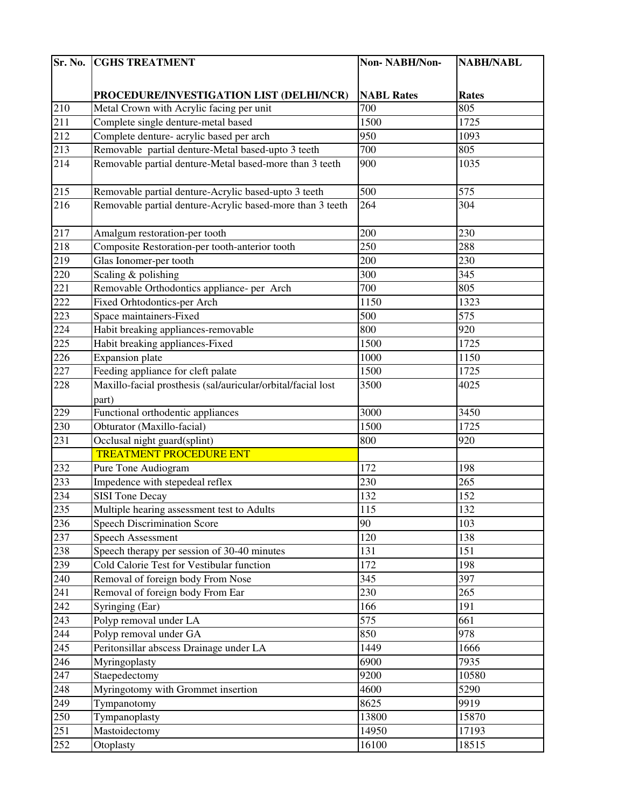| Sr. No. | <b>CGHS TREATMENT</b>                                        | Non-NABH/Non-     | <b>NABH/NABL</b> |
|---------|--------------------------------------------------------------|-------------------|------------------|
|         |                                                              |                   |                  |
|         | PROCEDURE/INVESTIGATION LIST (DELHI/NCR)                     | <b>NABL Rates</b> | <b>Rates</b>     |
| 210     | Metal Crown with Acrylic facing per unit                     | 700               | 805              |
| 211     | Complete single denture-metal based                          | 1500              | 1725             |
| 212     | Complete denture- acrylic based per arch                     | 950               | 1093             |
| 213     | Removable partial denture-Metal based-upto 3 teeth           | 700               | 805              |
| 214     | Removable partial denture-Metal based-more than 3 teeth      | 900               | 1035             |
|         |                                                              |                   |                  |
| 215     | Removable partial denture-Acrylic based-upto 3 teeth         | 500               | 575              |
| 216     | Removable partial denture-Acrylic based-more than 3 teeth    | 264               | 304              |
|         |                                                              |                   |                  |
| 217     | Amalgum restoration-per tooth                                | 200               | 230              |
| 218     | Composite Restoration-per tooth-anterior tooth               | 250               | 288              |
| 219     | Glas Ionomer-per tooth                                       | 200               | 230              |
| 220     | Scaling & polishing                                          | 300               | 345              |
| 221     | Removable Orthodontics appliance- per Arch                   | 700               | 805              |
| 222     | <b>Fixed Orhtodontics-per Arch</b>                           | 1150              | 1323             |
| 223     | Space maintainers-Fixed                                      | 500               | 575              |
| 224     | Habit breaking appliances-removable                          | 800               | 920              |
| 225     | Habit breaking appliances-Fixed                              | 1500              | 1725             |
| 226     | <b>Expansion</b> plate                                       | 1000              | 1150             |
| 227     | Feeding appliance for cleft palate                           | 1500              | 1725             |
| 228     | Maxillo-facial prosthesis (sal/auricular/orbital/facial lost | 3500              | 4025             |
|         | part)                                                        |                   |                  |
| 229     | Functional orthodentic appliances                            | 3000              | 3450             |
| 230     | Obturator (Maxillo-facial)                                   | 1500              | 1725             |
| 231     | Occlusal night guard(splint)                                 | 800               | 920              |
|         | <b>TREATMENT PROCEDURE ENT</b>                               |                   |                  |
| 232     | Pure Tone Audiogram                                          | 172               | 198              |
| 233     | Impedence with stepedeal reflex                              | 230               | 265              |
| 234     | <b>SISI</b> Tone Decay                                       | 132               | 152              |
| 235     | Multiple hearing assessment test to Adults                   | 115               | 132              |
| 236     | <b>Speech Discrimination Score</b>                           | 90                | 103              |
| 237     | Speech Assessment                                            | 120               | 138              |
| 238     | Speech therapy per session of 30-40 minutes                  | 131               | 151              |
| 239     | Cold Calorie Test for Vestibular function                    | 172               | 198              |
| 240     | Removal of foreign body From Nose                            | 345               | 397              |
| 241     | Removal of foreign body From Ear                             | 230               | 265              |
| 242     | Syringing (Ear)                                              | 166               | 191              |
| 243     | Polyp removal under LA                                       | 575               | 661              |
| 244     | Polyp removal under GA                                       | 850               | 978              |
| 245     | Peritonsillar abscess Drainage under LA                      | 1449              | 1666             |
| 246     | Myringoplasty                                                | 6900              | 7935             |
| 247     | Staepedectomy                                                | 9200              | 10580            |
| 248     | Myringotomy with Grommet insertion                           | 4600              | 5290             |
| 249     | Tympanotomy                                                  | 8625              | 9919             |
| 250     | Tympanoplasty                                                | 13800             | 15870            |
| 251     | Mastoidectomy                                                | 14950             | 17193            |
| 252     | Otoplasty                                                    | 16100             | 18515            |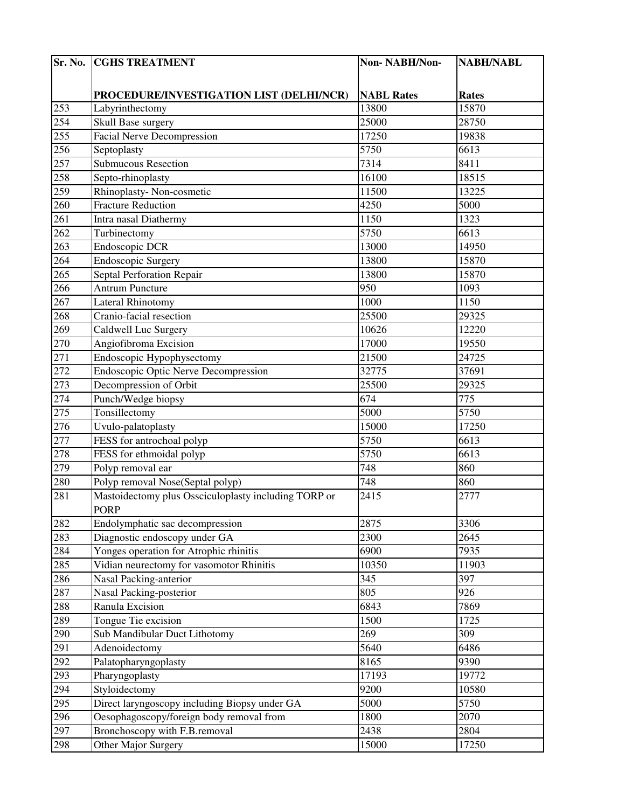| Sr. No. | <b>CGHS TREATMENT</b>                                               | Non-NABH/Non-     | <b>NABH/NABL</b> |
|---------|---------------------------------------------------------------------|-------------------|------------------|
|         |                                                                     |                   |                  |
|         | PROCEDURE/INVESTIGATION LIST (DELHI/NCR)                            | <b>NABL Rates</b> | <b>Rates</b>     |
| 253     | Labyrinthectomy                                                     | 13800             | 15870            |
| 254     | Skull Base surgery                                                  | 25000             | 28750            |
| 255     | <b>Facial Nerve Decompression</b>                                   | 17250             | 19838            |
| 256     | Septoplasty                                                         | 5750              | 6613             |
| 257     | <b>Submucous Resection</b>                                          | 7314              | 8411             |
| 258     | Septo-rhinoplasty                                                   | 16100             | 18515            |
| 259     | Rhinoplasty- Non-cosmetic                                           | 11500             | 13225            |
| 260     | <b>Fracture Reduction</b>                                           | 4250              | 5000             |
| 261     | Intra nasal Diathermy                                               | 1150              | 1323             |
| 262     | Turbinectomy                                                        | 5750              | 6613             |
| 263     | Endoscopic DCR                                                      | 13000             | 14950            |
| 264     | <b>Endoscopic Surgery</b>                                           | 13800             | 15870            |
| 265     | Septal Perforation Repair                                           | 13800             | 15870            |
| 266     | <b>Antrum Puncture</b>                                              | 950               | 1093             |
| 267     | <b>Lateral Rhinotomy</b>                                            | 1000              | 1150             |
| 268     | Cranio-facial resection                                             | 25500             | 29325            |
| 269     | Caldwell Luc Surgery                                                | 10626             | 12220            |
| 270     | Angiofibroma Excision                                               | 17000             | 19550            |
| 271     | Endoscopic Hypophysectomy                                           | 21500             | 24725            |
| 272     | <b>Endoscopic Optic Nerve Decompression</b>                         | 32775             | 37691            |
| 273     | Decompression of Orbit                                              | 25500             | 29325            |
| 274     | Punch/Wedge biopsy                                                  | 674               | 775              |
| 275     | Tonsillectomy                                                       | 5000              | 5750             |
| 276     | Uvulo-palatoplasty                                                  | 15000             | 17250            |
| 277     | FESS for antrochoal polyp                                           | 5750              | 6613             |
| 278     | FESS for ethmoidal polyp                                            | 5750              | 6613             |
| 279     | Polyp removal ear                                                   | 748               | 860              |
| 280     | Polyp removal Nose(Septal polyp)                                    | 748               | 860              |
| 281     | Mastoidectomy plus Ossciculoplasty including TORP or<br><b>PORP</b> | 2415              | 2777             |
| 282     | Endolymphatic sac decompression                                     | 2875              | 3306             |
| 283     | Diagnostic endoscopy under GA                                       | 2300              | 2645             |
| 284     | Yonges operation for Atrophic rhinitis                              | 6900              | 7935             |
| 285     | Vidian neurectomy for vasomotor Rhinitis                            | 10350             | 11903            |
| 286     | Nasal Packing-anterior                                              | 345               | 397              |
| 287     | Nasal Packing-posterior                                             | 805               | 926              |
| 288     | Ranula Excision                                                     | 6843              | 7869             |
| 289     | Tongue Tie excision                                                 | 1500              | 1725             |
| 290     | Sub Mandibular Duct Lithotomy                                       | 269               | 309              |
| 291     | Adenoidectomy                                                       | 5640              | 6486             |
| 292     | Palatopharyngoplasty                                                | 8165              | 9390             |
| 293     | Pharyngoplasty                                                      | 17193             | 19772            |
| 294     | Styloidectomy                                                       | 9200              | 10580            |
| 295     | Direct laryngoscopy including Biopsy under GA                       | 5000              | 5750             |
| 296     | Oesophagoscopy/foreign body removal from                            | 1800              | 2070             |
| 297     | Bronchoscopy with F.B.removal                                       | 2438              | 2804             |
| 298     | Other Major Surgery                                                 | 15000             | 17250            |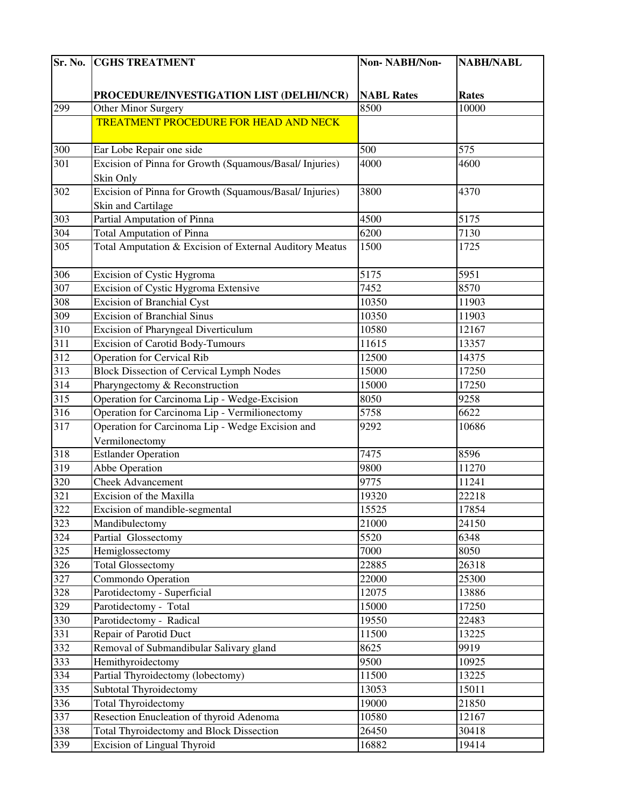| Sr. No.          | <b>CGHS TREATMENT</b>                                   | Non-NABH/Non-     | <b>NABH/NABL</b> |
|------------------|---------------------------------------------------------|-------------------|------------------|
|                  |                                                         |                   |                  |
|                  | PROCEDURE/INVESTIGATION LIST (DELHI/NCR)                | <b>NABL Rates</b> | <b>Rates</b>     |
| 299              | Other Minor Surgery                                     | 8500              | 10000            |
|                  | <b>TREATMENT PROCEDURE FOR HEAD AND NECK</b>            |                   |                  |
|                  |                                                         |                   |                  |
| 300              | Ear Lobe Repair one side                                | 500               | 575              |
| 301              | Excision of Pinna for Growth (Squamous/Basal/ Injuries) | 4000              | 4600             |
|                  | Skin Only                                               |                   |                  |
| 302              | Excision of Pinna for Growth (Squamous/Basal/ Injuries) | 3800              | 4370             |
|                  | Skin and Cartilage                                      |                   |                  |
| 303              | Partial Amputation of Pinna                             | 4500              | $\sqrt{5175}$    |
| 304              | <b>Total Amputation of Pinna</b>                        | 6200              | 7130             |
| 305              | Total Amputation & Excision of External Auditory Meatus | 1500              | 1725             |
| 30 <sup>6</sup>  | Excision of Cystic Hygroma                              | 5175              | 5951             |
| 307              | Excision of Cystic Hygroma Extensive                    | 7452              | 8570             |
| 308              | <b>Excision of Branchial Cyst</b>                       | 10350             | 11903            |
| 309              | <b>Excision of Branchial Sinus</b>                      | 10350             | 11903            |
| 310              | Excision of Pharyngeal Diverticulum                     | 10580             | 12167            |
| 311              | <b>Excision of Carotid Body-Tumours</b>                 | 11615             | 13357            |
| 312              | <b>Operation for Cervical Rib</b>                       | 12500             | 14375            |
| 313              | <b>Block Dissection of Cervical Lymph Nodes</b>         | 15000             | 17250            |
| 314              | Pharyngectomy & Reconstruction                          | 15000             | 17250            |
| $\overline{315}$ | Operation for Carcinoma Lip - Wedge-Excision            | 8050              | 9258             |
| 316              | Operation for Carcinoma Lip - Vermilionectomy           | 5758              | 6622             |
| 317              | Operation for Carcinoma Lip - Wedge Excision and        | 9292              | 10686            |
|                  | Vermilonectomy                                          |                   |                  |
| 318              | <b>Estlander Operation</b>                              | 7475              | 8596             |
| 319              | Abbe Operation                                          | 9800              | 11270            |
| 320              | <b>Cheek Advancement</b>                                | 9775              | 11241            |
| 321              | Excision of the Maxilla                                 | 19320             | 22218            |
| 322              | Excision of mandible-segmental                          | 15525             | 17854            |
| 323              | Mandibulectomy                                          | 21000             | 24150            |
| 324              | Partial Glossectomy                                     | 5520              | 6348             |
| 325              | Hemiglossectomy                                         | 7000              | 8050             |
| 326              | <b>Total Glossectomy</b>                                | 22885             | 26318            |
| 327              | Commondo Operation                                      | 22000             | 25300            |
| 328              | Parotidectomy - Superficial                             | 12075             | 13886            |
| 329              | Parotidectomy - Total                                   | 15000             | 17250            |
| 330              | Parotidectomy - Radical                                 | 19550             | 22483            |
| 331              | Repair of Parotid Duct                                  | 11500             | 13225            |
| 332              | Removal of Submandibular Salivary gland                 | 8625              | 9919             |
| 333              | Hemithyroidectomy                                       | 9500              | 10925            |
| 334              | Partial Thyroidectomy (lobectomy)                       | 11500             | 13225            |
| 335              | <b>Subtotal Thyroidectomy</b>                           | 13053             | 15011            |
| 336              | <b>Total Thyroidectomy</b>                              | 19000             | 21850            |
| 337              | Resection Enucleation of thyroid Adenoma                | 10580             | 12167            |
| 338              | <b>Total Thyroidectomy and Block Dissection</b>         | 26450             | 30418            |
| 339              | <b>Excision of Lingual Thyroid</b>                      | 16882             | 19414            |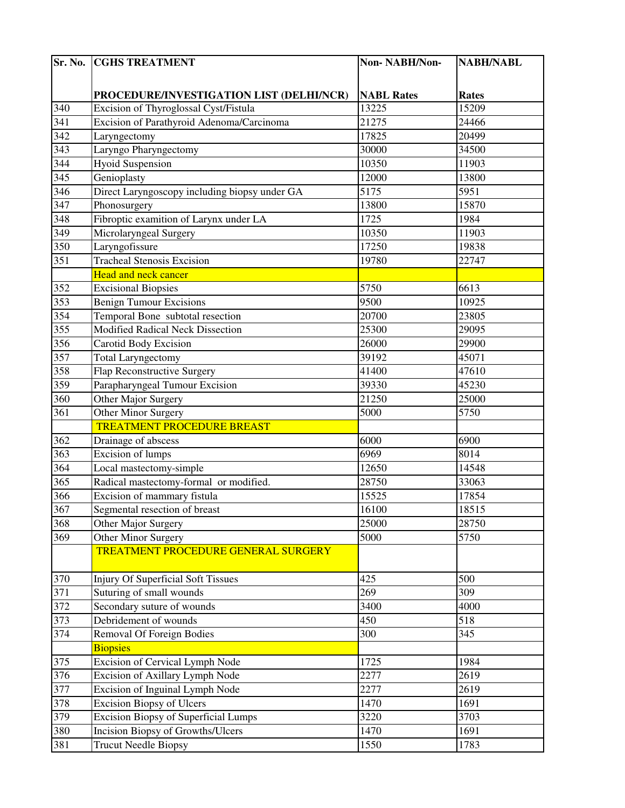| Sr. No.          | <b>CGHS TREATMENT</b>                         | Non-NABH/Non-     | <b>NABH/NABL</b> |
|------------------|-----------------------------------------------|-------------------|------------------|
|                  |                                               |                   |                  |
|                  | PROCEDURE/INVESTIGATION LIST (DELHI/NCR)      | <b>NABL Rates</b> | <b>Rates</b>     |
| 340              | Excision of Thyroglossal Cyst/Fistula         | 13225             | 15209            |
| 341              | Excision of Parathyroid Adenoma/Carcinoma     | 21275             | 24466            |
| $\overline{342}$ | Laryngectomy                                  | 17825             | 20499            |
| 343              | Laryngo Pharyngectomy                         | 30000             | 34500            |
| 344              | <b>Hyoid Suspension</b>                       | 10350             | 11903            |
| 345              | Genioplasty                                   | 12000             | 13800            |
| 346              | Direct Laryngoscopy including biopsy under GA | 5175              | 5951             |
| 347              | Phonosurgery                                  | 13800             | 15870            |
| 348              | Fibroptic examition of Larynx under LA        | 1725              | 1984             |
| 349              | Microlaryngeal Surgery                        | 10350             | 11903            |
| 350              | Laryngofissure                                | 17250             | 19838            |
| 351              | <b>Tracheal Stenosis Excision</b>             | 19780             | 22747            |
|                  | Head and neck cancer                          |                   |                  |
| 352              | <b>Excisional Biopsies</b>                    | 5750              | 6613             |
| 353              | <b>Benign Tumour Excisions</b>                | 9500              | 10925            |
| 354              | Temporal Bone subtotal resection              | 20700             | 23805            |
| 355              | <b>Modified Radical Neck Dissection</b>       | 25300             | 29095            |
| 356              | Carotid Body Excision                         | 26000             | 29900            |
| 357              | <b>Total Laryngectomy</b>                     | 39192             | 45071            |
| 358              | Flap Reconstructive Surgery                   | 41400             | 47610            |
| 359              | Parapharyngeal Tumour Excision                | 39330             | 45230            |
| 360              | Other Major Surgery                           | 21250             | 25000            |
| 361              | Other Minor Surgery                           | 5000              | 5750             |
|                  | <b>TREATMENT PROCEDURE BREAST</b>             |                   |                  |
| 362              | Drainage of abscess                           | 6000              | 6900             |
| 363              | Excision of lumps                             | 6969              | 8014             |
| 364              | Local mastectomy-simple                       | 12650             | 14548            |
| 365              | Radical mastectomy-formal or modified.        | 28750             | 33063            |
| 366              | Excision of mammary fistula                   | 15525             | 17854            |
| 367              | Segmental resection of breast                 | 16100             | 18515            |
| 368              | Other Major Surgery                           | 25000             | 28750            |
| 369              | Other Minor Surgery                           | 5000              | 5750             |
|                  | <b>TREATMENT PROCEDURE GENERAL SURGERY</b>    |                   |                  |
| 370              | <b>Injury Of Superficial Soft Tissues</b>     | 425               | 500              |
| 371              | Suturing of small wounds                      | 269               | 309              |
| 372              | Secondary suture of wounds                    | 3400              | 4000             |
| 373              | Debridement of wounds                         | 450               | 518              |
| 374              | <b>Removal Of Foreign Bodies</b>              | 300               | 345              |
|                  | <b>Biopsies</b>                               |                   |                  |
| 375              | Excision of Cervical Lymph Node               | 1725              | 1984             |
| 376              | Excision of Axillary Lymph Node               | 2277              | 2619             |
| 377              | Excision of Inguinal Lymph Node               | 2277              | 2619             |
| 378              | <b>Excision Biopsy of Ulcers</b>              | 1470              | 1691             |
| 379              | <b>Excision Biopsy of Superficial Lumps</b>   | 3220              | 3703             |
| 380              | <b>Incision Biopsy of Growths/Ulcers</b>      | 1470              | 1691             |
| 381              | <b>Trucut Needle Biopsy</b>                   | 1550              | 1783             |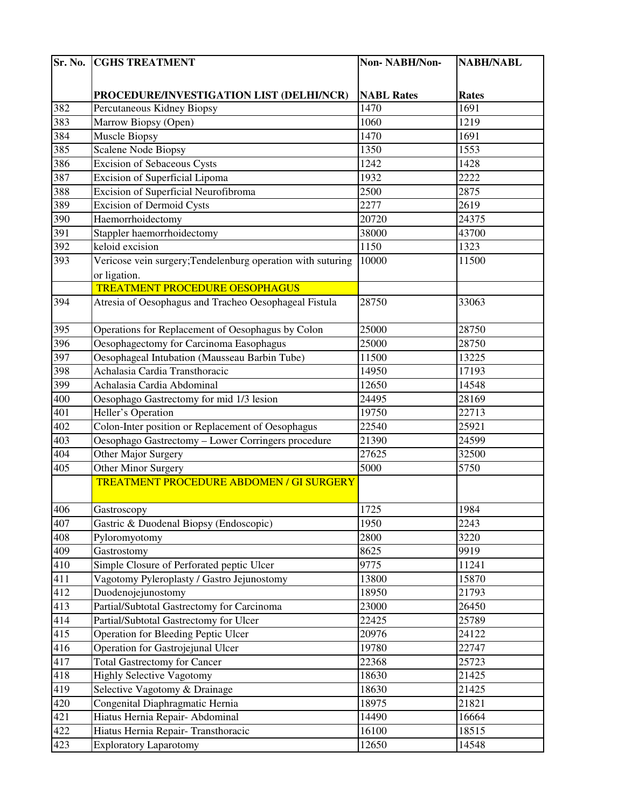| Sr. No. | <b>CGHS TREATMENT</b>                                       | Non-NABH/Non-     | <b>NABH/NABL</b> |
|---------|-------------------------------------------------------------|-------------------|------------------|
|         |                                                             |                   |                  |
|         | PROCEDURE/INVESTIGATION LIST (DELHI/NCR)                    | <b>NABL Rates</b> | <b>Rates</b>     |
| 382     | Percutaneous Kidney Biopsy                                  | 1470              | 1691             |
| 383     | Marrow Biopsy (Open)                                        | 1060              | 1219             |
| 384     | <b>Muscle Biopsy</b>                                        | 1470              | 1691             |
| 385     | <b>Scalene Node Biopsy</b>                                  | 1350              | 1553             |
| 386     | <b>Excision of Sebaceous Cysts</b>                          | 1242              | 1428             |
| 387     | Excision of Superficial Lipoma                              | 1932              | 2222             |
| 388     | Excision of Superficial Neurofibroma                        | 2500              | 2875             |
| 389     | <b>Excision of Dermoid Cysts</b>                            | 2277              | 2619             |
| 390     | Haemorrhoidectomy                                           | 20720             | 24375            |
| 391     | Stappler haemorrhoidectomy                                  | 38000             | 43700            |
| 392     | keloid excision                                             | 1150              | 1323             |
| 393     | Vericose vein surgery; Tendelenburg operation with suturing | 10000             | 11500            |
|         | or ligation.                                                |                   |                  |
|         | <b>TREATMENT PROCEDURE OESOPHAGUS</b>                       |                   |                  |
| 394     | Atresia of Oesophagus and Tracheo Oesophageal Fistula       | 28750             | 33063            |
|         |                                                             |                   |                  |
| 395     | Operations for Replacement of Oesophagus by Colon           | 25000             | 28750            |
| 396     | Oesophagectomy for Carcinoma Easophagus                     | 25000             | 28750            |
| 397     | Oesophageal Intubation (Mausseau Barbin Tube)               | 11500             | 13225            |
| 398     | Achalasia Cardia Transthoracic                              | 14950             | 17193            |
| 399     | Achalasia Cardia Abdominal                                  | 12650             | 14548            |
| 400     | Oesophago Gastrectomy for mid 1/3 lesion                    | 24495             | 28169            |
| 401     | Heller's Operation                                          | 19750             | 22713            |
| 402     | Colon-Inter position or Replacement of Oesophagus           | 22540             | 25921            |
| 403     | Oesophago Gastrectomy - Lower Corringers procedure          | 21390             | 24599            |
| 404     | Other Major Surgery                                         | 27625             | 32500            |
| 405     | Other Minor Surgery                                         | 5000              | 5750             |
|         | <b>TREATMENT PROCEDURE ABDOMEN / GI SURGERY</b>             |                   |                  |
| 406     | Gastroscopy                                                 | 1725              | 1984             |
| 407     | Gastric & Duodenal Biopsy (Endoscopic)                      | 1950              | 2243             |
| 408     | Pyloromyotomy                                               | 2800              | 3220             |
| 409     | Gastrostomy                                                 | 8625              | 9919             |
| 410     | Simple Closure of Perforated peptic Ulcer                   | 9775              | 11241            |
| 411     | Vagotomy Pyleroplasty / Gastro Jejunostomy                  | 13800             | 15870            |
| 412     | Duodenojejunostomy                                          | 18950             | 21793            |
| 413     | Partial/Subtotal Gastrectomy for Carcinoma                  | 23000             | 26450            |
| 414     | Partial/Subtotal Gastrectomy for Ulcer                      | 22425             | 25789            |
| 415     | <b>Operation for Bleeding Peptic Ulcer</b>                  | 20976             | 24122            |
| 416     | Operation for Gastrojejunal Ulcer                           | 19780             | 22747            |
| 417     | <b>Total Gastrectomy for Cancer</b>                         | 22368             | 25723            |
| 418     | <b>Highly Selective Vagotomy</b>                            | 18630             | 21425            |
| 419     | Selective Vagotomy & Drainage                               | 18630             | 21425            |
| 420     | Congenital Diaphragmatic Hernia                             | 18975             | 21821            |
| 421     | Hiatus Hernia Repair- Abdominal                             | 14490             | 16664            |
| 422     | Hiatus Hernia Repair- Transthoracic                         | 16100             | 18515            |
| 423     | <b>Exploratory Laparotomy</b>                               | 12650             | 14548            |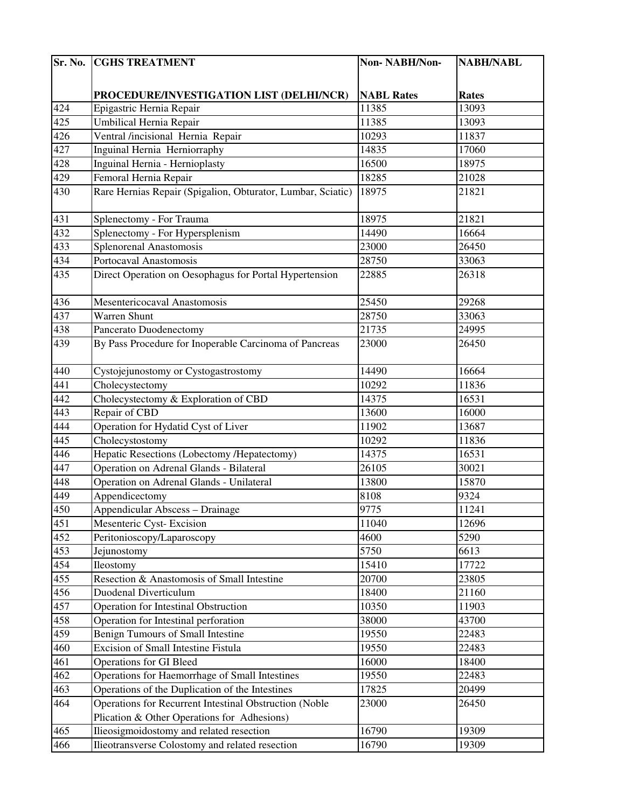| Sr. No.          | <b>CGHS TREATMENT</b>                                       | Non-NABH/Non-     | <b>NABH/NABL</b> |
|------------------|-------------------------------------------------------------|-------------------|------------------|
|                  |                                                             |                   |                  |
|                  | PROCEDURE/INVESTIGATION LIST (DELHI/NCR)                    | <b>NABL Rates</b> | <b>Rates</b>     |
| 424              | Epigastric Hernia Repair                                    | 11385             | 13093            |
| 425              | Umbilical Hernia Repair                                     | 11385             | 13093            |
| 426              | Ventral /incisional Hernia Repair                           | 10293             | 11837            |
| 427              | Inguinal Hernia Herniorraphy                                | 14835             | 17060            |
| 428              | Inguinal Hernia - Hernioplasty                              | 16500             | 18975            |
| 429              | Femoral Hernia Repair                                       | 18285             | 21028            |
| 430              | Rare Hernias Repair (Spigalion, Obturator, Lumbar, Sciatic) | 18975             | 21821            |
|                  |                                                             |                   |                  |
| 431              | Splenectomy - For Trauma                                    | 18975             | 21821            |
| 432              | Splenectomy - For Hypersplenism                             | 14490             | 16664            |
| 433              | <b>Splenorenal Anastomosis</b>                              | 23000             | 26450            |
| 434              | Portocaval Anastomosis                                      | 28750             | 33063            |
| 435              | Direct Operation on Oesophagus for Portal Hypertension      | 22885             | 26318            |
| 436              | Mesentericocaval Anastomosis                                | 25450             | 29268            |
| 437              | <b>Warren Shunt</b>                                         | 28750             | 33063            |
| 438              | Pancerato Duodenectomy                                      | 21735             | 24995            |
| 439              | By Pass Procedure for Inoperable Carcinoma of Pancreas      | 23000             | 26450            |
| 440              | Cystojejunostomy or Cystogastrostomy                        | 14490             | 16664            |
| 441              | Cholecystectomy                                             | 10292             | 11836            |
| 442              | Cholecystectomy & Exploration of CBD                        | 14375             | 16531            |
| 443              | Repair of CBD                                               | 13600             | 16000            |
| 444              | Operation for Hydatid Cyst of Liver                         | 11902             | 13687            |
| 445              | Cholecystostomy                                             | 10292             | 11836            |
| 446              | Hepatic Resections (Lobectomy /Hepatectomy)                 | 14375             | 16531            |
| 447              | Operation on Adrenal Glands - Bilateral                     | 26105             | 30021            |
| 448              | Operation on Adrenal Glands - Unilateral                    | 13800             | 15870            |
| 449              | Appendicectomy                                              | 8108              | 9324             |
| 450              | Appendicular Abscess - Drainage                             | 9775              | 11241            |
| 451              | Mesenteric Cyst-Excision                                    | 11040             | 12696            |
| 452              | Peritonioscopy/Laparoscopy                                  | 4600              | 5290             |
| 453              | Jejunostomy                                                 | 5750              | 6613             |
| 454              | Ileostomy                                                   | 15410             | 17722            |
| $45\overline{5}$ | Resection & Anastomosis of Small Intestine                  | 20700             | 23805            |
| 456              | <b>Duodenal Diverticulum</b>                                | 18400             | 21160            |
| 457              | <b>Operation for Intestinal Obstruction</b>                 | 10350             | 11903            |
| 458              | Operation for Intestinal perforation                        | 38000             | 43700            |
| 459              | Benign Tumours of Small Intestine                           | 19550             | 22483            |
| 460              | Excision of Small Intestine Fistula                         | 19550             | 22483            |
| 461              | <b>Operations for GI Bleed</b>                              | 16000             | 18400            |
| 462              | Operations for Haemorrhage of Small Intestines              | 19550             | 22483            |
| 463              | Operations of the Duplication of the Intestines             | 17825             | 20499            |
| 464              | Operations for Recurrent Intestinal Obstruction (Noble      | 23000             | 26450            |
|                  | Plication & Other Operations for Adhesions)                 |                   |                  |
| 465              | Ilieosigmoidostomy and related resection                    | 16790             | 19309            |
| 466              | Ilieotransverse Colostomy and related resection             | 16790             | 19309            |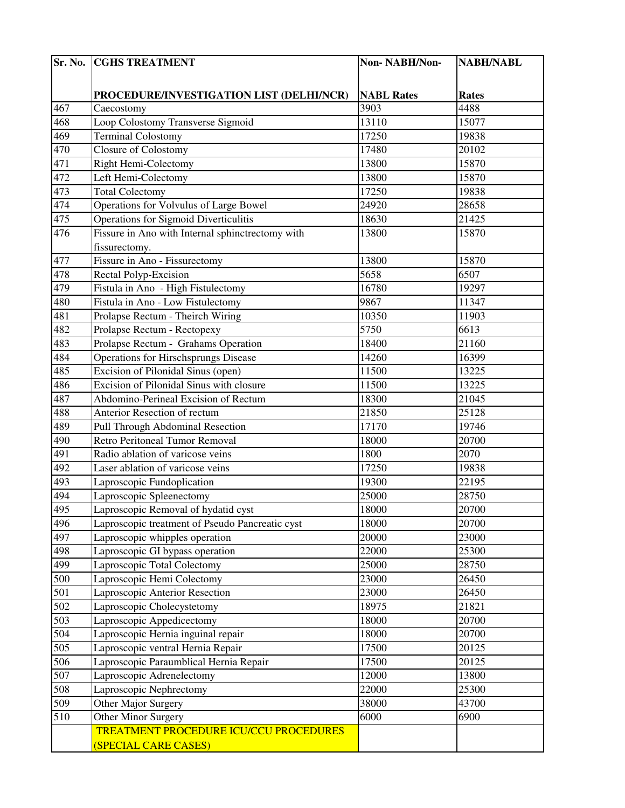|                  | <b>Sr. No. CGHS TREATMENT</b>                    | Non-NABH/Non-     | <b>NABH/NABL</b> |
|------------------|--------------------------------------------------|-------------------|------------------|
|                  |                                                  |                   |                  |
|                  | PROCEDURE/INVESTIGATION LIST (DELHI/NCR)         | <b>NABL Rates</b> | <b>Rates</b>     |
| 467              | Caecostomy                                       | 3903              | 4488             |
| 468              | Loop Colostomy Transverse Sigmoid                | 13110             | 15077            |
| 469              | <b>Terminal Colostomy</b>                        | 17250             | 19838            |
| 470              | Closure of Colostomy                             | 17480             | 20102            |
| 471              | Right Hemi-Colectomy                             | 13800             | 15870            |
| 472              | Left Hemi-Colectomy                              | 13800             | 15870            |
| 473              | <b>Total Colectomy</b>                           | 17250             | 19838            |
| 474              | Operations for Volvulus of Large Bowel           | 24920             | 28658            |
| 475              | <b>Operations for Sigmoid Diverticulitis</b>     | 18630             | 21425            |
| 476              | Fissure in Ano with Internal sphinctrectomy with | 13800             | 15870            |
|                  | fissurectomy.                                    |                   |                  |
| 477              | Fissure in Ano - Fissurectomy                    | 13800             | 15870            |
| 478              | <b>Rectal Polyp-Excision</b>                     | 5658              | 6507             |
| 479              | Fistula in Ano - High Fistulectomy               | 16780             | 19297            |
| 480              | Fistula in Ano - Low Fistulectomy                | 9867              | 11347            |
| 481              | Prolapse Rectum - Theirch Wiring                 | 10350             | 11903            |
| 482              | Prolapse Rectum - Rectopexy                      | 5750              | 6613             |
| 483              | Prolapse Rectum - Grahams Operation              | 18400             | 21160            |
| 484              | <b>Operations for Hirschsprungs Disease</b>      | 14260             | 16399            |
| 485              | Excision of Pilonidal Sinus (open)               | 11500             | 13225            |
| 486              | Excision of Pilonidal Sinus with closure         | 11500             | 13225            |
| 487              | Abdomino-Perineal Excision of Rectum             | 18300             | 21045            |
| 488              | Anterior Resection of rectum                     | 21850             | 25128            |
| $48\overline{9}$ | Pull Through Abdominal Resection                 | 17170             | 19746            |
| 490              | <b>Retro Peritoneal Tumor Removal</b>            | 18000             | 20700            |
| 491              | Radio ablation of varicose veins                 | 1800              | 2070             |
| 492              | Laser ablation of varicose veins                 | 17250             | 19838            |
| 493              | Laproscopic Fundoplication                       | 19300             | 22195            |
| 494              | Laproscopic Spleenectomy                         | 25000             | 28750            |
| 495              | Laproscopic Removal of hydatid cyst              | 18000             | 20700            |
| 496              | Laproscopic treatment of Pseudo Pancreatic cyst  | 18000             | 20700            |
| 497              | Laproscopic whipples operation                   | 20000             | 23000            |
| 498              | Laproscopic GI bypass operation                  | 22000             | 25300            |
| 499              | Laproscopic Total Colectomy                      | 25000             | 28750            |
| 500              | Laproscopic Hemi Colectomy                       | 23000             | 26450            |
| 501              | Laproscopic Anterior Resection                   | 23000             | 26450            |
| 502              | Laproscopic Cholecystetomy                       | 18975             | 21821            |
| 503              | Laproscopic Appedicectomy                        | 18000             | 20700            |
| 504              | Laproscopic Hernia inguinal repair               | 18000             | 20700            |
| 505              | Laproscopic ventral Hernia Repair                | 17500             | 20125            |
| 506              | Laproscopic Paraumblical Hernia Repair           | 17500             | 20125            |
| 507              | Laproscopic Adrenelectomy                        | 12000             | 13800            |
| 508              | Laproscopic Nephrectomy                          | 22000             | 25300            |
| 509              | Other Major Surgery                              | 38000             | 43700            |
| 510              | Other Minor Surgery                              | 6000              | 6900             |
|                  | TREATMENT PROCEDURE ICU/CCU PROCEDURES           |                   |                  |
|                  | (SPECIAL CARE CASES)                             |                   |                  |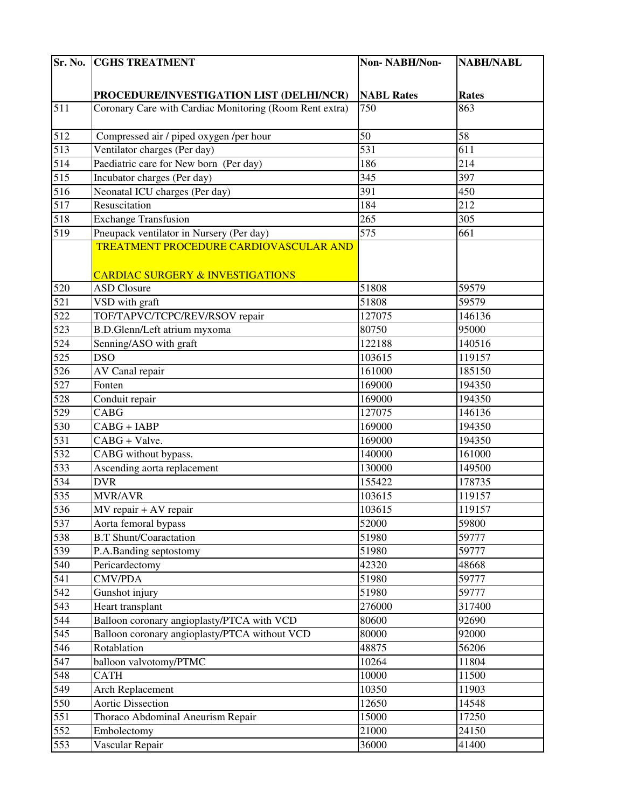| Sr. No.          | <b>CGHS TREATMENT</b>                                   | Non-NABH/Non-     | <b>NABH/NABL</b> |
|------------------|---------------------------------------------------------|-------------------|------------------|
|                  |                                                         |                   |                  |
|                  | PROCEDURE/INVESTIGATION LIST (DELHI/NCR)                | <b>NABL Rates</b> | <b>Rates</b>     |
| 511              | Coronary Care with Cardiac Monitoring (Room Rent extra) | 750               | 863              |
|                  |                                                         |                   |                  |
| 512              | Compressed air / piped oxygen /per hour                 | 50                | 58               |
| 513              | Ventilator charges (Per day)                            | 531               | 611              |
| 514              | Paediatric care for New born (Per day)                  | 186               | 214              |
| 515              | Incubator charges (Per day)                             | 345               | 397              |
| 516              | Neonatal ICU charges (Per day)                          | 391               | 450              |
| 517              | Resuscitation                                           | 184               | 212              |
| 518              | <b>Exchange Transfusion</b>                             | 265               | 305              |
| 519              | Pneupack ventilator in Nursery (Per day)                | 575               | 661              |
|                  | TREATMENT PROCEDURE CARDIOVASCULAR AND                  |                   |                  |
|                  |                                                         |                   |                  |
|                  | <b>CARDIAC SURGERY &amp; INVESTIGATIONS</b>             |                   |                  |
| 520              | <b>ASD Closure</b>                                      | 51808             | 59579            |
| 521              | VSD with graft                                          | 51808             | 59579            |
| 522              | TOF/TAPVC/TCPC/REV/RSOV repair                          | 127075            | 146136           |
| 523              | B.D.Glenn/Left atrium myxoma                            | 80750             | 95000            |
| 524              | Senning/ASO with graft                                  | 122188            | 140516           |
| 525              | <b>DSO</b>                                              | 103615            | 119157           |
| 526              | AV Canal repair                                         | 161000            | 185150           |
| 527              | Fonten                                                  | 169000            | 194350           |
| 528              | Conduit repair                                          | 169000            | 194350           |
| 529              | CABG                                                    | 127075            | 146136           |
| 530              | $CABG + IABP$                                           | 169000            | 194350           |
| 531              | CABG + Valve.                                           | 169000            | 194350           |
| 532              | CABG without bypass.                                    | 140000            | 161000           |
| 533              | Ascending aorta replacement                             | 130000            | 149500           |
| 534              | <b>DVR</b>                                              | 155422            | 178735           |
| 535              | <b>MVR/AVR</b>                                          | 103615            | 119157           |
| 536              | MV repair + AV repair                                   | 103615            | 119157           |
| 537              | Aorta femoral bypass                                    | 52000             | 59800            |
| 538              | <b>B.T Shunt/Coaractation</b>                           | 51980             | 59777            |
| 539              | P.A.Banding septostomy                                  | 51980             | 59777            |
| 540              | Pericardectomy                                          | 42320             | 48668            |
| 541              | <b>CMV/PDA</b>                                          | 51980             | 59777            |
| 542              | Gunshot injury                                          | 51980             | 59777            |
| 543              | Heart transplant                                        | 276000            | 317400           |
| 544              | Balloon coronary angioplasty/PTCA with VCD              | 80600             | 92690            |
| 545              | Balloon coronary angioplasty/PTCA without VCD           | 80000             | 92000            |
| 546              | Rotablation                                             | 48875             | 56206            |
| 547              | balloon valvotomy/PTMC                                  | 10264             | 11804            |
| 548              | <b>CATH</b>                                             | 10000             | 11500            |
| 549              | Arch Replacement                                        | 10350             | 11903            |
| 550              | <b>Aortic Dissection</b>                                | 12650             | 14548            |
| 551              | Thoraco Abdominal Aneurism Repair                       | 15000             | 17250            |
| 552              | Embolectomy                                             | 21000             | 24150            |
| $\overline{553}$ | Vascular Repair                                         | 36000             | 41400            |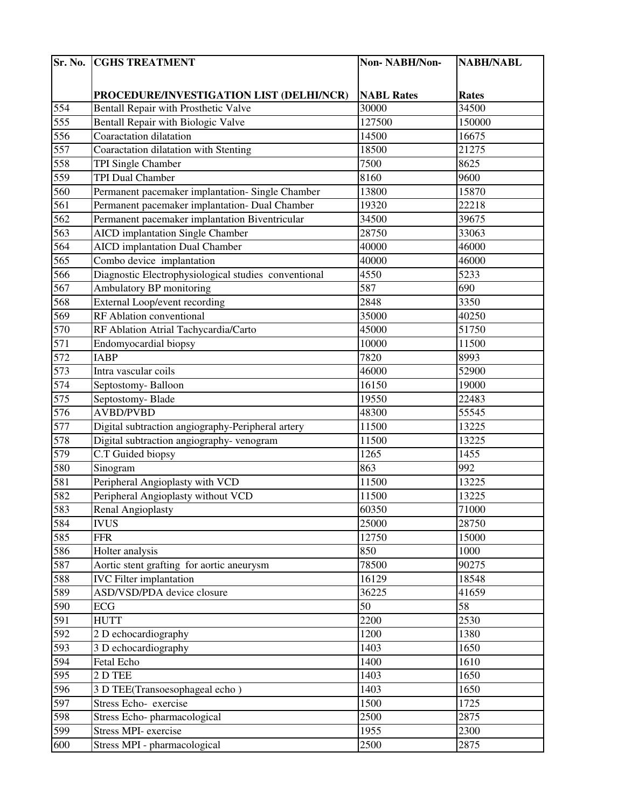|     | <b>Sr. No. CGHS TREATMENT</b>                        | Non-NABH/Non-     | <b>NABH/NABL</b> |
|-----|------------------------------------------------------|-------------------|------------------|
|     |                                                      |                   |                  |
|     | PROCEDURE/INVESTIGATION LIST (DELHI/NCR)             | <b>NABL Rates</b> | <b>Rates</b>     |
| 554 | Bentall Repair with Prosthetic Valve                 | 30000             | 34500            |
| 555 | Bentall Repair with Biologic Valve                   | 127500            | 150000           |
| 556 | Coaractation dilatation                              | 14500             | 16675            |
| 557 | Coaractation dilatation with Stenting                | 18500             | 21275            |
| 558 | TPI Single Chamber                                   | 7500              | 8625             |
| 559 | TPI Dual Chamber                                     | 8160              | 9600             |
| 560 | Permanent pacemaker implantation-Single Chamber      | 13800             | 15870            |
| 561 | Permanent pacemaker implantation- Dual Chamber       | 19320             | 22218            |
| 562 | Permanent pacemaker implantation Biventricular       | 34500             | 39675            |
| 563 | <b>AICD</b> implantation Single Chamber              | 28750             | 33063            |
| 564 | <b>AICD</b> implantation Dual Chamber                | 40000             | 46000            |
| 565 | Combo device implantation                            | 40000             | 46000            |
| 566 | Diagnostic Electrophysiological studies conventional | 4550              | 5233             |
| 567 | Ambulatory BP monitoring                             | 587               | 690              |
| 568 | External Loop/event recording                        | 2848              | 3350             |
| 569 | RF Ablation conventional                             | 35000             | 40250            |
| 570 | RF Ablation Atrial Tachycardia/Carto                 | 45000             | 51750            |
| 571 | Endomyocardial biopsy                                | 10000             | 11500            |
| 572 | <b>IABP</b>                                          | 7820              | 8993             |
| 573 | Intra vascular coils                                 | 46000             | 52900            |
| 574 | Septostomy-Balloon                                   | 16150             | 19000            |
| 575 | Septostomy-Blade                                     | 19550             | 22483            |
| 576 | <b>AVBD/PVBD</b>                                     | 48300             | 55545            |
| 577 | Digital subtraction angiography-Peripheral artery    | 11500             | 13225            |
| 578 | Digital subtraction angiography- venogram            | 11500             | 13225            |
| 579 | C.T Guided biopsy                                    | 1265              | 1455             |
| 580 | Sinogram                                             | 863               | 992              |
| 581 | Peripheral Angioplasty with VCD                      | 11500             | 13225            |
| 582 | Peripheral Angioplasty without VCD                   | 11500             | 13225            |
| 583 | Renal Angioplasty                                    | 60350             | 71000            |
| 584 | <b>IVUS</b>                                          | 25000             | 28750            |
| 585 | <b>FFR</b>                                           | 12750             | 15000            |
| 586 | Holter analysis                                      | 850               | 1000             |
| 587 | Aortic stent grafting for aortic aneurysm            | 78500             | 90275            |
| 588 | <b>IVC</b> Filter implantation                       | 16129             | 18548            |
| 589 | ASD/VSD/PDA device closure                           | 36225             | 41659            |
| 590 | ECG                                                  | 50                | 58               |
| 591 | <b>HUTT</b>                                          | 2200              | 2530             |
| 592 | 2 D echocardiography                                 | 1200              | 1380             |
| 593 | 3 D echocardiography                                 | 1403              | 1650             |
| 594 | Fetal Echo                                           | 1400              | 1610             |
| 595 | 2 D TEE                                              | 1403              | 1650             |
| 596 | 3 D TEE(Transoesophageal echo)                       | 1403              | 1650             |
| 597 | Stress Echo- exercise                                | 1500              | 1725             |
| 598 | Stress Echo-pharmacological                          | 2500              | 2875             |
| 599 | Stress MPI- exercise                                 | 1955              | 2300             |
| 600 | Stress MPI - pharmacological                         | 2500              | 2875             |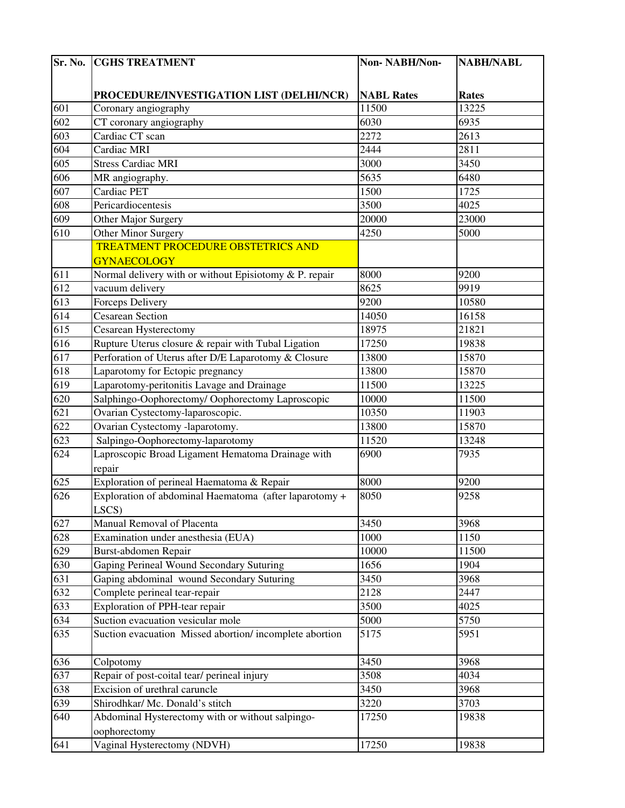| Sr. No.          | <b>CGHS TREATMENT</b>                                     | Non-NABH/Non-     | <b>NABH/NABL</b> |
|------------------|-----------------------------------------------------------|-------------------|------------------|
|                  |                                                           |                   |                  |
|                  | PROCEDURE/INVESTIGATION LIST (DELHI/NCR)                  | <b>NABL Rates</b> | <b>Rates</b>     |
| 601              | Coronary angiography                                      | 11500             | 13225            |
| 602              | CT coronary angiography                                   | 6030              | 6935             |
| 603              | Cardiac CT scan                                           | 2272              | 2613             |
| 604              | Cardiac MRI                                               | 2444              | 2811             |
| 605              | <b>Stress Cardiac MRI</b>                                 | 3000              | 3450             |
| 606              | MR angiography.                                           | 5635              | 6480             |
| 607              | Cardiac PET                                               | 1500              | 1725             |
| 608              | Pericardiocentesis                                        | 3500              | 4025             |
| 609              | Other Major Surgery                                       | 20000             | 23000            |
| 610              | Other Minor Surgery                                       | 4250              | 5000             |
|                  | <b>TREATMENT PROCEDURE OBSTETRICS AND</b>                 |                   |                  |
|                  | <b>GYNAECOLOGY</b>                                        |                   |                  |
| 611              | Normal delivery with or without Episiotomy $& P$ . repair | 8000              | 9200             |
| 612              | vacuum delivery                                           | 8625              | 9919             |
| 613              | Forceps Delivery                                          | 9200              | 10580            |
| 614              | <b>Cesarean Section</b>                                   | 14050             | 16158            |
| $61\overline{5}$ | Cesarean Hysterectomy                                     | 18975             | 21821            |
| 616              | Rupture Uterus closure & repair with Tubal Ligation       | 17250             | 19838            |
| 617              | Perforation of Uterus after D/E Laparotomy & Closure      | 13800             | 15870            |
| 618              | Laparotomy for Ectopic pregnancy                          | 13800             | 15870            |
| 619              | Laparotomy-peritonitis Lavage and Drainage                | 11500             | 13225            |
| 620              | Salphingo-Oophorectomy/Oophorectomy Laproscopic           | 10000             | 11500            |
| 621              | Ovarian Cystectomy-laparoscopic.                          | 10350             | 11903            |
| 622              | Ovarian Cystectomy -laparotomy.                           | 13800             | 15870            |
| 623              | Salpingo-Oophorectomy-laparotomy                          | 11520             | 13248            |
| 624              | Laproscopic Broad Ligament Hematoma Drainage with         | 6900              | 7935             |
|                  | repair                                                    |                   |                  |
| 625              | Exploration of perineal Haematoma & Repair                | 8000              | 9200             |
| 626              | Exploration of abdominal Haematoma (after laparotomy +    | 8050              | 9258             |
|                  | LSCS)                                                     |                   |                  |
| 627              | Manual Removal of Placenta                                | 3450              | 3968             |
| 628              | Examination under anesthesia (EUA)                        | 1000              | 1150             |
| 629              | Burst-abdomen Repair                                      | 10000             | 11500            |
| 630              | Gaping Perineal Wound Secondary Suturing                  | 1656              | 1904             |
| 631              | Gaping abdominal wound Secondary Suturing                 | 3450              | 3968             |
| 632              | Complete perineal tear-repair                             | 2128              | 2447             |
| 633              | Exploration of PPH-tear repair                            | 3500              | 4025             |
| 634              | Suction evacuation vesicular mole                         | 5000              | 5750             |
| 635              | Suction evacuation Missed abortion/incomplete abortion    | 5175              | 5951             |
| 636              | Colpotomy                                                 | 3450              | 3968             |
| 637              | Repair of post-coital tear/ perineal injury               | 3508              | 4034             |
| 638              | Excision of urethral caruncle                             | 3450              | 3968             |
| 639              | Shirodhkar/ Mc. Donald's stitch                           | 3220              | 3703             |
| 640              | Abdominal Hysterectomy with or without salpingo-          | 17250             | 19838            |
|                  | oophorectomy                                              |                   | 19838            |
| 641              | Vaginal Hysterectomy (NDVH)                               | 17250             |                  |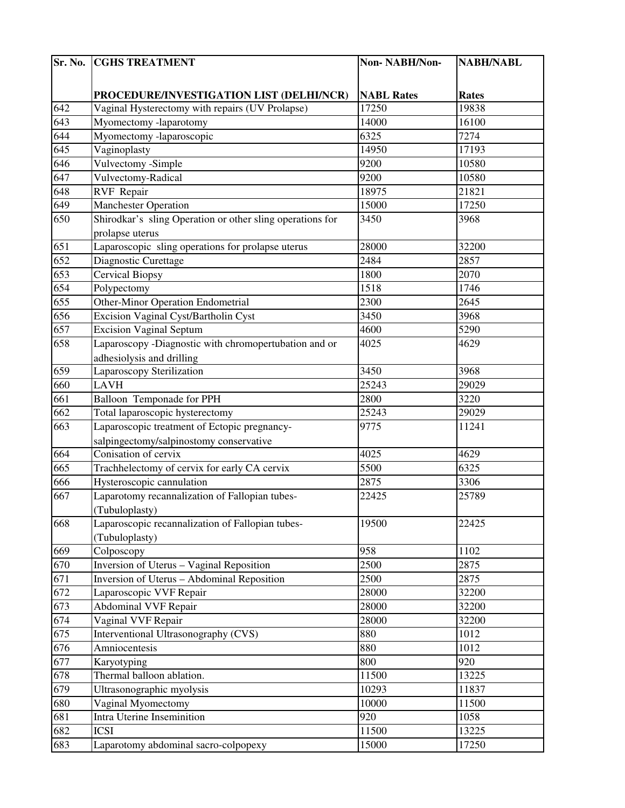| Sr. No. | <b>CGHS TREATMENT</b>                                     | Non-NABH/Non-     | <b>NABH/NABL</b> |
|---------|-----------------------------------------------------------|-------------------|------------------|
|         |                                                           |                   |                  |
|         | PROCEDURE/INVESTIGATION LIST (DELHI/NCR)                  | <b>NABL Rates</b> | <b>Rates</b>     |
| 642     | Vaginal Hysterectomy with repairs (UV Prolapse)           | 17250             | 19838            |
| 643     | Myomectomy -laparotomy                                    | 14000             | 16100            |
| 644     | Myomectomy -laparoscopic                                  | 6325              | 7274             |
| 645     | Vaginoplasty                                              | 14950             | 17193            |
| 646     | Vulvectomy -Simple                                        | 9200              | 10580            |
| 647     | Vulvectomy-Radical                                        | 9200              | 10580            |
| 648     | <b>RVF</b> Repair                                         | 18975             | 21821            |
| 649     | <b>Manchester Operation</b>                               | 15000             | 17250            |
| 650     | Shirodkar's sling Operation or other sling operations for | 3450              | 3968             |
|         | prolapse uterus                                           |                   |                  |
| 651     | Laparoscopic sling operations for prolapse uterus         | 28000             | 32200            |
| 652     | Diagnostic Curettage                                      | 2484              | 2857             |
| 653     | <b>Cervical Biopsy</b>                                    | 1800              | 2070             |
| 654     | Polypectomy                                               | 1518              | 1746             |
| 655     | <b>Other-Minor Operation Endometrial</b>                  | 2300              | 2645             |
| 656     | Excision Vaginal Cyst/Bartholin Cyst                      | 3450              | 3968             |
| 657     | <b>Excision Vaginal Septum</b>                            | 4600              | 5290             |
| 658     | Laparoscopy -Diagnostic with chromopertubation and or     | 4025              | 4629             |
|         | adhesiolysis and drilling                                 |                   |                  |
| 659     | Laparoscopy Sterilization                                 | 3450              | 3968             |
| 660     | <b>LAVH</b>                                               | 25243             | 29029            |
| 661     | Balloon Temponade for PPH                                 | 2800              | 3220             |
| 662     | Total laparoscopic hysterectomy                           | 25243             | 29029            |
| 663     | Laparoscopic treatment of Ectopic pregnancy-              | 9775              | 11241            |
|         | salpingectomy/salpinostomy conservative                   |                   |                  |
| 664     | Conisation of cervix                                      | 4025              | 4629             |
| 665     | Trachhelectomy of cervix for early CA cervix              | 5500              | 6325             |
| 666     | Hysteroscopic cannulation                                 | 2875              | 3306             |
| 667     | Laparotomy recannalization of Fallopian tubes-            | 22425             | 25789            |
|         | (Tubuloplasty)                                            |                   |                  |
| 668     | Laparoscopic recannalization of Fallopian tubes-          | 19500             | 22425            |
|         | (Tubuloplasty)                                            |                   |                  |
| 669     | Colposcopy                                                | 958               | 1102             |
| 670     | Inversion of Uterus - Vaginal Reposition                  | 2500              | 2875             |
| 671     | Inversion of Uterus - Abdominal Reposition                | 2500              | 2875             |
| 672     | Laparoscopic VVF Repair                                   | 28000             | 32200            |
| 673     | <b>Abdominal VVF Repair</b>                               | 28000             | 32200            |
| 674     | Vaginal VVF Repair                                        | 28000             | 32200            |
| 675     | Interventional Ultrasonography (CVS)                      | 880               | 1012             |
| 676     | Amniocentesis                                             | 880               | 1012             |
| 677     | Karyotyping                                               | 800               | 920              |
| 678     | Thermal balloon ablation.                                 | 11500             | 13225            |
| 679     | Ultrasonographic myolysis                                 | 10293             | 11837            |
| 680     | Vaginal Myomectomy                                        | 10000             | 11500            |
| 681     | Intra Uterine Inseminition                                | 920               | 1058             |
| 682     | <b>ICSI</b>                                               | 11500             | 13225            |
| 683     | Laparotomy abdominal sacro-colpopexy                      | 15000             | 17250            |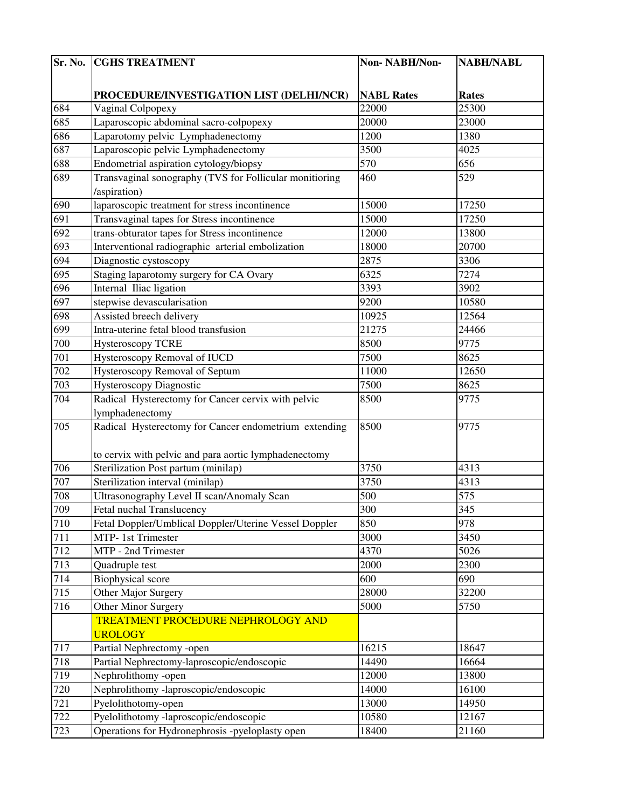| Sr. No. | <b>CGHS TREATMENT</b>                                   | Non-NABH/Non-     | <b>NABH/NABL</b> |
|---------|---------------------------------------------------------|-------------------|------------------|
|         |                                                         |                   |                  |
|         | PROCEDURE/INVESTIGATION LIST (DELHI/NCR)                | <b>NABL Rates</b> | <b>Rates</b>     |
| 684     | Vaginal Colpopexy                                       | 22000             | 25300            |
| 685     | Laparoscopic abdominal sacro-colpopexy                  | 20000             | 23000            |
| 686     | Laparotomy pelvic Lymphadenectomy                       | 1200              | 1380             |
| 687     | Laparoscopic pelvic Lymphadenectomy                     | 3500              | 4025             |
| 688     | Endometrial aspiration cytology/biopsy                  | 570               | 656              |
| 689     | Transvaginal sonography (TVS for Follicular monitioring | 460               | 529              |
|         | /aspiration)                                            |                   |                  |
| 690     | laparoscopic treatment for stress incontinence          | 15000             | 17250            |
| 691     | Transvaginal tapes for Stress incontinence              | 15000             | 17250            |
| 692     | trans-obturator tapes for Stress incontinence           | 12000             | 13800            |
| 693     | Interventional radiographic arterial embolization       | 18000             | 20700            |
| 694     | Diagnostic cystoscopy                                   | 2875              | 3306             |
| 695     | Staging laparotomy surgery for CA Ovary                 | 6325              | 7274             |
| 696     | Internal Iliac ligation                                 | 3393              | 3902             |
| 697     | stepwise devascularisation                              | 9200              | 10580            |
| 698     | Assisted breech delivery                                | 10925             | 12564            |
| 699     | Intra-uterine fetal blood transfusion                   | 21275             | 24466            |
| 700     | <b>Hysteroscopy TCRE</b>                                | 8500              | 9775             |
| 701     | Hysteroscopy Removal of IUCD                            | 7500              | 8625             |
| 702     | Hysteroscopy Removal of Septum                          | 11000             | 12650            |
| 703     | Hysteroscopy Diagnostic                                 | 7500              | 8625             |
| 704     | Radical Hysterectomy for Cancer cervix with pelvic      | 8500              | 9775             |
|         | lymphadenectomy                                         |                   |                  |
| 705     | Radical Hysterectomy for Cancer endometrium extending   | 8500              | 9775             |
|         |                                                         |                   |                  |
|         | to cervix with pelvic and para aortic lymphadenectomy   |                   |                  |
| 706     | Sterilization Post partum (minilap)                     | 3750              | 4313             |
| 707     | Sterilization interval (minilap)                        | 3750              | 4313             |
| 708     | Ultrasonography Level II scan/Anomaly Scan              | 500               | 575              |
| 709     | Fetal nuchal Translucency                               | 300               | 345              |
| 710     | Fetal Doppler/Umblical Doppler/Uterine Vessel Doppler   | 850               | 978              |
| 711     | MTP-1st Trimester                                       | 3000              | 3450             |
| 712     | MTP - 2nd Trimester                                     | 4370              | 5026             |
| 713     | Quadruple test                                          | 2000              | 2300             |
| 714     | <b>Biophysical score</b>                                | 600               | 690              |
| 715     | Other Major Surgery                                     | 28000             | 32200            |
| 716     | Other Minor Surgery                                     | 5000              | 5750             |
|         | TREATMENT PROCEDURE NEPHROLOGY AND                      |                   |                  |
|         | <b>UROLOGY</b>                                          |                   |                  |
| 717     | Partial Nephrectomy -open                               | 16215             | 18647            |
| 718     | Partial Nephrectomy-laproscopic/endoscopic              | 14490             | 16664            |
| 719     | Nephrolithomy -open                                     | 12000             | 13800            |
| 720     | Nephrolithomy -laproscopic/endoscopic                   | 14000             | 16100            |
| 721     | Pyelolithotomy-open                                     | 13000             | 14950            |
| 722     | Pyelolithotomy -laproscopic/endoscopic                  | 10580             | 12167            |
| 723     | Operations for Hydronephrosis -pyeloplasty open         | 18400             | 21160            |
|         |                                                         |                   |                  |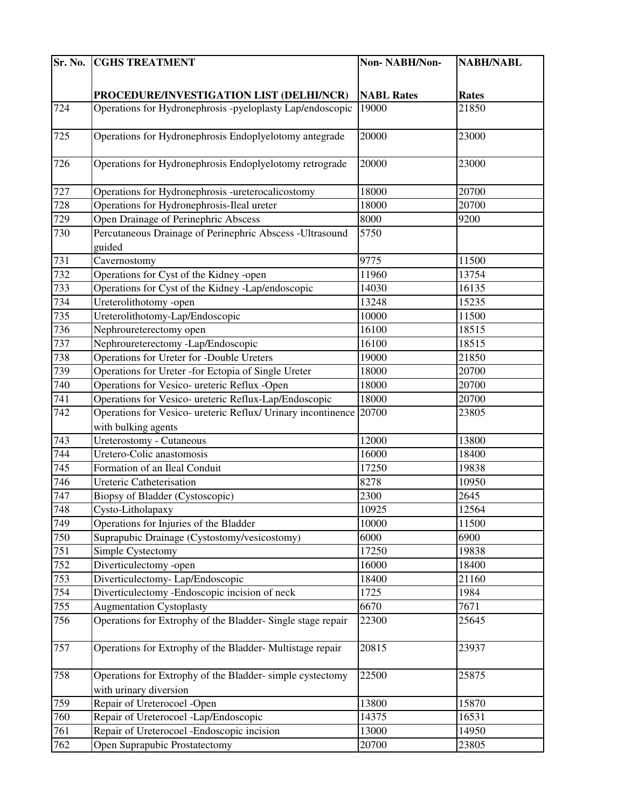| Sr. No. | <b>CGHS TREATMENT</b>                                        | Non-NABH/Non-     | <b>NABH/NABL</b> |
|---------|--------------------------------------------------------------|-------------------|------------------|
|         |                                                              |                   |                  |
|         | PROCEDURE/INVESTIGATION LIST (DELHI/NCR)                     | <b>NABL Rates</b> | <b>Rates</b>     |
| 724     | Operations for Hydronephrosis -pyeloplasty Lap/endoscopic    | 19000             | 21850            |
|         |                                                              |                   |                  |
| 725     | Operations for Hydronephrosis Endoplyelotomy antegrade       | 20000             | 23000            |
|         |                                                              |                   |                  |
| 726     | Operations for Hydronephrosis Endoplyelotomy retrograde      | 20000             | 23000            |
|         |                                                              |                   |                  |
| 727     | Operations for Hydronephrosis -ureterocalicostomy            | 18000             | 20700            |
| 728     | Operations for Hydronephrosis-Ileal ureter                   | 18000             | 20700            |
| 729     | Open Drainage of Perinephric Abscess                         | 8000              | 9200             |
| 730     | Percutaneous Drainage of Perinephric Abscess -Ultrasound     | 5750              |                  |
|         | guided                                                       |                   |                  |
| 731     | Cavernostomy                                                 | 9775              | 11500            |
| 732     | Operations for Cyst of the Kidney -open                      | 11960             | 13754            |
| 733     | Operations for Cyst of the Kidney -Lap/endoscopic            | 14030             | 16135            |
| 734     | Ureterolithotomy -open                                       | 13248             | 15235            |
| 735     | Ureterolithotomy-Lap/Endoscopic                              | 10000             | 11500            |
| 736     | Nephroureterectomy open                                      | 16100             | 18515            |
| 737     | Nephroureterectomy -Lap/Endoscopic                           | 16100             | 18515            |
| 738     | Operations for Ureter for -Double Ureters                    | 19000             | 21850            |
| 739     | Operations for Ureter - for Ectopia of Single Ureter         | 18000             | 20700            |
| 740     | Operations for Vesico- ureteric Reflux -Open                 | 18000             | 20700            |
| 741     | Operations for Vesico- ureteric Reflux-Lap/Endoscopic        | 18000             | 20700            |
| 742     | Operations for Vesico- ureteric Reflux/ Urinary incontinence | 20700             | 23805            |
|         | with bulking agents                                          |                   |                  |
| 743     | Ureterostomy - Cutaneous                                     | 12000             | 13800            |
| 744     | Uretero-Colic anastomosis                                    | 16000             | 18400            |
| 745     | Formation of an Ileal Conduit                                | 17250             | 19838            |
| 746     | <b>Ureteric Catheterisation</b>                              | 8278              | 10950            |
| 747     | Biopsy of Bladder (Cystoscopic)                              | 2300              | 2645             |
| 748     | Cysto-Litholapaxy                                            | 10925             | 12564            |
| 749     | Operations for Injuries of the Bladder                       | 10000             | 11500            |
| 750     | Suprapubic Drainage (Cystostomy/vesicostomy)                 | 6000              | 6900             |
| 751     | Simple Cystectomy                                            | 17250             | 19838            |
| 752     | Diverticulectomy -open                                       | 16000             | 18400            |
| 753     | Diverticulectomy-Lap/Endoscopic                              | 18400             | 21160            |
| 754     | Diverticulectomy - Endoscopic incision of neck               | 1725              | 1984             |
| 755     | <b>Augmentation Cystoplasty</b>                              | 6670              | 7671             |
| 756     | Operations for Extrophy of the Bladder-Single stage repair   | 22300             | 25645            |
|         |                                                              |                   |                  |
| 757     | Operations for Extrophy of the Bladder-Multistage repair     | 20815             | 23937            |
| 758     | Operations for Extrophy of the Bladder-simple cystectomy     | 22500             | 25875            |
|         | with urinary diversion                                       |                   |                  |
| 759     | Repair of Ureterocoel -Open                                  | 13800             | 15870            |
| 760     | Repair of Ureterocoel -Lap/Endoscopic                        | 14375             | 16531            |
| 761     | Repair of Ureterocoel -Endoscopic incision                   | 13000             | 14950            |
| 762     | Open Suprapubic Prostatectomy                                | 20700             | 23805            |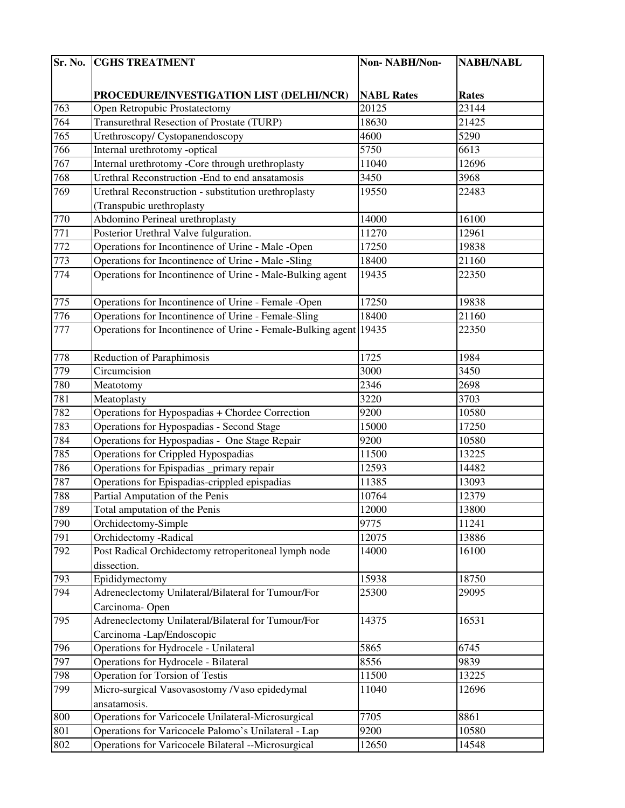| Sr. No. | <b>CGHS TREATMENT</b>                                       | Non-NABH/Non-     | <b>NABH/NABL</b> |
|---------|-------------------------------------------------------------|-------------------|------------------|
|         |                                                             |                   |                  |
|         | PROCEDURE/INVESTIGATION LIST (DELHI/NCR)                    | <b>NABL Rates</b> | <b>Rates</b>     |
| 763     | Open Retropubic Prostatectomy                               | 20125             | 23144            |
| 764     | <b>Transurethral Resection of Prostate (TURP)</b>           | 18630             | 21425            |
| 765     | Urethroscopy/ Cystopanendoscopy                             | 4600              | 5290             |
| 766     | Internal urethrotomy -optical                               | 5750              | 6613             |
| 767     | Internal urethrotomy -Core through urethroplasty            | 11040             | 12696            |
| 768     | Urethral Reconstruction -End to end ansatamosis             | 3450              | 3968             |
| 769     | Urethral Reconstruction - substitution urethroplasty        | 19550             | 22483            |
|         | (Transpubic urethroplasty                                   |                   |                  |
| 770     | Abdomino Perineal urethroplasty                             | 14000             | 16100            |
| 771     | Posterior Urethral Valve fulguration.                       | 11270             | 12961            |
| 772     | Operations for Incontinence of Urine - Male -Open           | 17250             | 19838            |
| 773     | Operations for Incontinence of Urine - Male -Sling          | 18400             | 21160            |
| 774     | Operations for Incontinence of Urine - Male-Bulking agent   | 19435             | 22350            |
|         |                                                             |                   |                  |
| 775     | Operations for Incontinence of Urine - Female -Open         | 17250             | 19838            |
| 776     | Operations for Incontinence of Urine - Female-Sling         | 18400             | 21160            |
| 777     | Operations for Incontinence of Urine - Female-Bulking agent | 19435             | 22350            |
|         |                                                             |                   |                  |
| 778     | Reduction of Paraphimosis                                   | 1725              | 1984             |
| 779     | Circumcision                                                | 3000              | 3450             |
| 780     | Meatotomy                                                   | 2346              | 2698             |
| 781     | Meatoplasty                                                 | 3220              | 3703             |
| 782     | Operations for Hypospadias + Chordee Correction             | 9200              | 10580            |
| 783     | Operations for Hypospadias - Second Stage                   | 15000             | 17250            |
| 784     | Operations for Hypospadias - One Stage Repair               | 9200              | 10580            |
| 785     | Operations for Crippled Hypospadias                         | 11500             | 13225            |
| 786     | Operations for Epispadias _primary repair                   | 12593             | 14482            |
| 787     | Operations for Epispadias-crippled epispadias               | 11385             | 13093            |
| 788     | Partial Amputation of the Penis                             | 10764             | 12379            |
| 789     | Total amputation of the Penis                               | 12000             | 13800            |
| 790     | Orchidectomy-Simple                                         | 9775              | 11241            |
| 791     | Orchidectomy -Radical                                       | 12075             | 13886            |
| 792     | Post Radical Orchidectomy retroperitoneal lymph node        | 14000             | 16100            |
|         | dissection.                                                 |                   |                  |
| 793     | Epididymectomy                                              | 15938             | 18750            |
| 794     | Adreneclectomy Unilateral/Bilateral for Tumour/For          | 25300             | 29095            |
|         | Carcinoma-Open                                              |                   |                  |
| 795     | Adreneclectomy Unilateral/Bilateral for Tumour/For          | 14375             | 16531            |
|         | Carcinoma -Lap/Endoscopic                                   |                   |                  |
| 796     | Operations for Hydrocele - Unilateral                       | 5865              | 6745             |
| 797     | <b>Operations for Hydrocele - Bilateral</b>                 | 8556              | 9839             |
| 798     | <b>Operation for Torsion of Testis</b>                      | 11500             | 13225            |
| 799     | Micro-surgical Vasovasostomy /Vaso epidedymal               | 11040             | 12696            |
|         | ansatamosis.                                                |                   |                  |
| 800     | Operations for Varicocele Unilateral-Microsurgical          | 7705              | 8861             |
| 801     | Operations for Varicocele Palomo's Unilateral - Lap         | 9200              | 10580            |
| 802     | Operations for Varicocele Bilateral --Microsurgical         | 12650             | 14548            |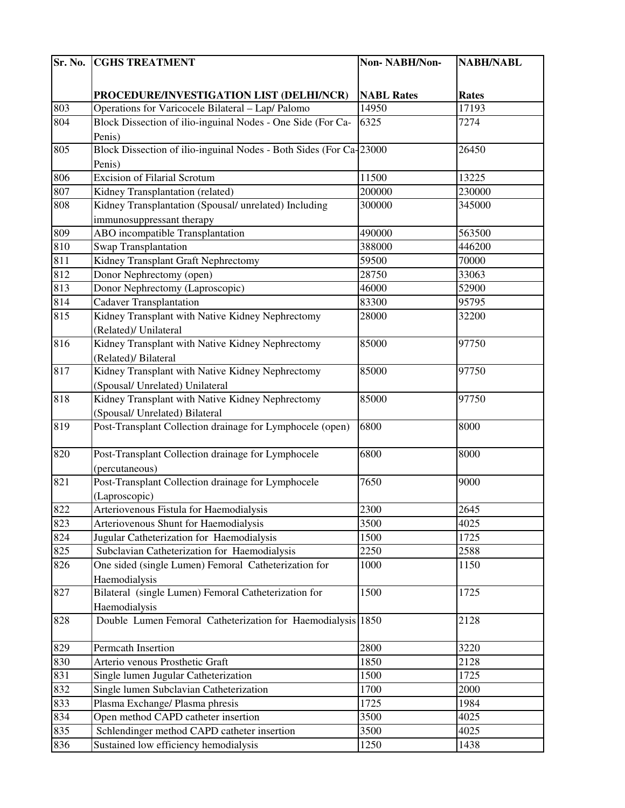| Sr. No. | <b>CGHS TREATMENT</b>                                              | Non-NABH/Non-     | <b>NABH/NABL</b> |
|---------|--------------------------------------------------------------------|-------------------|------------------|
|         |                                                                    |                   |                  |
|         | PROCEDURE/INVESTIGATION LIST (DELHI/NCR)                           | <b>NABL Rates</b> | <b>Rates</b>     |
| 803     | Operations for Varicocele Bilateral - Lap/ Palomo                  | 14950             | 17193            |
| 804     | Block Dissection of ilio-inguinal Nodes - One Side (For Ca-        | 6325              | 7274             |
|         | Penis)                                                             |                   |                  |
| 805     | Block Dissection of ilio-inguinal Nodes - Both Sides (For Ca-23000 |                   | 26450            |
|         | Penis)                                                             |                   |                  |
| 806     | <b>Excision of Filarial Scrotum</b>                                | 11500             | 13225            |
| 807     | Kidney Transplantation (related)                                   | 200000            | 230000           |
| 808     | Kidney Transplantation (Spousal/ unrelated) Including              | 300000            | 345000           |
|         | immunosuppressant therapy                                          |                   |                  |
| 809     | <b>ABO</b> incompatible Transplantation                            | 490000            | 563500           |
| 810     | Swap Transplantation                                               | 388000            | 446200           |
| 811     | Kidney Transplant Graft Nephrectomy                                | 59500             | 70000            |
| 812     | Donor Nephrectomy (open)                                           | 28750             | 33063            |
| 813     | Donor Nephrectomy (Laproscopic)                                    | 46000             | 52900            |
| 814     | <b>Cadaver Transplantation</b>                                     | 83300             | 95795            |
| 815     | Kidney Transplant with Native Kidney Nephrectomy                   | 28000             | 32200            |
|         | (Related)/ Unilateral                                              |                   |                  |
| 816     | Kidney Transplant with Native Kidney Nephrectomy                   | 85000             | 97750            |
|         | (Related)/ Bilateral                                               |                   |                  |
| 817     | Kidney Transplant with Native Kidney Nephrectomy                   | 85000             | 97750            |
|         | (Spousal/ Unrelated) Unilateral                                    |                   |                  |
| 818     | Kidney Transplant with Native Kidney Nephrectomy                   | 85000             | 97750            |
|         | (Spousal/ Unrelated) Bilateral                                     |                   |                  |
| 819     | Post-Transplant Collection drainage for Lymphocele (open)          | 6800              | 8000             |
|         |                                                                    |                   |                  |
| 820     | Post-Transplant Collection drainage for Lymphocele                 | 6800              | 8000             |
|         | (percutaneous)                                                     |                   |                  |
| 821     | Post-Transplant Collection drainage for Lymphocele                 | 7650              | 9000             |
|         | (Laproscopic)                                                      |                   |                  |
| 822     | Arteriovenous Fistula for Haemodialysis                            | 2300              | 2645             |
| 823     | Arteriovenous Shunt for Haemodialysis                              | 3500              | 4025             |
| 824     | Jugular Catheterization for Haemodialysis                          | 1500              | 1725             |
| 825     | Subclavian Catheterization for Haemodialysis                       | 2250              | 2588             |
| 826     | One sided (single Lumen) Femoral Catheterization for               | 1000              | 1150             |
|         | Haemodialysis                                                      |                   |                  |
| 827     | Bilateral (single Lumen) Femoral Catheterization for               | 1500              | 1725             |
|         | Haemodialysis                                                      |                   | 2128             |
| 828     | Double Lumen Femoral Catheterization for Haemodialysis 1850        |                   |                  |
| 829     | Permcath Insertion                                                 | 2800              | 3220             |
| 830     | Arterio venous Prosthetic Graft                                    | 1850              | 2128             |
| 831     | Single lumen Jugular Catheterization                               | 1500              | 1725             |
| 832     | Single lumen Subclavian Catheterization                            | 1700              | 2000             |
| 833     | Plasma Exchange/ Plasma phresis                                    | 1725              | 1984             |
| 834     | Open method CAPD catheter insertion                                | 3500              | 4025             |
| 835     | Schlendinger method CAPD catheter insertion                        | 3500              | 4025             |
| 836     | Sustained low efficiency hemodialysis                              | 1250              | 1438             |
|         |                                                                    |                   |                  |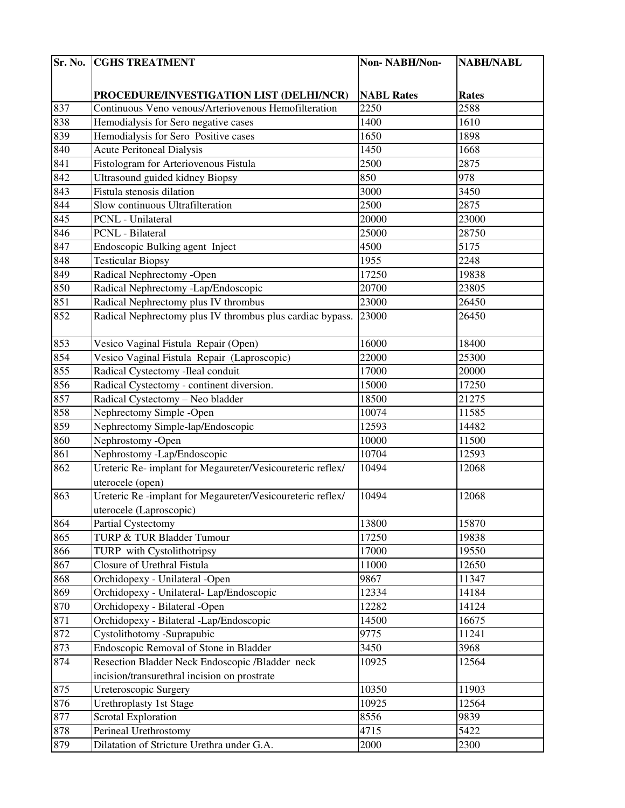| Sr. No. | <b>CGHS TREATMENT</b>                                      | Non-NABH/Non-     | <b>NABH/NABL</b> |
|---------|------------------------------------------------------------|-------------------|------------------|
|         |                                                            |                   |                  |
|         | PROCEDURE/INVESTIGATION LIST (DELHI/NCR)                   | <b>NABL Rates</b> | <b>Rates</b>     |
| 837     | Continuous Veno venous/Arteriovenous Hemofilteration       | 2250              | 2588             |
| 838     | Hemodialysis for Sero negative cases                       | 1400              | 1610             |
| 839     | Hemodialysis for Sero Positive cases                       | 1650              | 1898             |
| 840     | <b>Acute Peritoneal Dialysis</b>                           | 1450              | 1668             |
| 841     | Fistologram for Arteriovenous Fistula                      | 2500              | 2875             |
| 842     | Ultrasound guided kidney Biopsy                            | 850               | 978              |
| 843     | Fistula stenosis dilation                                  | 3000              | 3450             |
| 844     | Slow continuous Ultrafilteration                           | 2500              | 2875             |
| 845     | PCNL - Unilateral                                          | 20000             | 23000            |
| 846     | PCNL - Bilateral                                           | 25000             | 28750            |
| 847     | Endoscopic Bulking agent Inject                            | 4500              | 5175             |
| 848     | <b>Testicular Biopsy</b>                                   | 1955              | 2248             |
| 849     | Radical Nephrectomy -Open                                  | 17250             | 19838            |
| 850     | Radical Nephrectomy -Lap/Endoscopic                        | 20700             | 23805            |
| 851     | Radical Nephrectomy plus IV thrombus                       | 23000             | 26450            |
| 852     | Radical Nephrectomy plus IV thrombus plus cardiac bypass.  | 23000             | 26450            |
| 853     | Vesico Vaginal Fistula Repair (Open)                       | 16000             | 18400            |
| 854     | Vesico Vaginal Fistula Repair (Laproscopic)                | 22000             | 25300            |
| 855     | Radical Cystectomy -Ileal conduit                          | 17000             | 20000            |
| 856     | Radical Cystectomy - continent diversion.                  | 15000             | 17250            |
| 857     | Radical Cystectomy - Neo bladder                           | 18500             | 21275            |
| 858     | Nephrectomy Simple -Open                                   | 10074             | 11585            |
| 859     | Nephrectomy Simple-lap/Endoscopic                          | 12593             | 14482            |
| 860     | Nephrostomy -Open                                          | 10000             | 11500            |
| 861     | Nephrostomy -Lap/Endoscopic                                | 10704             | 12593            |
| 862     | Ureteric Re- implant for Megaureter/Vesicoureteric reflex/ | 10494             | 12068            |
|         | uterocele (open)                                           |                   |                  |
| 863     | Ureteric Re-implant for Megaureter/Vesicoureteric reflex/  | 10494             | 12068            |
|         | uterocele (Laproscopic)                                    |                   |                  |
| 864     | <b>Partial Cystectomy</b>                                  | 13800             | 15870            |
| 865     | TURP & TUR Bladder Tumour                                  | 17250             | 19838            |
| 866     | TURP with Cystolithotripsy                                 | 17000             | 19550            |
| 867     | Closure of Urethral Fistula                                | 11000             | 12650            |
| 868     | Orchidopexy - Unilateral -Open                             | 9867              | 11347            |
| 869     | Orchidopexy - Unilateral- Lap/Endoscopic                   | 12334             | 14184            |
| 870     | Orchidopexy - Bilateral -Open                              | 12282             | 14124            |
| 871     | Orchidopexy - Bilateral -Lap/Endoscopic                    | 14500             | 16675            |
| 872     | Cystolithotomy -Suprapubic                                 | 9775              | 11241            |
| 873     | Endoscopic Removal of Stone in Bladder                     | 3450              | 3968             |
| 874     | Resection Bladder Neck Endoscopic /Bladder neck            | 10925             | 12564            |
|         | incision/transurethral incision on prostrate               |                   |                  |
| 875     | Ureteroscopic Surgery                                      | 10350             | 11903            |
| 876     | Urethroplasty 1st Stage                                    | 10925             | 12564            |
| 877     | Scrotal Exploration                                        | 8556              | 9839             |
| 878     | Perineal Urethrostomy                                      | 4715              | 5422             |
| 879     | Dilatation of Stricture Urethra under G.A.                 | 2000              | 2300             |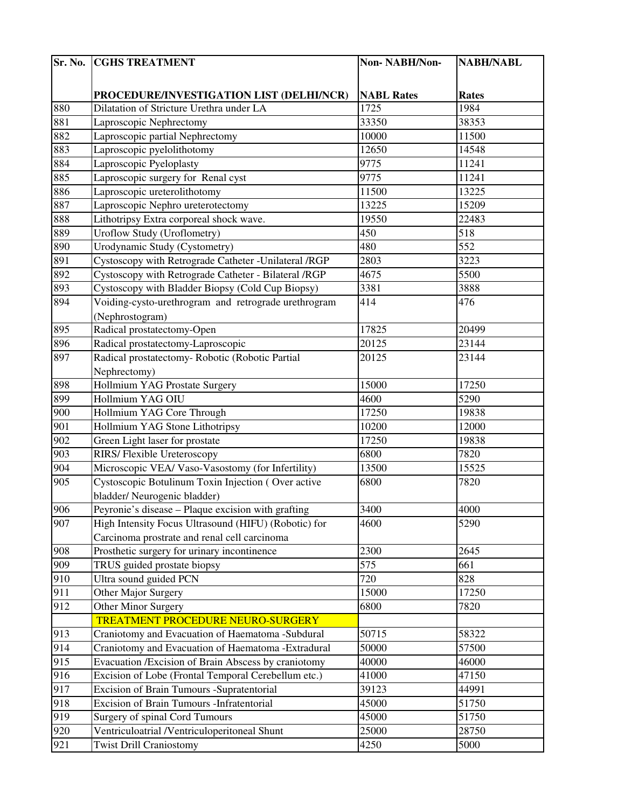| Sr. No. | <b>CGHS TREATMENT</b>                                  | Non-NABH/Non-     | <b>NABH/NABL</b> |
|---------|--------------------------------------------------------|-------------------|------------------|
|         |                                                        |                   |                  |
|         | PROCEDURE/INVESTIGATION LIST (DELHI/NCR)               | <b>NABL Rates</b> | <b>Rates</b>     |
| 880     | Dilatation of Stricture Urethra under LA               | 1725              | 1984             |
| 881     | Laproscopic Nephrectomy                                | 33350             | 38353            |
| 882     | Laproscopic partial Nephrectomy                        | 10000             | 11500            |
| 883     | Laproscopic pyelolithotomy                             | 12650             | 14548            |
| 884     | Laproscopic Pyeloplasty                                | 9775              | 11241            |
| 885     | Laproscopic surgery for Renal cyst                     | 9775              | 11241            |
| 886     | Laproscopic ureterolithotomy                           | 11500             | 13225            |
| 887     | Laproscopic Nephro ureterotectomy                      | 13225             | 15209            |
| 888     | Lithotripsy Extra corporeal shock wave.                | 19550             | 22483            |
| 889     | <b>Uroflow Study (Uroflometry)</b>                     | 450               | 518              |
| 890     | Urodynamic Study (Cystometry)                          | 480               | 552              |
| 891     | Cystoscopy with Retrograde Catheter - Unilateral / RGP | 2803              | 3223             |
| 892     | Cystoscopy with Retrograde Catheter - Bilateral /RGP   | 4675              | 5500             |
| 893     | Cystoscopy with Bladder Biopsy (Cold Cup Biopsy)       | 3381              | 3888             |
| 894     | Voiding-cysto-urethrogram and retrograde urethrogram   | 414               | 476              |
|         | (Nephrostogram)                                        |                   |                  |
| 895     | Radical prostatectomy-Open                             | 17825             | 20499            |
| 896     | Radical prostatectomy-Laproscopic                      | 20125             | 23144            |
| 897     | Radical prostatectomy- Robotic (Robotic Partial        | 20125             | 23144            |
|         | Nephrectomy)                                           |                   |                  |
| 898     | Hollmium YAG Prostate Surgery                          | 15000             | 17250            |
| 899     | Hollmium YAG OIU                                       | 4600              | 5290             |
| 900     | Hollmium YAG Core Through                              | 17250             | 19838            |
| 901     | Hollmium YAG Stone Lithotripsy                         | 10200             | 12000            |
| 902     | Green Light laser for prostate                         | 17250             | 19838            |
| 903     | RIRS/ Flexible Ureteroscopy                            | 6800              | 7820             |
| 904     | Microscopic VEA/ Vaso-Vasostomy (for Infertility)      | 13500             | 15525            |
| 905     | Cystoscopic Botulinum Toxin Injection (Over active     | 6800              | 7820             |
|         | bladder/ Neurogenic bladder)                           |                   |                  |
| 906     | Peyronie's disease - Plaque excision with grafting     | 3400              | 4000             |
| 907     | High Intensity Focus Ultrasound (HIFU) (Robotic) for   | 4600              | 5290             |
|         | Carcinoma prostrate and renal cell carcinoma           |                   |                  |
| 908     | Prosthetic surgery for urinary incontinence            | 2300              | 2645             |
| 909     | TRUS guided prostate biopsy                            | 575               | 661              |
| 910     | Ultra sound guided PCN                                 | 720               | 828              |
| 911     | Other Major Surgery                                    | 15000             | 17250            |
| 912     | Other Minor Surgery                                    | 6800              | 7820             |
|         | TREATMENT PROCEDURE NEURO-SURGERY                      |                   |                  |
| 913     | Craniotomy and Evacuation of Haematoma -Subdural       | 50715             | 58322            |
| 914     | Craniotomy and Evacuation of Haematoma -Extradural     | 50000             | 57500            |
| 915     | Evacuation / Excision of Brain Abscess by craniotomy   | 40000             | 46000            |
| 916     | Excision of Lobe (Frontal Temporal Cerebellum etc.)    | 41000             | 47150            |
| 917     | Excision of Brain Tumours -Supratentorial              | 39123             | 44991            |
| 918     | Excision of Brain Tumours - Infratentorial             | 45000             | 51750            |
| 919     | Surgery of spinal Cord Tumours                         | 45000             | 51750            |
| 920     | Ventriculoatrial /Ventriculoperitoneal Shunt           | 25000             | 28750            |
| 921     | <b>Twist Drill Craniostomy</b>                         | 4250              | 5000             |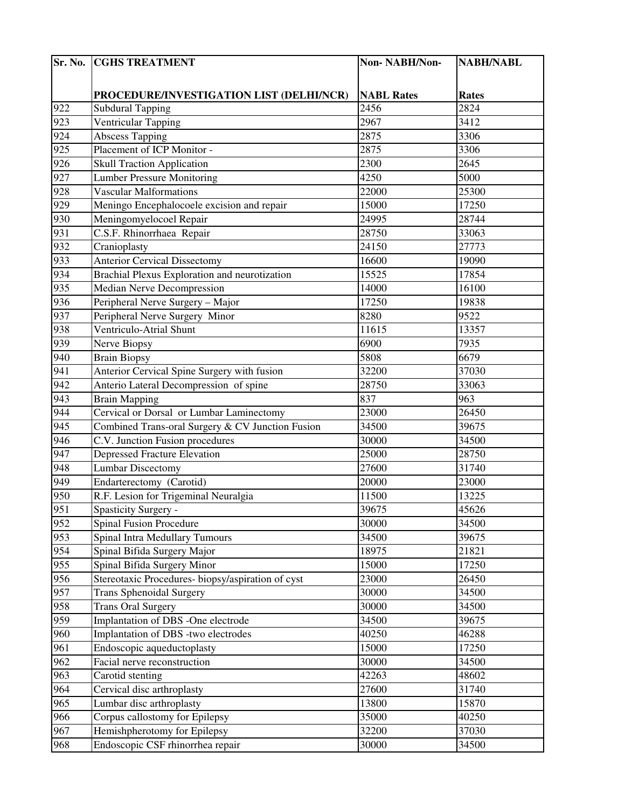| Sr. No. | <b>CGHS TREATMENT</b>                            | Non-NABH/Non-     | <b>NABH/NABL</b> |
|---------|--------------------------------------------------|-------------------|------------------|
|         |                                                  |                   |                  |
|         | PROCEDURE/INVESTIGATION LIST (DELHI/NCR)         | <b>NABL Rates</b> | <b>Rates</b>     |
| 922     | <b>Subdural Tapping</b>                          | 2456              | 2824             |
| 923     | Ventricular Tapping                              | 2967              | 3412             |
| 924     | Abscess Tapping                                  | 2875              | 3306             |
| 925     | Placement of ICP Monitor -                       | 2875              | 3306             |
| 926     | <b>Skull Traction Application</b>                | 2300              | 2645             |
| 927     | <b>Lumber Pressure Monitoring</b>                | 4250              | 5000             |
| 928     | <b>Vascular Malformations</b>                    | 22000             | 25300            |
| 929     | Meningo Encephalocoele excision and repair       | 15000             | 17250            |
| 930     | Meningomyelocoel Repair                          | 24995             | 28744            |
| 931     | C.S.F. Rhinorrhaea Repair                        | 28750             | 33063            |
| 932     | Cranioplasty                                     | 24150             | 27773            |
| 933     | <b>Anterior Cervical Dissectomy</b>              | 16600             | 19090            |
| 934     | Brachial Plexus Exploration and neurotization    | 15525             | 17854            |
| 935     | <b>Median Nerve Decompression</b>                | 14000             | 16100            |
| 936     | Peripheral Nerve Surgery - Major                 | 17250             | 19838            |
| 937     | Peripheral Nerve Surgery Minor                   | 8280              | 9522             |
| 938     | Ventriculo-Atrial Shunt                          | 11615             | 13357            |
| 939     | Nerve Biopsy                                     | 6900              | 7935             |
| 940     | <b>Brain Biopsy</b>                              | 5808              | 6679             |
| 941     | Anterior Cervical Spine Surgery with fusion      | 32200             | 37030            |
| 942     | Anterio Lateral Decompression of spine           | 28750             | 33063            |
| 943     | <b>Brain Mapping</b>                             | 837               | 963              |
| 944     | Cervical or Dorsal or Lumbar Laminectomy         | 23000             | 26450            |
| 945     | Combined Trans-oral Surgery & CV Junction Fusion | 34500             | 39675            |
| 946     | C.V. Junction Fusion procedures                  | 30000             | 34500            |
| 947     | <b>Depressed Fracture Elevation</b>              | 25000             | 28750            |
| 948     | <b>Lumbar Discectomy</b>                         | 27600             | 31740            |
| 949     | Endarterectomy (Carotid)                         | 20000             | 23000            |
| 950     | R.F. Lesion for Trigeminal Neuralgia             | 11500             | 13225            |
| 951     | Spasticity Surgery -                             | 39675             | 45626            |
| 952     | <b>Spinal Fusion Procedure</b>                   | 30000             | 34500            |
| 953     | <b>Spinal Intra Medullary Tumours</b>            | 34500             | 39675            |
| 954     | Spinal Bifida Surgery Major                      | 18975             | 21821            |
| 955     | Spinal Bifida Surgery Minor                      | 15000             | 17250            |
| 956     | Stereotaxic Procedures-biopsy/aspiration of cyst | 23000             | 26450            |
| 957     | <b>Trans Sphenoidal Surgery</b>                  | 30000             | 34500            |
| 958     | <b>Trans Oral Surgery</b>                        | 30000             | 34500            |
| 959     | Implantation of DBS -One electrode               | 34500             | 39675            |
| 960     | Implantation of DBS -two electrodes              | 40250             | 46288            |
| 961     | Endoscopic aqueductoplasty                       | 15000             | 17250            |
| 962     | Facial nerve reconstruction                      | 30000             | 34500            |
| 963     | Carotid stenting                                 | 42263             | 48602            |
| 964     | Cervical disc arthroplasty                       | 27600             | 31740            |
| 965     | Lumbar disc arthroplasty                         | 13800             | 15870            |
| 966     | Corpus callostomy for Epilepsy                   | 35000             | 40250            |
| 967     | Hemishpherotomy for Epilepsy                     | 32200             | 37030            |
| 968     | Endoscopic CSF rhinorrhea repair                 | 30000             | 34500            |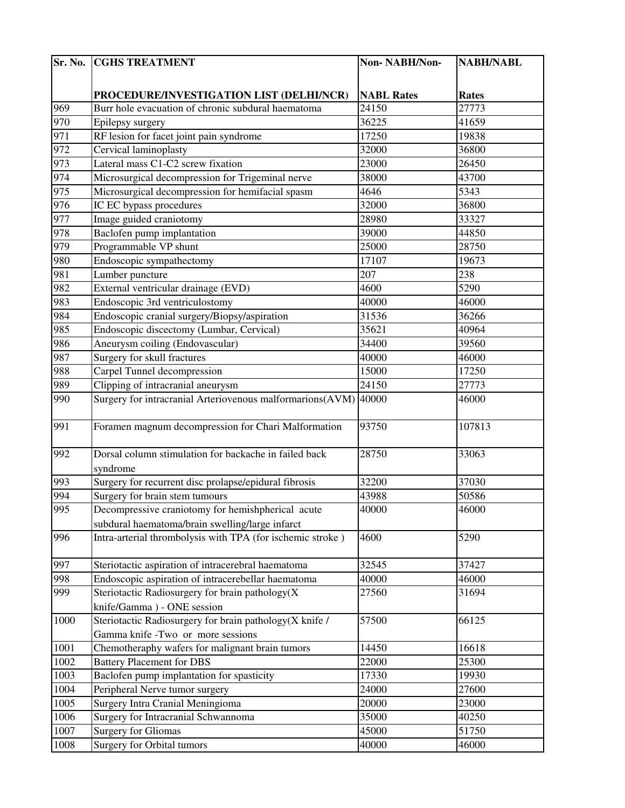| Sr. No.          | <b>CGHS TREATMENT</b>                                      | Non-NABH/Non-     | <b>NABH/NABL</b> |
|------------------|------------------------------------------------------------|-------------------|------------------|
|                  |                                                            |                   |                  |
|                  | PROCEDURE/INVESTIGATION LIST (DELHI/NCR)                   | <b>NABL Rates</b> | <b>Rates</b>     |
| 969              | Burr hole evacuation of chronic subdural haematoma         | 24150             | 27773            |
| 970              | Epilepsy surgery                                           | 36225             | 41659            |
| 971              | RF lesion for facet joint pain syndrome                    | 17250             | 19838            |
| 972              | Cervical laminoplasty                                      | 32000             | 36800            |
| 973              | Lateral mass C1-C2 screw fixation                          | 23000             | 26450            |
| 974              | Microsurgical decompression for Trigeminal nerve           | 38000             | 43700            |
| 975              | Microsurgical decompression for hemifacial spasm           | 4646              | 5343             |
| 976              | IC EC bypass procedures                                    | 32000             | 36800            |
| 977              | Image guided craniotomy                                    | 28980             | 33327            |
| 978              | Baclofen pump implantation                                 | 39000             | 44850            |
| 979              | Programmable VP shunt                                      | 25000             | 28750            |
| 980              | Endoscopic sympathectomy                                   | 17107             | 19673            |
| 981              | Lumber puncture                                            | 207               | 238              |
| 982              | External ventricular drainage (EVD)                        | 4600              | 5290             |
| 983              | Endoscopic 3rd ventriculostomy                             | 40000             | 46000            |
| 984              | Endoscopic cranial surgery/Biopsy/aspiration               | 31536             | 36266            |
| $\overline{985}$ | Endoscopic discectomy (Lumbar, Cervical)                   | 35621             | 40964            |
| 986              | Aneurysm coiling (Endovascular)                            | 34400             | 39560            |
| 987              | Surgery for skull fractures                                | 40000             | 46000            |
| 988              | Carpel Tunnel decompression                                | 15000             | 17250            |
| 989              | Clipping of intracranial aneurysm                          | 24150             | 27773            |
| 990              | Surgery for intracranial Arteriovenous malformarions(AVM)  | 40000             | 46000            |
| 991              | Foramen magnum decompression for Chari Malformation        | 93750             | 107813           |
| 992              | Dorsal column stimulation for backache in failed back      | 28750             | 33063            |
|                  | syndrome                                                   |                   |                  |
| 993              | Surgery for recurrent disc prolapse/epidural fibrosis      | 32200             | 37030            |
| 994              | Surgery for brain stem tumours                             | 43988             | 50586            |
| 995              | Decompressive craniotomy for hemishpherical acute          | 40000             | 46000            |
|                  | subdural haematoma/brain swelling/large infarct            |                   |                  |
| 996              | Intra-arterial thrombolysis with TPA (for ischemic stroke) | 4600              | 5290             |
| 997              | Steriotactic aspiration of intracerebral haematoma         | 32545             | 37427            |
| 998              | Endoscopic aspiration of intracerebellar haematoma         | 40000             | 46000            |
| 999              | Steriotactic Radiosurgery for brain pathology(X            | 27560             | 31694            |
|                  | knife/Gamma) - ONE session                                 |                   |                  |
| 1000             | Steriotactic Radiosurgery for brain pathology(X knife /    | 57500             | 66125            |
|                  | Gamma knife -Two or more sessions                          |                   |                  |
| 1001             | Chemotheraphy wafers for malignant brain tumors            | 14450             | 16618            |
| 1002             | <b>Battery Placement for DBS</b>                           | 22000             | 25300            |
| 1003             | Baclofen pump implantation for spasticity                  | 17330             | 19930            |
| 1004             | Peripheral Nerve tumor surgery                             | 24000             | 27600            |
| 1005             | Surgery Intra Cranial Meningioma                           | 20000             | 23000            |
| 1006             | Surgery for Intracranial Schwannoma                        | 35000             | 40250            |
| 1007             | <b>Surgery for Gliomas</b>                                 | 45000             | 51750            |
| 1008             | Surgery for Orbital tumors                                 | 40000             | 46000            |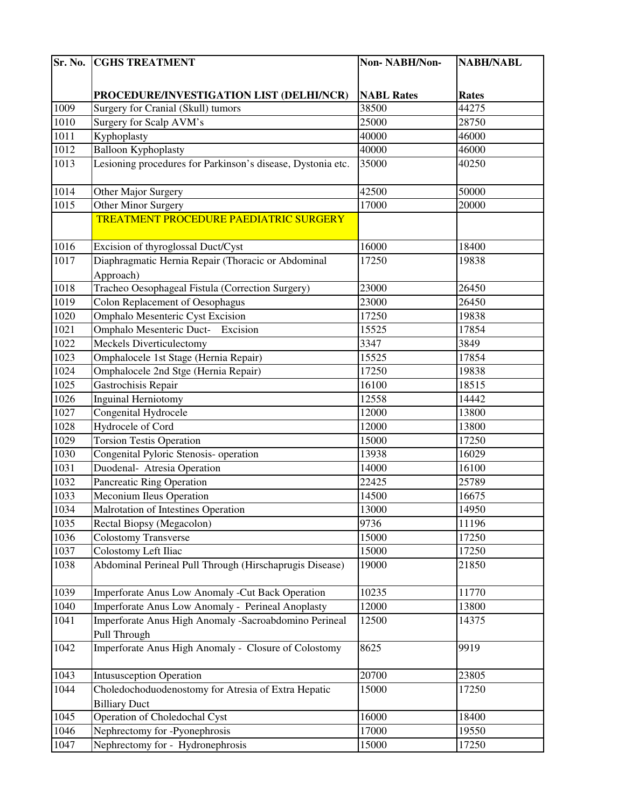| Sr. No. | <b>CGHS TREATMENT</b>                                       | Non-NABH/Non-     | <b>NABH/NABL</b> |
|---------|-------------------------------------------------------------|-------------------|------------------|
|         |                                                             |                   |                  |
|         | PROCEDURE/INVESTIGATION LIST (DELHI/NCR)                    | <b>NABL Rates</b> | <b>Rates</b>     |
| 1009    | Surgery for Cranial (Skull) tumors                          | 38500             | 44275            |
| 1010    | Surgery for Scalp AVM's                                     | 25000             | 28750            |
| 1011    | Kyphoplasty                                                 | 40000             | 46000            |
| 1012    | <b>Balloon Kyphoplasty</b>                                  | 40000             | 46000            |
| 1013    | Lesioning procedures for Parkinson's disease, Dystonia etc. | 35000             | 40250            |
|         |                                                             |                   |                  |
| 1014    | Other Major Surgery                                         | 42500             | 50000            |
| 1015    | Other Minor Surgery                                         | 17000             | 20000            |
|         | TREATMENT PROCEDURE PAEDIATRIC SURGERY                      |                   |                  |
|         |                                                             |                   |                  |
| 1016    | Excision of thyroglossal Duct/Cyst                          | 16000             | 18400            |
| 1017    | Diaphragmatic Hernia Repair (Thoracic or Abdominal          | 17250             | 19838            |
|         | Approach)                                                   |                   |                  |
| 1018    | Tracheo Oesophageal Fistula (Correction Surgery)            | 23000             | 26450            |
| 1019    | <b>Colon Replacement of Oesophagus</b>                      | 23000             | 26450            |
| 1020    | <b>Omphalo Mesenteric Cyst Excision</b>                     | 17250             | 19838            |
| 1021    | Omphalo Mesenteric Duct- Excision                           | 15525             | 17854            |
| 1022    | Meckels Diverticulectomy                                    | 3347              | 3849             |
| 1023    | Omphalocele 1st Stage (Hernia Repair)                       | 15525             | 17854            |
| 1024    | Omphalocele 2nd Stge (Hernia Repair)                        | 17250             | 19838            |
| 1025    | Gastrochisis Repair                                         | 16100             | 18515            |
| 1026    | <b>Inguinal Herniotomy</b>                                  | 12558             | 14442            |
| 1027    | Congenital Hydrocele                                        | 12000             | 13800            |
| 1028    | Hydrocele of Cord                                           | 12000             | 13800            |
| 1029    | <b>Torsion Testis Operation</b>                             | 15000             | 17250            |
| 1030    | Congenital Pyloric Stenosis- operation                      | 13938             | 16029            |
| 1031    | Duodenal- Atresia Operation                                 | 14000             | 16100            |
| 1032    | Pancreatic Ring Operation                                   | 22425             | 25789            |
| 1033    | <b>Meconium Ileus Operation</b>                             | 14500             | 16675            |
| 1034    | Malrotation of Intestines Operation                         | 13000             | 14950            |
| 1035    | Rectal Biopsy (Megacolon)                                   | 9736              | 11196            |
| 1036    | <b>Colostomy Transverse</b>                                 | 15000             | 17250            |
| 1037    | Colostomy Left Iliac                                        | 15000             | 17250            |
| 1038    | Abdominal Perineal Pull Through (Hirschaprugis Disease)     | 19000             | 21850            |
| 1039    | Imperforate Anus Low Anomaly -Cut Back Operation            | 10235             | 11770            |
| 1040    | Imperforate Anus Low Anomaly - Perineal Anoplasty           | 12000             | 13800            |
| 1041    | Imperforate Anus High Anomaly -Sacroabdomino Perineal       | 12500             | 14375            |
|         | Pull Through                                                |                   |                  |
| 1042    | Imperforate Anus High Anomaly - Closure of Colostomy        | 8625              | 9919             |
| 1043    | <b>Intususception Operation</b>                             | 20700             | 23805            |
| 1044    | Choledochoduodenostomy for Atresia of Extra Hepatic         | 15000             | 17250            |
|         | <b>Billiary Duct</b>                                        |                   |                  |
| 1045    | Operation of Choledochal Cyst                               | 16000             | 18400            |
| 1046    | Nephrectomy for -Pyonephrosis                               | 17000             | 19550            |
| 1047    | Nephrectomy for - Hydronephrosis                            | 15000             | 17250            |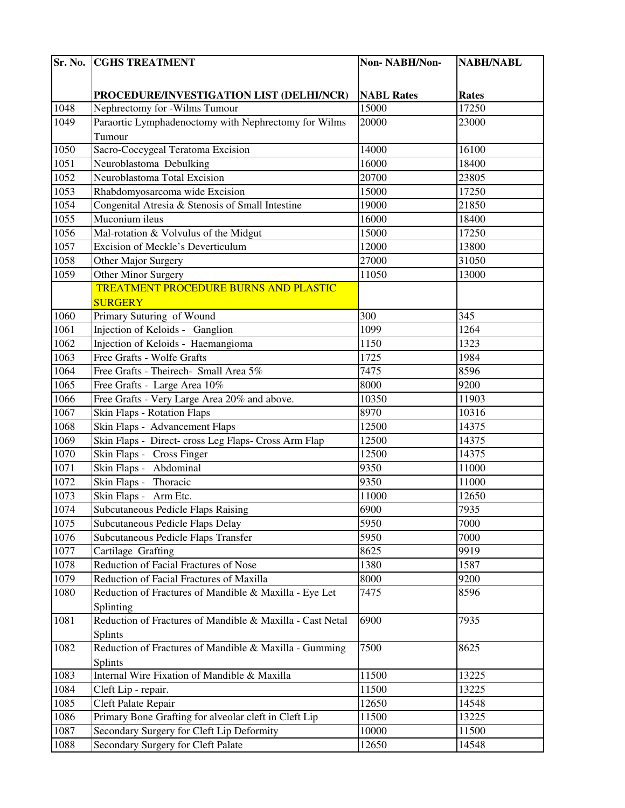| PROCEDURE/INVESTIGATION LIST (DELHI/NCR)<br><b>NABL Rates</b><br><b>Rates</b><br>17250<br>1048<br>Nephrectomy for -Wilms Tumour<br>15000<br>Paraortic Lymphadenoctomy with Nephrectomy for Wilms<br>1049<br>20000<br>23000<br>Tumour<br>1050<br>Sacro-Coccygeal Teratoma Excision<br>14000<br>16100<br>1051<br>Neuroblastoma Debulking<br>16000<br>18400<br>Neuroblastoma Total Excision<br>1052<br>20700<br>23805<br>1053<br>15000<br>17250<br>Rhabdomyosarcoma wide Excision<br>1054<br>Congenital Atresia & Stenosis of Small Intestine<br>21850<br>19000<br>Muconium ileus<br>1055<br>16000<br>18400<br>1056<br>Mal-rotation & Volvulus of the Midgut<br>15000<br>17250<br>1057<br>Excision of Meckle's Deverticulum<br>12000<br>13800<br>1058<br>Other Major Surgery<br>27000<br>31050<br>Other Minor Surgery<br>1059<br>11050<br>13000<br><b>TREATMENT PROCEDURE BURNS AND PLASTIC</b><br><b>SURGERY</b><br>1060<br>300<br>Primary Suturing of Wound<br>345<br>Injection of Keloids - Ganglion<br>1264<br>1061<br>1099<br>1062<br>Injection of Keloids - Haemangioma<br>1323<br>1150<br>1063<br>Free Grafts - Wolfe Grafts<br>1725<br>1984<br>7475<br>8596<br>1064<br>Free Grafts - Theirech- Small Area 5%<br>8000<br>1065<br>9200<br>Free Grafts - Large Area 10%<br>Free Grafts - Very Large Area 20% and above.<br>1066<br>10350<br>11903<br>8970<br>1067<br>10316<br>Skin Flaps - Rotation Flaps<br>Skin Flaps - Advancement Flaps<br>1068<br>12500<br>14375<br>Skin Flaps - Direct- cross Leg Flaps- Cross Arm Flap<br>1069<br>12500<br>14375<br>1070<br>Skin Flaps - Cross Finger<br>12500<br>14375<br>1071<br>Skin Flaps - Abdominal<br>9350<br>11000<br>Skin Flaps - Thoracic<br>9350<br>1072<br>11000<br>1073<br>Skin Flaps - Arm Etc.<br>11000<br>12650<br>1074<br>Subcutaneous Pedicle Flaps Raising<br>6900<br>7935<br>7000<br>1075<br>Subcutaneous Pedicle Flaps Delay<br>5950<br>5950<br>7000<br>1076<br>Subcutaneous Pedicle Flaps Transfer<br>1077<br>Cartilage Grafting<br>8625<br>9919<br>Reduction of Facial Fractures of Nose<br>1078<br>1380<br>1587<br>1079<br>Reduction of Facial Fractures of Maxilla<br>8000<br>9200<br>1080<br>Reduction of Fractures of Mandible & Maxilla - Eye Let<br>7475<br>8596<br>Splinting<br>Reduction of Fractures of Mandible & Maxilla - Cast Netal<br>1081<br>6900<br>7935<br>Splints<br>7500<br>1082<br>Reduction of Fractures of Mandible & Maxilla - Gumming<br>8625<br>Splints<br>1083<br>Internal Wire Fixation of Mandible & Maxilla<br>11500<br>13225<br>1084<br>Cleft Lip - repair.<br>13225<br>11500<br>1085<br>Cleft Palate Repair<br>12650<br>14548<br>Primary Bone Grafting for alveolar cleft in Cleft Lip<br>1086<br>11500<br>13225<br>1087<br>Secondary Surgery for Cleft Lip Deformity<br>10000<br>11500<br>Secondary Surgery for Cleft Palate<br>1088<br>12650<br>14548 | Sr. No. | <b>CGHS TREATMENT</b> | Non-NABH/Non- | <b>NABH/NABL</b> |
|--------------------------------------------------------------------------------------------------------------------------------------------------------------------------------------------------------------------------------------------------------------------------------------------------------------------------------------------------------------------------------------------------------------------------------------------------------------------------------------------------------------------------------------------------------------------------------------------------------------------------------------------------------------------------------------------------------------------------------------------------------------------------------------------------------------------------------------------------------------------------------------------------------------------------------------------------------------------------------------------------------------------------------------------------------------------------------------------------------------------------------------------------------------------------------------------------------------------------------------------------------------------------------------------------------------------------------------------------------------------------------------------------------------------------------------------------------------------------------------------------------------------------------------------------------------------------------------------------------------------------------------------------------------------------------------------------------------------------------------------------------------------------------------------------------------------------------------------------------------------------------------------------------------------------------------------------------------------------------------------------------------------------------------------------------------------------------------------------------------------------------------------------------------------------------------------------------------------------------------------------------------------------------------------------------------------------------------------------------------------------------------------------------------------------------------------------------------------------------------------------------------------------------------------------------------------------------------------------------------------------------------------------------------------------------------------------------------------------------------------------------------------------------------------------------------------------------------------------------|---------|-----------------------|---------------|------------------|
|                                                                                                                                                                                                                                                                                                                                                                                                                                                                                                                                                                                                                                                                                                                                                                                                                                                                                                                                                                                                                                                                                                                                                                                                                                                                                                                                                                                                                                                                                                                                                                                                                                                                                                                                                                                                                                                                                                                                                                                                                                                                                                                                                                                                                                                                                                                                                                                                                                                                                                                                                                                                                                                                                                                                                                                                                                                        |         |                       |               |                  |
|                                                                                                                                                                                                                                                                                                                                                                                                                                                                                                                                                                                                                                                                                                                                                                                                                                                                                                                                                                                                                                                                                                                                                                                                                                                                                                                                                                                                                                                                                                                                                                                                                                                                                                                                                                                                                                                                                                                                                                                                                                                                                                                                                                                                                                                                                                                                                                                                                                                                                                                                                                                                                                                                                                                                                                                                                                                        |         |                       |               |                  |
|                                                                                                                                                                                                                                                                                                                                                                                                                                                                                                                                                                                                                                                                                                                                                                                                                                                                                                                                                                                                                                                                                                                                                                                                                                                                                                                                                                                                                                                                                                                                                                                                                                                                                                                                                                                                                                                                                                                                                                                                                                                                                                                                                                                                                                                                                                                                                                                                                                                                                                                                                                                                                                                                                                                                                                                                                                                        |         |                       |               |                  |
|                                                                                                                                                                                                                                                                                                                                                                                                                                                                                                                                                                                                                                                                                                                                                                                                                                                                                                                                                                                                                                                                                                                                                                                                                                                                                                                                                                                                                                                                                                                                                                                                                                                                                                                                                                                                                                                                                                                                                                                                                                                                                                                                                                                                                                                                                                                                                                                                                                                                                                                                                                                                                                                                                                                                                                                                                                                        |         |                       |               |                  |
|                                                                                                                                                                                                                                                                                                                                                                                                                                                                                                                                                                                                                                                                                                                                                                                                                                                                                                                                                                                                                                                                                                                                                                                                                                                                                                                                                                                                                                                                                                                                                                                                                                                                                                                                                                                                                                                                                                                                                                                                                                                                                                                                                                                                                                                                                                                                                                                                                                                                                                                                                                                                                                                                                                                                                                                                                                                        |         |                       |               |                  |
|                                                                                                                                                                                                                                                                                                                                                                                                                                                                                                                                                                                                                                                                                                                                                                                                                                                                                                                                                                                                                                                                                                                                                                                                                                                                                                                                                                                                                                                                                                                                                                                                                                                                                                                                                                                                                                                                                                                                                                                                                                                                                                                                                                                                                                                                                                                                                                                                                                                                                                                                                                                                                                                                                                                                                                                                                                                        |         |                       |               |                  |
|                                                                                                                                                                                                                                                                                                                                                                                                                                                                                                                                                                                                                                                                                                                                                                                                                                                                                                                                                                                                                                                                                                                                                                                                                                                                                                                                                                                                                                                                                                                                                                                                                                                                                                                                                                                                                                                                                                                                                                                                                                                                                                                                                                                                                                                                                                                                                                                                                                                                                                                                                                                                                                                                                                                                                                                                                                                        |         |                       |               |                  |
|                                                                                                                                                                                                                                                                                                                                                                                                                                                                                                                                                                                                                                                                                                                                                                                                                                                                                                                                                                                                                                                                                                                                                                                                                                                                                                                                                                                                                                                                                                                                                                                                                                                                                                                                                                                                                                                                                                                                                                                                                                                                                                                                                                                                                                                                                                                                                                                                                                                                                                                                                                                                                                                                                                                                                                                                                                                        |         |                       |               |                  |
|                                                                                                                                                                                                                                                                                                                                                                                                                                                                                                                                                                                                                                                                                                                                                                                                                                                                                                                                                                                                                                                                                                                                                                                                                                                                                                                                                                                                                                                                                                                                                                                                                                                                                                                                                                                                                                                                                                                                                                                                                                                                                                                                                                                                                                                                                                                                                                                                                                                                                                                                                                                                                                                                                                                                                                                                                                                        |         |                       |               |                  |
|                                                                                                                                                                                                                                                                                                                                                                                                                                                                                                                                                                                                                                                                                                                                                                                                                                                                                                                                                                                                                                                                                                                                                                                                                                                                                                                                                                                                                                                                                                                                                                                                                                                                                                                                                                                                                                                                                                                                                                                                                                                                                                                                                                                                                                                                                                                                                                                                                                                                                                                                                                                                                                                                                                                                                                                                                                                        |         |                       |               |                  |
|                                                                                                                                                                                                                                                                                                                                                                                                                                                                                                                                                                                                                                                                                                                                                                                                                                                                                                                                                                                                                                                                                                                                                                                                                                                                                                                                                                                                                                                                                                                                                                                                                                                                                                                                                                                                                                                                                                                                                                                                                                                                                                                                                                                                                                                                                                                                                                                                                                                                                                                                                                                                                                                                                                                                                                                                                                                        |         |                       |               |                  |
|                                                                                                                                                                                                                                                                                                                                                                                                                                                                                                                                                                                                                                                                                                                                                                                                                                                                                                                                                                                                                                                                                                                                                                                                                                                                                                                                                                                                                                                                                                                                                                                                                                                                                                                                                                                                                                                                                                                                                                                                                                                                                                                                                                                                                                                                                                                                                                                                                                                                                                                                                                                                                                                                                                                                                                                                                                                        |         |                       |               |                  |
|                                                                                                                                                                                                                                                                                                                                                                                                                                                                                                                                                                                                                                                                                                                                                                                                                                                                                                                                                                                                                                                                                                                                                                                                                                                                                                                                                                                                                                                                                                                                                                                                                                                                                                                                                                                                                                                                                                                                                                                                                                                                                                                                                                                                                                                                                                                                                                                                                                                                                                                                                                                                                                                                                                                                                                                                                                                        |         |                       |               |                  |
|                                                                                                                                                                                                                                                                                                                                                                                                                                                                                                                                                                                                                                                                                                                                                                                                                                                                                                                                                                                                                                                                                                                                                                                                                                                                                                                                                                                                                                                                                                                                                                                                                                                                                                                                                                                                                                                                                                                                                                                                                                                                                                                                                                                                                                                                                                                                                                                                                                                                                                                                                                                                                                                                                                                                                                                                                                                        |         |                       |               |                  |
|                                                                                                                                                                                                                                                                                                                                                                                                                                                                                                                                                                                                                                                                                                                                                                                                                                                                                                                                                                                                                                                                                                                                                                                                                                                                                                                                                                                                                                                                                                                                                                                                                                                                                                                                                                                                                                                                                                                                                                                                                                                                                                                                                                                                                                                                                                                                                                                                                                                                                                                                                                                                                                                                                                                                                                                                                                                        |         |                       |               |                  |
|                                                                                                                                                                                                                                                                                                                                                                                                                                                                                                                                                                                                                                                                                                                                                                                                                                                                                                                                                                                                                                                                                                                                                                                                                                                                                                                                                                                                                                                                                                                                                                                                                                                                                                                                                                                                                                                                                                                                                                                                                                                                                                                                                                                                                                                                                                                                                                                                                                                                                                                                                                                                                                                                                                                                                                                                                                                        |         |                       |               |                  |
|                                                                                                                                                                                                                                                                                                                                                                                                                                                                                                                                                                                                                                                                                                                                                                                                                                                                                                                                                                                                                                                                                                                                                                                                                                                                                                                                                                                                                                                                                                                                                                                                                                                                                                                                                                                                                                                                                                                                                                                                                                                                                                                                                                                                                                                                                                                                                                                                                                                                                                                                                                                                                                                                                                                                                                                                                                                        |         |                       |               |                  |
|                                                                                                                                                                                                                                                                                                                                                                                                                                                                                                                                                                                                                                                                                                                                                                                                                                                                                                                                                                                                                                                                                                                                                                                                                                                                                                                                                                                                                                                                                                                                                                                                                                                                                                                                                                                                                                                                                                                                                                                                                                                                                                                                                                                                                                                                                                                                                                                                                                                                                                                                                                                                                                                                                                                                                                                                                                                        |         |                       |               |                  |
|                                                                                                                                                                                                                                                                                                                                                                                                                                                                                                                                                                                                                                                                                                                                                                                                                                                                                                                                                                                                                                                                                                                                                                                                                                                                                                                                                                                                                                                                                                                                                                                                                                                                                                                                                                                                                                                                                                                                                                                                                                                                                                                                                                                                                                                                                                                                                                                                                                                                                                                                                                                                                                                                                                                                                                                                                                                        |         |                       |               |                  |
|                                                                                                                                                                                                                                                                                                                                                                                                                                                                                                                                                                                                                                                                                                                                                                                                                                                                                                                                                                                                                                                                                                                                                                                                                                                                                                                                                                                                                                                                                                                                                                                                                                                                                                                                                                                                                                                                                                                                                                                                                                                                                                                                                                                                                                                                                                                                                                                                                                                                                                                                                                                                                                                                                                                                                                                                                                                        |         |                       |               |                  |
|                                                                                                                                                                                                                                                                                                                                                                                                                                                                                                                                                                                                                                                                                                                                                                                                                                                                                                                                                                                                                                                                                                                                                                                                                                                                                                                                                                                                                                                                                                                                                                                                                                                                                                                                                                                                                                                                                                                                                                                                                                                                                                                                                                                                                                                                                                                                                                                                                                                                                                                                                                                                                                                                                                                                                                                                                                                        |         |                       |               |                  |
|                                                                                                                                                                                                                                                                                                                                                                                                                                                                                                                                                                                                                                                                                                                                                                                                                                                                                                                                                                                                                                                                                                                                                                                                                                                                                                                                                                                                                                                                                                                                                                                                                                                                                                                                                                                                                                                                                                                                                                                                                                                                                                                                                                                                                                                                                                                                                                                                                                                                                                                                                                                                                                                                                                                                                                                                                                                        |         |                       |               |                  |
|                                                                                                                                                                                                                                                                                                                                                                                                                                                                                                                                                                                                                                                                                                                                                                                                                                                                                                                                                                                                                                                                                                                                                                                                                                                                                                                                                                                                                                                                                                                                                                                                                                                                                                                                                                                                                                                                                                                                                                                                                                                                                                                                                                                                                                                                                                                                                                                                                                                                                                                                                                                                                                                                                                                                                                                                                                                        |         |                       |               |                  |
|                                                                                                                                                                                                                                                                                                                                                                                                                                                                                                                                                                                                                                                                                                                                                                                                                                                                                                                                                                                                                                                                                                                                                                                                                                                                                                                                                                                                                                                                                                                                                                                                                                                                                                                                                                                                                                                                                                                                                                                                                                                                                                                                                                                                                                                                                                                                                                                                                                                                                                                                                                                                                                                                                                                                                                                                                                                        |         |                       |               |                  |
|                                                                                                                                                                                                                                                                                                                                                                                                                                                                                                                                                                                                                                                                                                                                                                                                                                                                                                                                                                                                                                                                                                                                                                                                                                                                                                                                                                                                                                                                                                                                                                                                                                                                                                                                                                                                                                                                                                                                                                                                                                                                                                                                                                                                                                                                                                                                                                                                                                                                                                                                                                                                                                                                                                                                                                                                                                                        |         |                       |               |                  |
|                                                                                                                                                                                                                                                                                                                                                                                                                                                                                                                                                                                                                                                                                                                                                                                                                                                                                                                                                                                                                                                                                                                                                                                                                                                                                                                                                                                                                                                                                                                                                                                                                                                                                                                                                                                                                                                                                                                                                                                                                                                                                                                                                                                                                                                                                                                                                                                                                                                                                                                                                                                                                                                                                                                                                                                                                                                        |         |                       |               |                  |
|                                                                                                                                                                                                                                                                                                                                                                                                                                                                                                                                                                                                                                                                                                                                                                                                                                                                                                                                                                                                                                                                                                                                                                                                                                                                                                                                                                                                                                                                                                                                                                                                                                                                                                                                                                                                                                                                                                                                                                                                                                                                                                                                                                                                                                                                                                                                                                                                                                                                                                                                                                                                                                                                                                                                                                                                                                                        |         |                       |               |                  |
|                                                                                                                                                                                                                                                                                                                                                                                                                                                                                                                                                                                                                                                                                                                                                                                                                                                                                                                                                                                                                                                                                                                                                                                                                                                                                                                                                                                                                                                                                                                                                                                                                                                                                                                                                                                                                                                                                                                                                                                                                                                                                                                                                                                                                                                                                                                                                                                                                                                                                                                                                                                                                                                                                                                                                                                                                                                        |         |                       |               |                  |
|                                                                                                                                                                                                                                                                                                                                                                                                                                                                                                                                                                                                                                                                                                                                                                                                                                                                                                                                                                                                                                                                                                                                                                                                                                                                                                                                                                                                                                                                                                                                                                                                                                                                                                                                                                                                                                                                                                                                                                                                                                                                                                                                                                                                                                                                                                                                                                                                                                                                                                                                                                                                                                                                                                                                                                                                                                                        |         |                       |               |                  |
|                                                                                                                                                                                                                                                                                                                                                                                                                                                                                                                                                                                                                                                                                                                                                                                                                                                                                                                                                                                                                                                                                                                                                                                                                                                                                                                                                                                                                                                                                                                                                                                                                                                                                                                                                                                                                                                                                                                                                                                                                                                                                                                                                                                                                                                                                                                                                                                                                                                                                                                                                                                                                                                                                                                                                                                                                                                        |         |                       |               |                  |
|                                                                                                                                                                                                                                                                                                                                                                                                                                                                                                                                                                                                                                                                                                                                                                                                                                                                                                                                                                                                                                                                                                                                                                                                                                                                                                                                                                                                                                                                                                                                                                                                                                                                                                                                                                                                                                                                                                                                                                                                                                                                                                                                                                                                                                                                                                                                                                                                                                                                                                                                                                                                                                                                                                                                                                                                                                                        |         |                       |               |                  |
|                                                                                                                                                                                                                                                                                                                                                                                                                                                                                                                                                                                                                                                                                                                                                                                                                                                                                                                                                                                                                                                                                                                                                                                                                                                                                                                                                                                                                                                                                                                                                                                                                                                                                                                                                                                                                                                                                                                                                                                                                                                                                                                                                                                                                                                                                                                                                                                                                                                                                                                                                                                                                                                                                                                                                                                                                                                        |         |                       |               |                  |
|                                                                                                                                                                                                                                                                                                                                                                                                                                                                                                                                                                                                                                                                                                                                                                                                                                                                                                                                                                                                                                                                                                                                                                                                                                                                                                                                                                                                                                                                                                                                                                                                                                                                                                                                                                                                                                                                                                                                                                                                                                                                                                                                                                                                                                                                                                                                                                                                                                                                                                                                                                                                                                                                                                                                                                                                                                                        |         |                       |               |                  |
|                                                                                                                                                                                                                                                                                                                                                                                                                                                                                                                                                                                                                                                                                                                                                                                                                                                                                                                                                                                                                                                                                                                                                                                                                                                                                                                                                                                                                                                                                                                                                                                                                                                                                                                                                                                                                                                                                                                                                                                                                                                                                                                                                                                                                                                                                                                                                                                                                                                                                                                                                                                                                                                                                                                                                                                                                                                        |         |                       |               |                  |
|                                                                                                                                                                                                                                                                                                                                                                                                                                                                                                                                                                                                                                                                                                                                                                                                                                                                                                                                                                                                                                                                                                                                                                                                                                                                                                                                                                                                                                                                                                                                                                                                                                                                                                                                                                                                                                                                                                                                                                                                                                                                                                                                                                                                                                                                                                                                                                                                                                                                                                                                                                                                                                                                                                                                                                                                                                                        |         |                       |               |                  |
|                                                                                                                                                                                                                                                                                                                                                                                                                                                                                                                                                                                                                                                                                                                                                                                                                                                                                                                                                                                                                                                                                                                                                                                                                                                                                                                                                                                                                                                                                                                                                                                                                                                                                                                                                                                                                                                                                                                                                                                                                                                                                                                                                                                                                                                                                                                                                                                                                                                                                                                                                                                                                                                                                                                                                                                                                                                        |         |                       |               |                  |
|                                                                                                                                                                                                                                                                                                                                                                                                                                                                                                                                                                                                                                                                                                                                                                                                                                                                                                                                                                                                                                                                                                                                                                                                                                                                                                                                                                                                                                                                                                                                                                                                                                                                                                                                                                                                                                                                                                                                                                                                                                                                                                                                                                                                                                                                                                                                                                                                                                                                                                                                                                                                                                                                                                                                                                                                                                                        |         |                       |               |                  |
|                                                                                                                                                                                                                                                                                                                                                                                                                                                                                                                                                                                                                                                                                                                                                                                                                                                                                                                                                                                                                                                                                                                                                                                                                                                                                                                                                                                                                                                                                                                                                                                                                                                                                                                                                                                                                                                                                                                                                                                                                                                                                                                                                                                                                                                                                                                                                                                                                                                                                                                                                                                                                                                                                                                                                                                                                                                        |         |                       |               |                  |
|                                                                                                                                                                                                                                                                                                                                                                                                                                                                                                                                                                                                                                                                                                                                                                                                                                                                                                                                                                                                                                                                                                                                                                                                                                                                                                                                                                                                                                                                                                                                                                                                                                                                                                                                                                                                                                                                                                                                                                                                                                                                                                                                                                                                                                                                                                                                                                                                                                                                                                                                                                                                                                                                                                                                                                                                                                                        |         |                       |               |                  |
|                                                                                                                                                                                                                                                                                                                                                                                                                                                                                                                                                                                                                                                                                                                                                                                                                                                                                                                                                                                                                                                                                                                                                                                                                                                                                                                                                                                                                                                                                                                                                                                                                                                                                                                                                                                                                                                                                                                                                                                                                                                                                                                                                                                                                                                                                                                                                                                                                                                                                                                                                                                                                                                                                                                                                                                                                                                        |         |                       |               |                  |
|                                                                                                                                                                                                                                                                                                                                                                                                                                                                                                                                                                                                                                                                                                                                                                                                                                                                                                                                                                                                                                                                                                                                                                                                                                                                                                                                                                                                                                                                                                                                                                                                                                                                                                                                                                                                                                                                                                                                                                                                                                                                                                                                                                                                                                                                                                                                                                                                                                                                                                                                                                                                                                                                                                                                                                                                                                                        |         |                       |               |                  |
|                                                                                                                                                                                                                                                                                                                                                                                                                                                                                                                                                                                                                                                                                                                                                                                                                                                                                                                                                                                                                                                                                                                                                                                                                                                                                                                                                                                                                                                                                                                                                                                                                                                                                                                                                                                                                                                                                                                                                                                                                                                                                                                                                                                                                                                                                                                                                                                                                                                                                                                                                                                                                                                                                                                                                                                                                                                        |         |                       |               |                  |
|                                                                                                                                                                                                                                                                                                                                                                                                                                                                                                                                                                                                                                                                                                                                                                                                                                                                                                                                                                                                                                                                                                                                                                                                                                                                                                                                                                                                                                                                                                                                                                                                                                                                                                                                                                                                                                                                                                                                                                                                                                                                                                                                                                                                                                                                                                                                                                                                                                                                                                                                                                                                                                                                                                                                                                                                                                                        |         |                       |               |                  |
|                                                                                                                                                                                                                                                                                                                                                                                                                                                                                                                                                                                                                                                                                                                                                                                                                                                                                                                                                                                                                                                                                                                                                                                                                                                                                                                                                                                                                                                                                                                                                                                                                                                                                                                                                                                                                                                                                                                                                                                                                                                                                                                                                                                                                                                                                                                                                                                                                                                                                                                                                                                                                                                                                                                                                                                                                                                        |         |                       |               |                  |
|                                                                                                                                                                                                                                                                                                                                                                                                                                                                                                                                                                                                                                                                                                                                                                                                                                                                                                                                                                                                                                                                                                                                                                                                                                                                                                                                                                                                                                                                                                                                                                                                                                                                                                                                                                                                                                                                                                                                                                                                                                                                                                                                                                                                                                                                                                                                                                                                                                                                                                                                                                                                                                                                                                                                                                                                                                                        |         |                       |               |                  |
|                                                                                                                                                                                                                                                                                                                                                                                                                                                                                                                                                                                                                                                                                                                                                                                                                                                                                                                                                                                                                                                                                                                                                                                                                                                                                                                                                                                                                                                                                                                                                                                                                                                                                                                                                                                                                                                                                                                                                                                                                                                                                                                                                                                                                                                                                                                                                                                                                                                                                                                                                                                                                                                                                                                                                                                                                                                        |         |                       |               |                  |
|                                                                                                                                                                                                                                                                                                                                                                                                                                                                                                                                                                                                                                                                                                                                                                                                                                                                                                                                                                                                                                                                                                                                                                                                                                                                                                                                                                                                                                                                                                                                                                                                                                                                                                                                                                                                                                                                                                                                                                                                                                                                                                                                                                                                                                                                                                                                                                                                                                                                                                                                                                                                                                                                                                                                                                                                                                                        |         |                       |               |                  |
|                                                                                                                                                                                                                                                                                                                                                                                                                                                                                                                                                                                                                                                                                                                                                                                                                                                                                                                                                                                                                                                                                                                                                                                                                                                                                                                                                                                                                                                                                                                                                                                                                                                                                                                                                                                                                                                                                                                                                                                                                                                                                                                                                                                                                                                                                                                                                                                                                                                                                                                                                                                                                                                                                                                                                                                                                                                        |         |                       |               |                  |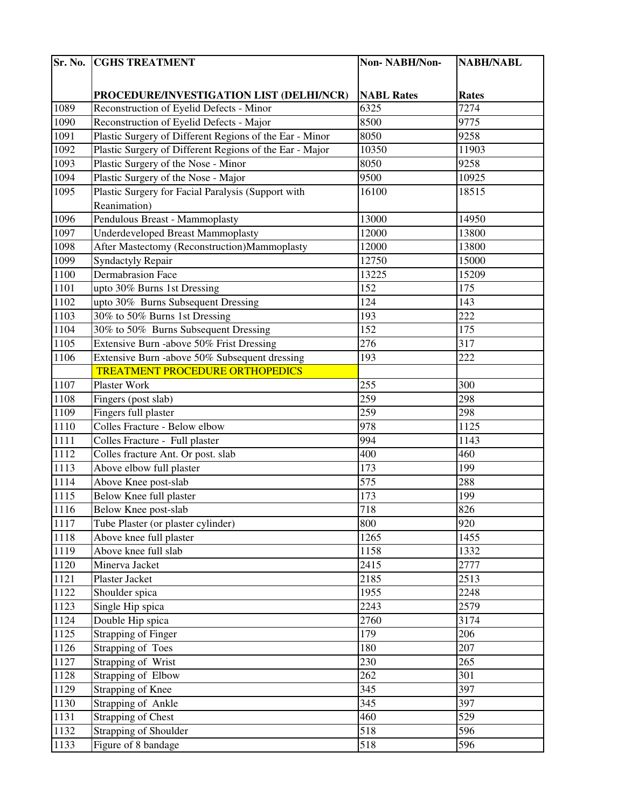| Sr. No. | <b>CGHS TREATMENT</b>                                   | Non-NABH/Non-     | <b>NABH/NABL</b>  |
|---------|---------------------------------------------------------|-------------------|-------------------|
|         |                                                         |                   |                   |
|         | PROCEDURE/INVESTIGATION LIST (DELHI/NCR)                | <b>NABL Rates</b> | <b>Rates</b>      |
| 1089    | Reconstruction of Eyelid Defects - Minor                | 6325              | $\overline{7}274$ |
| 1090    | Reconstruction of Eyelid Defects - Major                | 8500              | 9775              |
| 1091    | Plastic Surgery of Different Regions of the Ear - Minor | 8050              | 9258              |
| 1092    | Plastic Surgery of Different Regions of the Ear - Major | 10350             | 11903             |
| 1093    | Plastic Surgery of the Nose - Minor                     | 8050              | 9258              |
| 1094    | Plastic Surgery of the Nose - Major                     | 9500              | 10925             |
| 1095    | Plastic Surgery for Facial Paralysis (Support with      | 16100             | 18515             |
|         | Reanimation)                                            |                   |                   |
| 1096    | Pendulous Breast - Mammoplasty                          | 13000             | 14950             |
| 1097    | <b>Underdeveloped Breast Mammoplasty</b>                | 12000             | 13800             |
| 1098    | After Mastectomy (Reconstruction)Mammoplasty            | 12000             | 13800             |
| 1099    | <b>Syndactyly Repair</b>                                | 12750             | 15000             |
| 1100    | <b>Dermabrasion Face</b>                                | 13225             | 15209             |
| 1101    | upto 30% Burns 1st Dressing                             | 152               | 175               |
| 1102    | upto 30% Burns Subsequent Dressing                      | 124               | 143               |
| 1103    | 30% to 50% Burns 1st Dressing                           | 193               | 222               |
| 1104    | 30% to 50% Burns Subsequent Dressing                    | 152               | 175               |
| 1105    | Extensive Burn -above 50% Frist Dressing                | 276               | 317               |
| 1106    | Extensive Burn -above 50% Subsequent dressing           | 193               | 222               |
|         | <b>TREATMENT PROCEDURE ORTHOPEDICS</b>                  |                   |                   |
| 1107    | Plaster Work                                            | 255               | 300               |
| 1108    | Fingers (post slab)                                     | 259               | 298               |
| 1109    | Fingers full plaster                                    | 259               | 298               |
| 1110    | Colles Fracture - Below elbow                           | 978               | 1125              |
| 1111    | Colles Fracture - Full plaster                          | 994               | 1143              |
| 1112    | Colles fracture Ant. Or post. slab                      | 400               | 460               |
| 1113    | Above elbow full plaster                                | 173               | 199               |
| 1114    | Above Knee post-slab                                    | $\overline{575}$  | 288               |
| 1115    | Below Knee full plaster                                 | 173               | 199               |
| [1116]  | Below Knee post-slab                                    | 718               | 826               |
| 1117    | Tube Plaster (or plaster cylinder)                      | 800               | 920               |
| 1118    | Above knee full plaster                                 | 1265              | 1455              |
| 1119    | Above knee full slab                                    | 1158              | 1332              |
| 1120    | Minerva Jacket                                          | 2415              | 2777              |
| 1121    | Plaster Jacket                                          | 2185              | 2513              |
| 1122    | Shoulder spica                                          | 1955              | 2248              |
| 1123    | Single Hip spica                                        | 2243              | 2579              |
| 1124    | Double Hip spica                                        | 2760              | 3174              |
| 1125    | <b>Strapping of Finger</b>                              | 179               | 206               |
| 1126    | Strapping of Toes                                       | 180               | 207               |
| 1127    | Strapping of Wrist                                      | 230               | 265               |
| 1128    | Strapping of Elbow                                      | 262               | 301               |
| 1129    | Strapping of Knee                                       | 345               | 397               |
| 1130    | Strapping of Ankle                                      | 345               | 397               |
| 1131    | <b>Strapping of Chest</b>                               | 460               | 529               |
| 1132    | Strapping of Shoulder                                   | 518               | 596               |
| 1133    | Figure of 8 bandage                                     | 518               | 596               |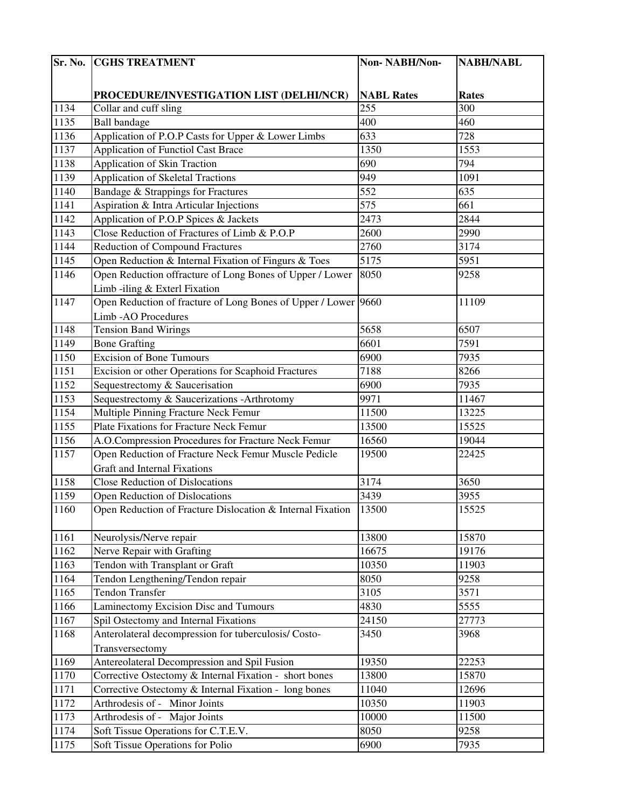| Sr. No. | <b>CGHS TREATMENT</b>                                          | Non-NABH/Non-     | <b>NABH/NABL</b> |
|---------|----------------------------------------------------------------|-------------------|------------------|
|         |                                                                |                   |                  |
|         | PROCEDURE/INVESTIGATION LIST (DELHI/NCR)                       | <b>NABL Rates</b> | <b>Rates</b>     |
| 1134    | Collar and cuff sling                                          | 255               | 300              |
| 1135    | <b>Ball</b> bandage                                            | 400               | 460              |
| 1136    | Application of P.O.P Casts for Upper & Lower Limbs             | 633               | 728              |
| 1137    | <b>Application of Functiol Cast Brace</b>                      | 1350              | 1553             |
| 1138    | <b>Application of Skin Traction</b>                            | 690               | 794              |
| 1139    | <b>Application of Skeletal Tractions</b>                       | 949               | 1091             |
| 1140    | Bandage & Strappings for Fractures                             | 552               | 635              |
| 1141    | Aspiration & Intra Articular Injections                        | 575               | 661              |
| 1142    | Application of P.O.P Spices & Jackets                          | 2473              | 2844             |
| 1143    | Close Reduction of Fractures of Limb & P.O.P                   | 2600              | 2990             |
| 1144    | <b>Reduction of Compound Fractures</b>                         | 2760              | 3174             |
| 1145    | Open Reduction & Internal Fixation of Fingurs & Toes           | 5175              | 5951             |
| 1146    | Open Reduction offracture of Long Bones of Upper / Lower       | 8050              | 9258             |
|         | Limb -iling & Exterl Fixation                                  |                   |                  |
| 1147    | Open Reduction of fracture of Long Bones of Upper / Lower 9660 |                   | 11109            |
|         | Limb - AO Procedures                                           |                   |                  |
| 1148    | <b>Tension Band Wirings</b>                                    | 5658              | 6507             |
| 1149    | <b>Bone Grafting</b>                                           | 6601              | 7591             |
| 1150    | <b>Excision of Bone Tumours</b>                                | 6900              | 7935             |
| 1151    | Excision or other Operations for Scaphoid Fractures            | 7188              | 8266             |
| 1152    | Sequestrectomy & Saucerisation                                 | 6900              | 7935             |
| 1153    | Sequestrectomy & Saucerizations - Arthrotomy                   | 9971              | 11467            |
| 1154    | Multiple Pinning Fracture Neck Femur                           | 11500             | 13225            |
| 1155    | Plate Fixations for Fracture Neck Femur                        | 13500             | 15525            |
| 1156    | A.O.Compression Procedures for Fracture Neck Femur             | 16560             | 19044            |
| 1157    | Open Reduction of Fracture Neck Femur Muscle Pedicle           | 19500             | 22425            |
|         | <b>Graft and Internal Fixations</b>                            |                   |                  |
| 1158    | <b>Close Reduction of Dislocations</b>                         | 3174              | 3650             |
| 1159    | Open Reduction of Dislocations                                 | 3439              | 3955             |
| 1160    | Open Reduction of Fracture Dislocation & Internal Fixation     | 13500             | 15525            |
|         |                                                                |                   |                  |
| 1161    | Neurolysis/Nerve repair                                        | 13800             | 15870            |
| 1162    | Nerve Repair with Grafting                                     | 16675             | 19176            |
| 1163    | Tendon with Transplant or Graft                                | 10350             | 11903            |
| 1164    | Tendon Lengthening/Tendon repair                               | 8050              | 9258             |
| 1165    | <b>Tendon Transfer</b>                                         | 3105              | 3571             |
| 1166    | Laminectomy Excision Disc and Tumours                          | 4830              | 5555             |
| 1167    | Spil Ostectomy and Internal Fixations                          | 24150             | 27773            |
| 1168    | Anterolateral decompression for tuberculosis/ Costo-           | 3450              | 3968             |
|         | Transversectomy                                                |                   |                  |
| 1169    | Antereolateral Decompression and Spil Fusion                   | 19350             | 22253            |
| 1170    | Corrective Ostectomy & Internal Fixation - short bones         | 13800             | 15870            |
| 1171    | Corrective Ostectomy & Internal Fixation - long bones          | 11040             | 12696            |
| 1172    | Arthrodesis of - Minor Joints                                  | 10350             | 11903            |
| 1173    | Arthrodesis of - Major Joints                                  | 10000             | 11500            |
| 1174    | Soft Tissue Operations for C.T.E.V.                            | 8050              | 9258             |
| 1175    | Soft Tissue Operations for Polio                               | 6900              | 7935             |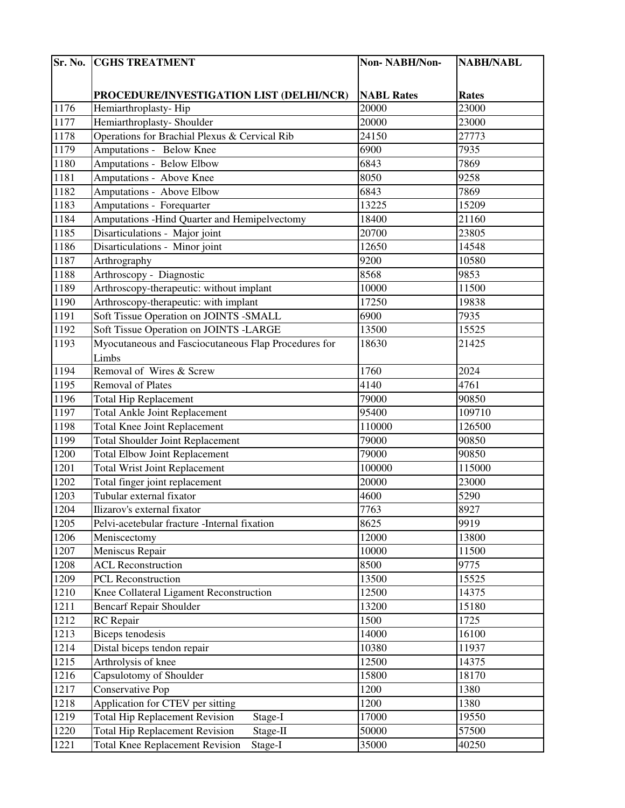| Sr. No. | <b>CGHS TREATMENT</b>                                | Non-NABH/Non-     | <b>NABH/NABL</b> |
|---------|------------------------------------------------------|-------------------|------------------|
|         |                                                      |                   |                  |
|         | PROCEDURE/INVESTIGATION LIST (DELHI/NCR)             | <b>NABL Rates</b> | <b>Rates</b>     |
| 1176    | Hemiarthroplasty-Hip                                 | 20000             | 23000            |
| 1177    | Hemiarthroplasty- Shoulder                           | 20000             | 23000            |
| 1178    | Operations for Brachial Plexus & Cervical Rib        | 24150             | 27773            |
| 1179    | Amputations - Below Knee                             | 6900              | 7935             |
| 1180    | <b>Amputations - Below Elbow</b>                     | 6843              | 7869             |
| 1181    | <b>Amputations - Above Knee</b>                      | 8050              | 9258             |
| 1182    | Amputations - Above Elbow                            | 6843              | 7869             |
| 1183    | Amputations - Forequarter                            | 13225             | 15209            |
| 1184    | Amputations - Hind Quarter and Hemipelvectomy        | 18400             | 21160            |
| 1185    | Disarticulations - Major joint                       | 20700             | 23805            |
| 1186    | Disarticulations - Minor joint                       | 12650             | 14548            |
| 1187    | Arthrography                                         | 9200              | 10580            |
| 1188    | Arthroscopy - Diagnostic                             | 8568              | 9853             |
| 1189    | Arthroscopy-therapeutic: without implant             | 10000             | 11500            |
| 1190    | Arthroscopy-therapeutic: with implant                | 17250             | 19838            |
| 1191    | Soft Tissue Operation on JOINTS -SMALL               | 6900              | 7935             |
| 1192    | Soft Tissue Operation on JOINTS -LARGE               | 13500             | 15525            |
| 1193    | Myocutaneous and Fasciocutaneous Flap Procedures for | 18630             | 21425            |
|         | Limbs                                                |                   |                  |
| 1194    | Removal of Wires & Screw                             | 1760              | 2024             |
| 1195    | Removal of Plates                                    | 4140              | 4761             |
| 1196    | <b>Total Hip Replacement</b>                         | 79000             | 90850            |
| 1197    | <b>Total Ankle Joint Replacement</b>                 | 95400             | 109710           |
| 1198    | <b>Total Knee Joint Replacement</b>                  | 110000            | 126500           |
| 1199    | <b>Total Shoulder Joint Replacement</b>              | 79000             | 90850            |
| 1200    | <b>Total Elbow Joint Replacement</b>                 | 79000             | 90850            |
| 1201    | <b>Total Wrist Joint Replacement</b>                 | 100000            | 115000           |
| 1202    | Total finger joint replacement                       | 20000             | 23000            |
| 1203    | Tubular external fixator                             | 4600              | 5290             |
| 1204    | Ilizarov's external fixator                          | 7763              | 8927             |
| 1205    | Pelvi-acetebular fracture -Internal fixation         | 8625              | 9919             |
| 1206    | Meniscectomy                                         | 12000             | 13800            |
| 1207    | Meniscus Repair                                      | 10000             | 11500            |
| 1208    | <b>ACL Reconstruction</b>                            | 8500              | 9775             |
| 1209    | PCL Reconstruction                                   | 13500             | 15525            |
| 1210    | Knee Collateral Ligament Reconstruction              | 12500             | 14375            |
| 1211    | <b>Bencarf Repair Shoulder</b>                       | 13200             | 15180            |
| 1212    | RC Repair                                            | 1500              | 1725             |
| 1213    | <b>Biceps</b> tenodesis                              | 14000             | 16100            |
| 1214    | Distal biceps tendon repair                          | 10380             | 11937            |
| 1215    | Arthrolysis of knee                                  | 12500             | 14375            |
| 1216    | Capsulotomy of Shoulder                              | 15800             | 18170            |
| 1217    | Conservative Pop                                     | 1200              | 1380             |
| 1218    | Application for CTEV per sitting                     | 1200              | 1380             |
| 1219    | <b>Total Hip Replacement Revision</b><br>Stage-I     | 17000             | 19550            |
| 1220    | <b>Total Hip Replacement Revision</b><br>Stage-II    | 50000             | 57500            |
| 1221    | <b>Total Knee Replacement Revision</b><br>Stage-I    | 35000             | 40250            |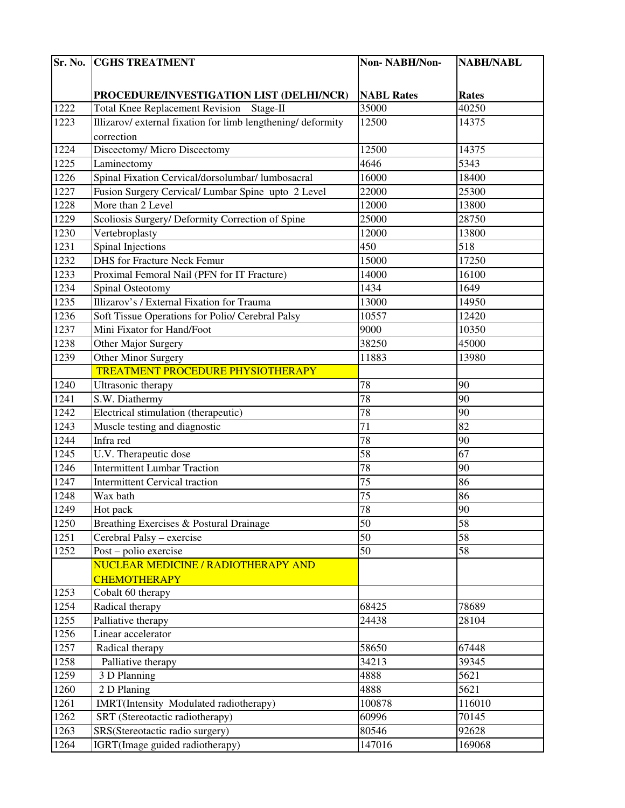| Sr. No.      | <b>CGHS TREATMENT</b>                                              | Non-NABH/Non-     | <b>NABH/NABL</b> |
|--------------|--------------------------------------------------------------------|-------------------|------------------|
|              |                                                                    |                   |                  |
|              | PROCEDURE/INVESTIGATION LIST (DELHI/NCR)                           | <b>NABL Rates</b> | <b>Rates</b>     |
| 1222         | Total Knee Replacement Revision Stage-II                           | 35000             | 40250            |
| 1223         | Illizarov/ external fixation for limb lengthening/ deformity       | 12500             | 14375            |
|              | correction                                                         |                   |                  |
| 1224         | Discectomy/ Micro Discectomy                                       | 12500             | 14375            |
| 1225         | Laminectomy                                                        | $\frac{1}{4646}$  | 5343             |
| 1226         | Spinal Fixation Cervical/dorsolumbar/ lumbosacral                  | 16000             | 18400            |
| 1227         | Fusion Surgery Cervical/ Lumbar Spine upto 2 Level                 | 22000             | 25300            |
| 1228         | More than 2 Level                                                  | 12000             | 13800            |
| 1229         | Scoliosis Surgery/ Deformity Correction of Spine                   | 25000             | 28750            |
| 1230         | Vertebroplasty                                                     | 12000             | 13800            |
| 1231         | Spinal Injections                                                  | 450               | 518              |
| 1232         | <b>DHS</b> for Fracture Neck Femur                                 | 15000             | 17250            |
| 1233         | Proximal Femoral Nail (PFN for IT Fracture)                        | 14000             | 16100            |
| 1234         | Spinal Osteotomy                                                   | 1434              | 1649             |
| 1235         | Illizarov's / External Fixation for Trauma                         | 13000             | 14950            |
| 1236         | Soft Tissue Operations for Polio/ Cerebral Palsy                   | 10557             | 12420            |
| 1237         | Mini Fixator for Hand/Foot                                         | 9000              | 10350            |
| 1238         | Other Major Surgery                                                | 38250             | 45000            |
| 1239         | Other Minor Surgery                                                | 11883             | 13980            |
|              | TREATMENT PROCEDURE PHYSIOTHERAPY                                  |                   |                  |
| 1240         | Ultrasonic therapy                                                 | 78                | 90               |
| 1241         | S.W. Diathermy                                                     | 78                | 90               |
| 1242         | Electrical stimulation (therapeutic)                               | 78                | 90               |
| 1243         | Muscle testing and diagnostic                                      | $\overline{71}$   | $\overline{82}$  |
| 1244         | Infra red                                                          | 78                | 90               |
| 1245         | U.V. Therapeutic dose                                              | 58                | 67               |
| 1246         | <b>Intermittent Lumbar Traction</b>                                | 78                | 90               |
| 1247         | <b>Intermittent Cervical traction</b>                              | $\overline{75}$   | 86               |
| 1248         | Wax bath                                                           | 75                | 86               |
| 1249         | Hot pack                                                           | 78                | 90               |
| 1250         | Breathing Exercises & Postural Drainage                            | 50                | 58               |
| 1251         | Cerebral Palsy - exercise                                          | 50                | 58               |
| 1252         | Post – polio exercise                                              | 50                | 58               |
|              | NUCLEAR MEDICINE / RADIOTHERAPY AND                                |                   |                  |
|              | <b>CHEMOTHERAPY</b>                                                |                   |                  |
| 1253         | Cobalt 60 therapy                                                  |                   |                  |
| 1254         | Radical therapy                                                    | 68425             | 78689            |
| 1255         | Palliative therapy                                                 | 24438             | 28104            |
| 1256         | Linear accelerator                                                 |                   |                  |
| 1257         | Radical therapy                                                    | 58650             | 67448            |
| 1258         | Palliative therapy                                                 | 34213             | 39345            |
| 1259         | 3 D Planning                                                       | 4888              | 5621             |
| 1260         | 2 D Planing                                                        | 4888              | 5621             |
| 1261         | IMRT(Intensity Modulated radiotherapy)                             | 100878            | 116010           |
| 1262<br>1263 | SRT (Stereotactic radiotherapy)<br>SRS(Stereotactic radio surgery) | 60996<br>80546    | 70145<br>92628   |
|              |                                                                    |                   |                  |
| 1264         | IGRT(Image guided radiotherapy)                                    | 147016            | 169068           |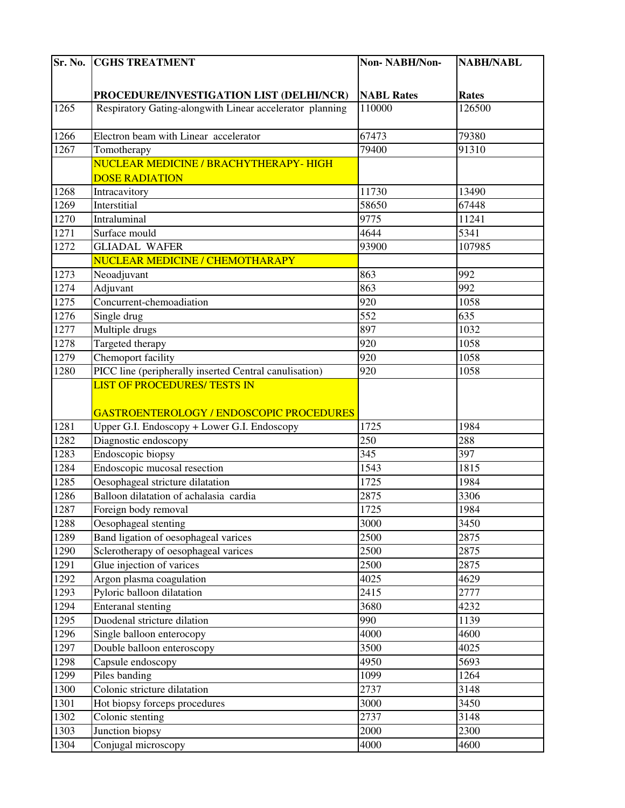| Sr. No. | <b>CGHS TREATMENT</b>                                    | Non-NABH/Non-     | <b>NABH/NABL</b> |
|---------|----------------------------------------------------------|-------------------|------------------|
|         |                                                          |                   |                  |
|         | PROCEDURE/INVESTIGATION LIST (DELHI/NCR)                 | <b>NABL Rates</b> | <b>Rates</b>     |
| 1265    | Respiratory Gating-alongwith Linear accelerator planning | 110000            | 126500           |
|         |                                                          |                   |                  |
| 1266    | Electron beam with Linear accelerator                    | 67473             | 79380            |
| 1267    | Tomotherapy                                              | 79400             | 91310            |
|         | NUCLEAR MEDICINE / BRACHYTHERAPY-HIGH                    |                   |                  |
|         | <b>DOSE RADIATION</b>                                    |                   |                  |
| 1268    | Intracavitory                                            | 11730             | 13490            |
| 1269    | Interstitial                                             | 58650             | 67448            |
| 1270    | Intraluminal                                             | 9775              | 11241            |
| 1271    | Surface mould                                            | 4644              | 5341             |
| 1272    | <b>GLIADAL WAFER</b>                                     | 93900             | 107985           |
|         | NUCLEAR MEDICINE / CHEMOTHARAPY                          |                   |                  |
| 1273    | Neoadjuvant                                              | 863               | 992              |
| 1274    | Adjuvant                                                 | 863               | 992              |
| 1275    | Concurrent-chemoadiation                                 | 920               | 1058             |
| 1276    | Single drug                                              | $\overline{552}$  | 635              |
| 1277    | Multiple drugs                                           | 897               | 1032             |
| 1278    | Targeted therapy                                         | 920               | 1058             |
| 1279    | Chemoport facility                                       | 920               | 1058             |
| 1280    | PICC line (peripherally inserted Central canulisation)   | 920               | 1058             |
|         | <b>LIST OF PROCEDURES/ TESTS IN</b>                      |                   |                  |
|         |                                                          |                   |                  |
|         | GASTROENTEROLOGY / ENDOSCOPIC PROCEDURES                 |                   |                  |
| 1281    | Upper G.I. Endoscopy + Lower G.I. Endoscopy              | 1725              | 1984             |
| 1282    | Diagnostic endoscopy                                     | 250               | 288              |
| 1283    | Endoscopic biopsy                                        | 345               | 397              |
| 1284    | Endoscopic mucosal resection                             | 1543              | 1815             |
| 1285    | Oesophageal stricture dilatation                         | 1725              | 1984             |
| 1286    | Balloon dilatation of achalasia cardia                   | 2875              | 3306             |
| 1287    | Foreign body removal                                     | 1725              | 1984             |
| 1288    | Oesophageal stenting                                     | 3000              | 3450             |
| 1289    | Band ligation of oesophageal varices                     | 2500              | 2875             |
| 1290    | Sclerotherapy of oesophageal varices                     | 2500              | 2875             |
| 1291    | Glue injection of varices                                | 2500              | 2875             |
| 1292    | Argon plasma coagulation                                 | 4025              | 4629             |
| 1293    | Pyloric balloon dilatation                               | 2415              | 2777             |
| 1294    | <b>Enteranal</b> stenting                                | 3680              | 4232             |
| 1295    | Duodenal stricture dilation                              | 990               | 1139             |
| 1296    | Single balloon enterocopy                                | 4000              | 4600             |
| 1297    | Double balloon enteroscopy                               | 3500              | 4025             |
| 1298    | Capsule endoscopy                                        | 4950              | 5693             |
| 1299    | Piles banding                                            | 1099              | 1264             |
| 1300    | Colonic stricture dilatation                             | 2737              | 3148             |
| 1301    | Hot biopsy forceps procedures                            | 3000              | 3450             |
| 1302    | Colonic stenting                                         | 2737              | 3148             |
| 1303    | Junction biopsy                                          | 2000              | 2300             |
| 1304    | Conjugal microscopy                                      | 4000              | 4600             |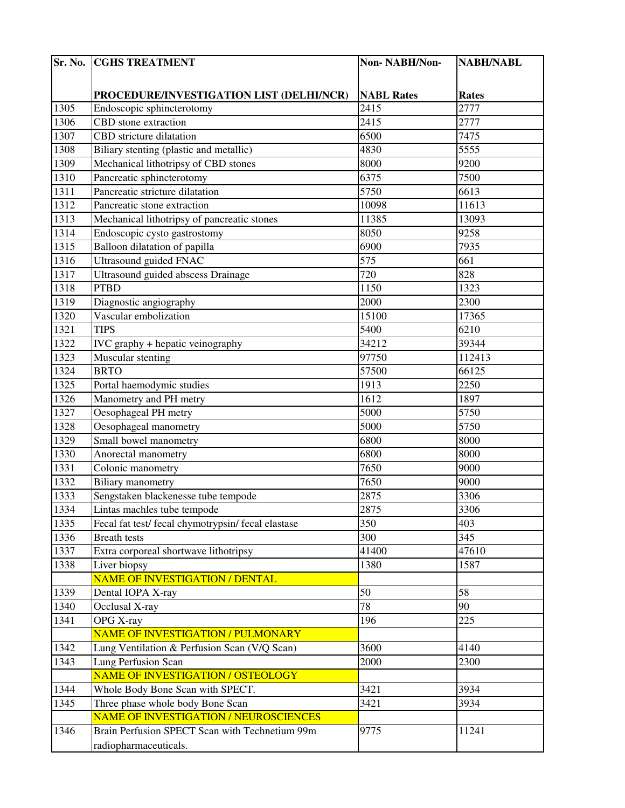| Sr. No. | <b>CGHS TREATMENT</b>                              | Non-NABH/Non-     | <b>NABH/NABL</b> |
|---------|----------------------------------------------------|-------------------|------------------|
|         |                                                    |                   |                  |
|         | PROCEDURE/INVESTIGATION LIST (DELHI/NCR)           | <b>NABL Rates</b> | <b>Rates</b>     |
| 1305    | Endoscopic sphincterotomy                          | 2415              | 2777             |
| 1306    | CBD stone extraction                               | 2415              | 2777             |
| 1307    | CBD stricture dilatation                           | 6500              | 7475             |
| 1308    | Biliary stenting (plastic and metallic)            | 4830              | 5555             |
| 1309    | Mechanical lithotripsy of CBD stones               | 8000              | 9200             |
| 1310    | Pancreatic sphincterotomy                          | 6375              | 7500             |
| 1311    | Pancreatic stricture dilatation                    | 5750              | 6613             |
| 1312    | Pancreatic stone extraction                        | 10098             | 11613            |
| 1313    | Mechanical lithotripsy of pancreatic stones        | 11385             | 13093            |
| 1314    | Endoscopic cysto gastrostomy                       | 8050              | 9258             |
| 1315    | Balloon dilatation of papilla                      | 6900              | 7935             |
| 1316    | <b>Ultrasound guided FNAC</b>                      | 575               | 661              |
| 1317    | Ultrasound guided abscess Drainage                 | 720               | 828              |
| 1318    | <b>PTBD</b>                                        | 1150              | 1323             |
| 1319    | Diagnostic angiography                             | 2000              | 2300             |
| 1320    | Vascular embolization                              | 15100             | 17365            |
| 1321    | <b>TIPS</b>                                        | 5400              | 6210             |
| 1322    | IVC graphy + hepatic veinography                   | 34212             | 39344            |
| 1323    | Muscular stenting                                  | 97750             | 112413           |
| 1324    | <b>BRTO</b>                                        | 57500             | 66125            |
| 1325    | Portal haemodymic studies                          | 1913              | 2250             |
| 1326    | Manometry and PH metry                             | 1612              | 1897             |
| 1327    | Oesophageal PH metry                               | 5000              | 5750             |
| 1328    | Oesophageal manometry                              | 5000              | 5750             |
| 1329    | Small bowel manometry                              | 6800              | 8000             |
| 1330    | Anorectal manometry                                | 6800              | 8000             |
| 1331    | Colonic manometry                                  | 7650              | 9000             |
| 1332    | <b>Biliary</b> manometry                           | 7650              | 9000             |
| 1333    | Sengstaken blackenesse tube tempode                | 2875              | 3306             |
| 1334    | Lintas machles tube tempode                        | 2875              | 3306             |
| 1335    | Fecal fat test/ fecal chymotrypsin/ fecal elastase | 350               | 403              |
| 1336    | <b>Breath</b> tests                                | 300               | 345              |
| 1337    | Extra corporeal shortwave lithotripsy              | 41400             | 47610            |
| 1338    | Liver biopsy                                       | 1380              | 1587             |
|         | NAME OF INVESTIGATION / DENTAL                     |                   |                  |
| 1339    | Dental IOPA X-ray                                  | 50                | 58               |
| 1340    | Occlusal X-ray                                     | 78                | 90               |
| 1341    | OPG X-ray                                          | 196               | 225              |
|         | NAME OF INVESTIGATION / PULMONARY                  |                   |                  |
| 1342    | Lung Ventilation & Perfusion Scan (V/Q Scan)       | 3600              | 4140             |
| 1343    | Lung Perfusion Scan                                | 2000              | 2300             |
|         | NAME OF INVESTIGATION / OSTEOLOGY                  |                   |                  |
| 1344    | Whole Body Bone Scan with SPECT.                   | 3421              | 3934             |
| 1345    | Three phase whole body Bone Scan                   | 3421              | 3934             |
|         | <b>NAME OF INVESTIGATION / NEUROSCIENCES</b>       |                   |                  |
| 1346    | Brain Perfusion SPECT Scan with Technetium 99m     | 9775              | 11241            |
|         | radiopharmaceuticals.                              |                   |                  |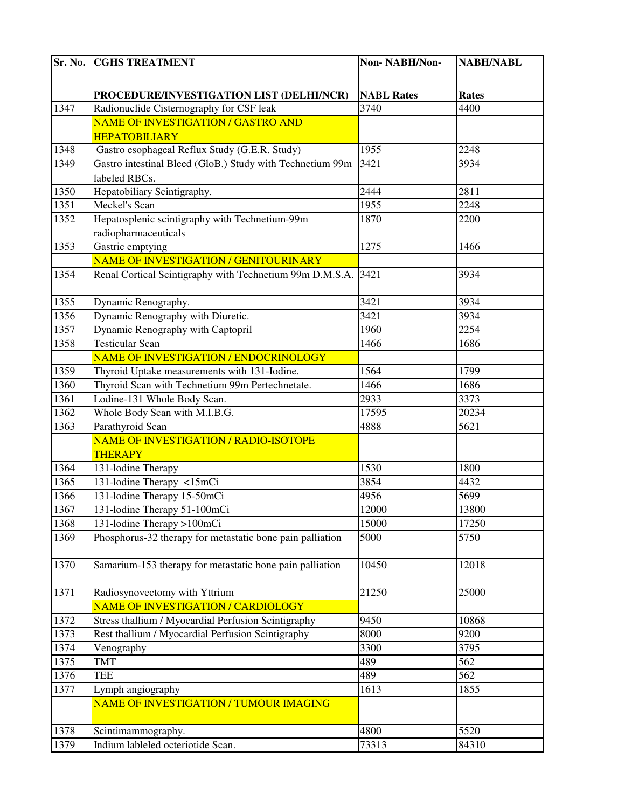| Sr. No. | <b>CGHS TREATMENT</b>                                     | Non-NABH/Non-     | <b>NABH/NABL</b> |
|---------|-----------------------------------------------------------|-------------------|------------------|
|         |                                                           |                   |                  |
|         | PROCEDURE/INVESTIGATION LIST (DELHI/NCR)                  | <b>NABL Rates</b> | <b>Rates</b>     |
| 1347    | Radionuclide Cisternography for CSF leak                  | 3740              | 4400             |
|         | NAME OF INVESTIGATION / GASTRO AND                        |                   |                  |
|         | <b>HEPATOBILIARY</b>                                      |                   |                  |
| 1348    | Gastro esophageal Reflux Study (G.E.R. Study)             | 1955              | 2248             |
| 1349    | Gastro intestinal Bleed (GloB.) Study with Technetium 99m | 3421              | 3934             |
|         | labeled RBCs.                                             |                   |                  |
| 1350    | Hepatobiliary Scintigraphy.                               | 2444              | 2811             |
| 1351    | Meckel's Scan                                             | 1955              | 2248             |
| 1352    | Hepatosplenic scintigraphy with Technetium-99m            | 1870              | 2200             |
|         | radiopharmaceuticals                                      |                   |                  |
| 1353    | Gastric emptying                                          | 1275              | 1466             |
|         | NAME OF INVESTIGATION / GENITOURINARY                     |                   |                  |
| 1354    | Renal Cortical Scintigraphy with Technetium 99m D.M.S.A.  | 3421              | 3934             |
|         |                                                           |                   |                  |
| 1355    | Dynamic Renography.                                       | 3421              | 3934             |
| 1356    | Dynamic Renography with Diuretic.                         | 3421              | 3934             |
| 1357    | Dynamic Renography with Captopril                         | 1960              | 2254             |
| 1358    | <b>Testicular Scan</b>                                    | 1466              | 1686             |
|         | NAME OF INVESTIGATION / ENDOCRINOLOGY                     |                   |                  |
| 1359    | Thyroid Uptake measurements with 131-Iodine.              | 1564              | 1799             |
| 1360    | Thyroid Scan with Technetium 99m Pertechnetate.           | 1466              | 1686             |
| 1361    | Lodine-131 Whole Body Scan.                               | 2933              | 3373             |
| 1362    | Whole Body Scan with M.I.B.G.                             | 17595             | 20234            |
| 1363    | Parathyroid Scan                                          | 4888              | 5621             |
|         | NAME OF INVESTIGATION / RADIO-ISOTOPE                     |                   |                  |
|         | <b>THERAPY</b>                                            |                   |                  |
| 1364    | 131-lodine Therapy                                        | 1530              | 1800             |
| 1365    | 131-lodine Therapy <15mCi                                 | 3854              | 4432             |
| 1366    | 131-lodine Therapy 15-50mCi                               | 4956              | 5699             |
| 1367    | 131-lodine Therapy 51-100mCi                              | 12000             | 13800            |
| 1368    | 131-lodine Therapy >100mCi                                | 15000             | 17250            |
| 1369    | Phosphorus-32 therapy for metastatic bone pain palliation | 5000              | 5750             |
|         |                                                           |                   |                  |
| 1370    | Samarium-153 therapy for metastatic bone pain palliation  | 10450             | 12018            |
|         |                                                           |                   |                  |
| 1371    | Radiosynovectomy with Yttrium                             | 21250             | 25000            |
|         | NAME OF INVESTIGATION / CARDIOLOGY                        |                   |                  |
| 1372    | Stress thallium / Myocardial Perfusion Scintigraphy       | 9450              | 10868            |
| 1373    | Rest thallium / Myocardial Perfusion Scintigraphy         | 8000              | 9200             |
| 1374    | Venography                                                | 3300              | 3795             |
| 1375    | TMT                                                       | 489               | 562              |
| 1376    | <b>TEE</b>                                                | 489               | 562              |
| 1377    | Lymph angiography                                         | 1613              | 1855             |
|         | NAME OF INVESTIGATION / TUMOUR IMAGING                    |                   |                  |
|         |                                                           | 4800              | 5520             |
| 1378    | Scintimammography.                                        |                   |                  |
| 1379    | Indium lableled octeriotide Scan.                         | 73313             | 84310            |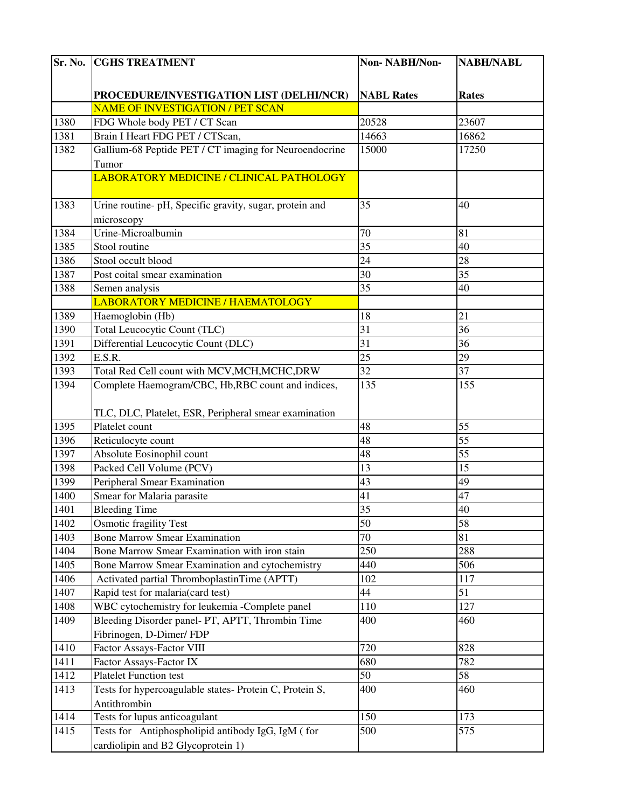| Sr. No. | <b>CGHS TREATMENT</b>                                   | Non-NABH/Non-     | <b>NABH/NABL</b> |
|---------|---------------------------------------------------------|-------------------|------------------|
|         |                                                         |                   |                  |
|         | PROCEDURE/INVESTIGATION LIST (DELHI/NCR)                | <b>NABL Rates</b> | Rates            |
|         | NAME OF INVESTIGATION / PET SCAN                        |                   |                  |
| 1380    | FDG Whole body PET / CT Scan                            | 20528             | 23607            |
| 1381    | Brain I Heart FDG PET / CTScan,                         | 14663             | 16862            |
| 1382    | Gallium-68 Peptide PET / CT imaging for Neuroendocrine  | 15000             | 17250            |
|         | Tumor                                                   |                   |                  |
|         | LABORATORY MEDICINE / CLINICAL PATHOLOGY                |                   |                  |
| 1383    | Urine routine- pH, Specific gravity, sugar, protein and | 35                | 40               |
|         | microscopy                                              |                   |                  |
| 1384    | Urine-Microalbumin                                      | 70                | 81               |
| 1385    | Stool routine                                           | $\overline{35}$   | 40               |
| 1386    | Stool occult blood                                      | 24                | 28               |
| 1387    | Post coital smear examination                           | 30                | 35               |
| 1388    | Semen analysis                                          | 35                | 40               |
|         | LABORATORY MEDICINE / HAEMATOLOGY                       |                   |                  |
| 1389    | Haemoglobin (Hb)                                        | 18                | 21               |
| 1390    | Total Leucocytic Count (TLC)                            | $\overline{31}$   | 36               |
| 1391    | Differential Leucocytic Count (DLC)                     | 31                | 36               |
| 1392    | E.S.R.                                                  | 25                | 29               |
| 1393    | Total Red Cell count with MCV, MCH, MCHC, DRW           | 32                | 37               |
| 1394    | Complete Haemogram/CBC, Hb,RBC count and indices,       | 135               | 155              |
|         |                                                         |                   |                  |
|         | TLC, DLC, Platelet, ESR, Peripheral smear examination   |                   |                  |
| 1395    | Platelet count                                          | 48                | 55               |
| 1396    | Reticulocyte count                                      | 48                | 55               |
| 1397    | Absolute Eosinophil count                               | 48                | 55               |
| 1398    | Packed Cell Volume (PCV)                                | 13                | 15               |
| 1399    | Peripheral Smear Examination                            | 43                | 49               |
| 1400    | Smear for Malaria parasite                              | 41                | 47               |
| 1401    | <b>Bleeding Time</b>                                    | $\overline{35}$   | 40               |
| 1402    | <b>Osmotic fragility Test</b>                           | 50                | 58               |
| 1403    | <b>Bone Marrow Smear Examination</b>                    | 70                | 81               |
| 1404    | Bone Marrow Smear Examination with iron stain           | 250               | 288              |
| 1405    | Bone Marrow Smear Examination and cytochemistry         | 440               | 506              |
| 1406    | Activated partial ThromboplastinTime (APTT)             | 102               | 117              |
| 1407    | Rapid test for malaria(card test)                       | 44                | 51               |
| 1408    | WBC cytochemistry for leukemia -Complete panel          | 110               | 127              |
| 1409    | Bleeding Disorder panel- PT, APTT, Thrombin Time        | 400               | 460              |
|         | Fibrinogen, D-Dimer/FDP                                 |                   |                  |
| 1410    | Factor Assays-Factor VIII                               | 720               | 828              |
| 1411    | Factor Assays-Factor IX                                 | 680               | 782              |
| 1412    | <b>Platelet Function test</b>                           | 50                | 58               |
| 1413    | Tests for hypercoagulable states- Protein C, Protein S, | 400               | 460              |
|         | Antithrombin                                            |                   |                  |
| 1414    | Tests for lupus anticoagulant                           | 150               | 173              |
| 1415    | Tests for Antiphospholipid antibody IgG, IgM (for       | 500               | 575              |
|         | cardiolipin and B2 Glycoprotein 1)                      |                   |                  |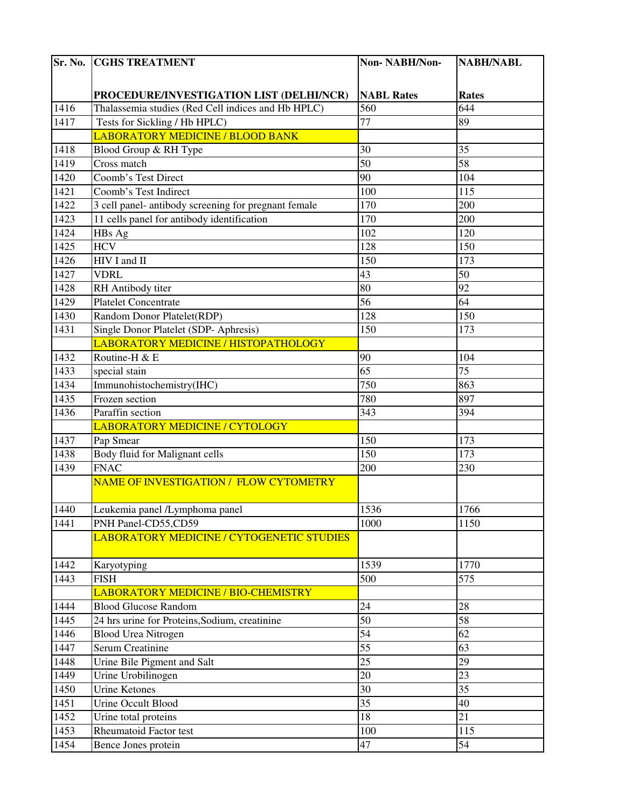| Sr. No. | <b>CGHS TREATMENT</b>                                | Non-NABH/Non-     | <b>NABH/NABL</b> |
|---------|------------------------------------------------------|-------------------|------------------|
|         |                                                      |                   |                  |
|         | PROCEDURE/INVESTIGATION LIST (DELHI/NCR)             | <b>NABL Rates</b> | <b>Rates</b>     |
| 1416    | Thalassemia studies (Red Cell indices and Hb HPLC)   | 560               | 644              |
| 1417    | Tests for Sickling / Hb HPLC)                        | $\overline{77}$   | 89               |
|         | LABORATORY MEDICINE / BLOOD BANK                     |                   |                  |
| 1418    | Blood Group & RH Type                                | 30                | 35               |
| 1419    | Cross match                                          | $\overline{50}$   | 58               |
| 1420    | Coomb's Test Direct                                  | 90                | 104              |
| 1421    | Coomb's Test Indirect                                | 100               | 115              |
| 1422    | 3 cell panel- antibody screening for pregnant female | 170               | 200              |
| 1423    | 11 cells panel for antibody identification           | 170               | 200              |
| 1424    | HBs Ag                                               | 102               | 120              |
| 1425    | <b>HCV</b>                                           | 128               | 150              |
| 1426    | HIV I and II                                         | 150               | 173              |
| 1427    | <b>VDRL</b>                                          | 43                | 50               |
| 1428    | RH Antibody titer                                    | 80                | 92               |
| 1429    | <b>Platelet Concentrate</b>                          | 56                | 64               |
| 1430    | Random Donor Platelet(RDP)                           | 128               | 150              |
| 1431    | Single Donor Platelet (SDP- Aphresis)                | 150               | 173              |
|         | LABORATORY MEDICINE / HISTOPATHOLOGY                 |                   |                  |
| 1432    | Routine-H & E                                        | 90                | 104              |
| 1433    | special stain                                        | $\overline{65}$   | $\overline{75}$  |
| 1434    | Immunohistochemistry(IHC)                            | 750               | 863              |
| 1435    | Frozen section                                       | 780               | 897              |
| 1436    | Paraffin section                                     | 343               | 394              |
|         | LABORATORY MEDICINE / CYTOLOGY                       |                   |                  |
| 1437    | Pap Smear                                            | 150               | 173              |
| 1438    | Body fluid for Malignant cells                       | 150               | 173              |
| 1439    | <b>FNAC</b>                                          | 200               | 230              |
|         | NAME OF INVESTIGATION / FLOW CYTOMETRY               |                   |                  |
| 1440    | Leukemia panel /Lymphoma panel                       | 1536              | 1766             |
| 1441    | PNH Panel-CD55,CD59                                  | 1000              | 1150             |
|         | <b>LABORATORY MEDICINE / CYTOGENETIC STUDIES</b>     |                   |                  |
| 1442    | Karyotyping                                          | 1539              | 1770             |
| 1443    | <b>FISH</b>                                          | 500               | 575              |
|         | LABORATORY MEDICINE / BIO-CHEMISTRY                  |                   |                  |
| 1444    | <b>Blood Glucose Random</b>                          | 24                | 28               |
| 1445    | 24 hrs urine for Proteins, Sodium, creatinine        | 50                | 58               |
| 1446    | <b>Blood Urea Nitrogen</b>                           | 54                | 62               |
| 1447    | <b>Serum Creatinine</b>                              | $\overline{55}$   | 63               |
| 1448    | Urine Bile Pigment and Salt                          | 25                | 29               |
| 1449    | Urine Urobilinogen                                   | 20                | 23               |
| 1450    | Urine Ketones                                        | 30                | $\overline{35}$  |
| 1451    | <b>Urine Occult Blood</b>                            | $\overline{35}$   | 40               |
| 1452    | Urine total proteins                                 | 18                | 21               |
| 1453    | <b>Rheumatoid Factor test</b>                        | 100               | 115              |
| 1454    | Bence Jones protein                                  | 47                | 54               |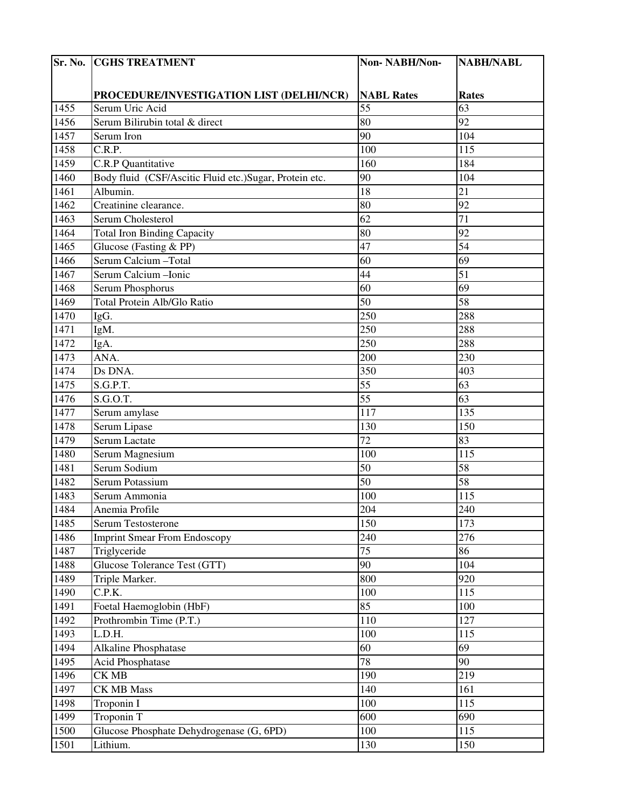| Sr. No. | <b>CGHS TREATMENT</b>                                  | Non-NABH/Non-     | <b>NABH/NABL</b> |
|---------|--------------------------------------------------------|-------------------|------------------|
|         |                                                        |                   |                  |
|         | PROCEDURE/INVESTIGATION LIST (DELHI/NCR)               | <b>NABL Rates</b> | <b>Rates</b>     |
| 1455    | Serum Uric Acid                                        | $\overline{55}$   | 63               |
| 1456    | Serum Bilirubin total & direct                         | 80                | 92               |
| 1457    | Serum Iron                                             | 90                | 104              |
| 1458    | C.R.P.                                                 | 100               | 115              |
| 1459    | C.R.P Quantitative                                     | 160               | 184              |
| 1460    | Body fluid (CSF/Ascitic Fluid etc.)Sugar, Protein etc. | 90                | 104              |
| 1461    | Albumin.                                               | 18                | 21               |
| 1462    | Creatinine clearance.                                  | 80                | 92               |
| 1463    | Serum Cholesterol                                      | $\overline{62}$   | 71               |
| 1464    | <b>Total Iron Binding Capacity</b>                     | 80                | 92               |
| 1465    | Glucose (Fasting & PP)                                 | 47                | $\overline{54}$  |
| 1466    | Serum Calcium - Total                                  | 60                | 69               |
| 1467    | Serum Calcium - Ionic                                  | 44                | 51               |
| 1468    | Serum Phosphorus                                       | 60                | 69               |
| 1469    | Total Protein Alb/Glo Ratio                            | 50                | 58               |
| 1470    | IgG.                                                   | 250               | 288              |
| 1471    | IgM.                                                   | 250               | 288              |
| 1472    | IgA.                                                   | 250               | 288              |
| 1473    | ANA.                                                   | 200               | 230              |
| 1474    | Ds DNA.                                                | 350               | 403              |
| 1475    | S.G.P.T.                                               | $\overline{55}$   | 63               |
| 1476    | S.G.O.T.                                               | 55                | 63               |
| 1477    | Serum amylase                                          | 117               | 135              |
| 1478    | Serum Lipase                                           | 130               | 150              |
| 1479    | Serum Lactate                                          | 72                | 83               |
| 1480    | Serum Magnesium                                        | 100               | 115              |
| 1481    | Serum Sodium                                           | 50                | 58               |
| 1482    | Serum Potassium                                        | $\overline{50}$   | 58               |
| 1483    | Serum Ammonia                                          | 100               | 115              |
| 1484    | Anemia Profile                                         | 204               | 240              |
| 1485    | Serum Testosterone                                     | 150               | 173              |
| 1486    | <b>Imprint Smear From Endoscopy</b>                    | 240               | 276              |
| 1487    | Triglyceride                                           | $\overline{75}$   | 86               |
| 1488    | Glucose Tolerance Test (GTT)                           | 90                | 104              |
| 1489    | Triple Marker.                                         | 800               | 920              |
| 1490    | C.P.K.                                                 | 100               | 115              |
| 1491    | Foetal Haemoglobin (HbF)                               | 85                | 100              |
| 1492    | Prothrombin Time (P.T.)                                | 110               | 127              |
| 1493    | L.D.H.                                                 | 100               | 115              |
| 1494    | Alkaline Phosphatase                                   | 60                | 69               |
| 1495    | <b>Acid Phosphatase</b>                                | 78                | 90               |
| 1496    | CK MB                                                  | 190               | 219              |
| 1497    | <b>CK MB Mass</b>                                      | 140               | 161              |
| 1498    | Troponin I                                             | 100               | 115              |
| 1499    | Troponin T                                             | 600               | 690              |
| 1500    | Glucose Phosphate Dehydrogenase (G, 6PD)               | 100               | 115              |
| 1501    | Lithium.                                               | 130               | 150              |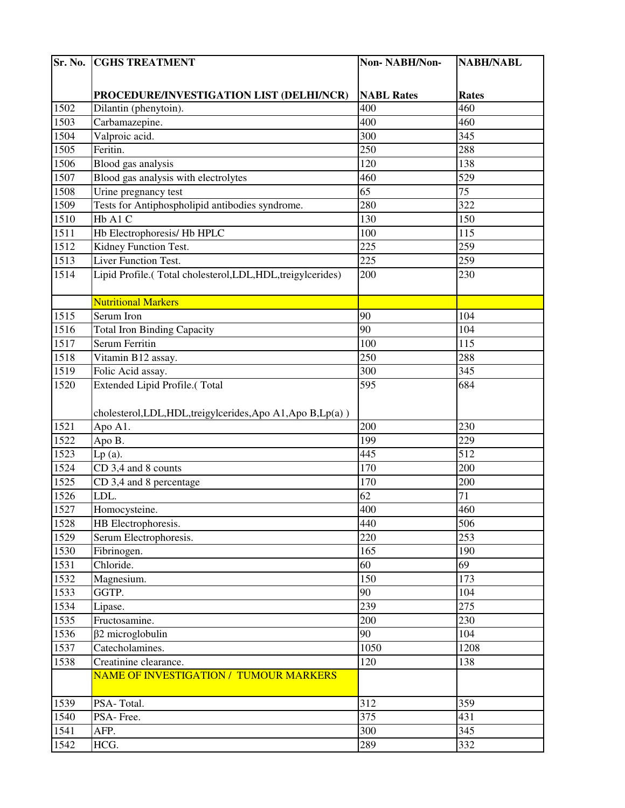| Sr. No. | <b>CGHS TREATMENT</b>                                        | Non-NABH/Non-     | <b>NABH/NABL</b> |
|---------|--------------------------------------------------------------|-------------------|------------------|
|         |                                                              |                   |                  |
|         | PROCEDURE/INVESTIGATION LIST (DELHI/NCR)                     | <b>NABL Rates</b> | <b>Rates</b>     |
| 1502    | Dilantin (phenytoin).                                        | 400               | 460              |
| 1503    | Carbamazepine.                                               | 400               | 460              |
| 1504    | Valproic acid.                                               | 300               | 345              |
| 1505    | Feritin.                                                     | 250               | 288              |
| 1506    | Blood gas analysis                                           | 120               | 138              |
| 1507    | Blood gas analysis with electrolytes                         | 460               | 529              |
| 1508    | Urine pregnancy test                                         | 65                | 75               |
| 1509    | Tests for Antiphospholipid antibodies syndrome.              | 280               | 322              |
| 1510    | Hb A1 C                                                      | 130               | 150              |
| 1511    | Hb Electrophoresis/ Hb HPLC                                  | 100               | 115              |
| 1512    | Kidney Function Test.                                        | 225               | 259              |
| 1513    | Liver Function Test.                                         | 225               | 259              |
| 1514    | Lipid Profile.(Total cholesterol,LDL,HDL,treigylcerides)     | 200               | 230              |
|         |                                                              |                   |                  |
|         | <b>Nutritional Markers</b>                                   |                   |                  |
| 1515    | Serum Iron                                                   | 90                | 104              |
| 1516    | <b>Total Iron Binding Capacity</b>                           | 90                | 104              |
| 1517    | Serum Ferritin                                               | 100               | 115              |
| 1518    | Vitamin B12 assay.                                           | 250               | 288              |
| 1519    | Folic Acid assay.                                            | 300               | 345              |
| 1520    | Extended Lipid Profile.(Total                                | 595               | 684              |
|         |                                                              |                   |                  |
|         | cholesterol, LDL, HDL, treigylcerides, Apo A1, Apo B, Lp(a)) |                   |                  |
| 1521    | Apo A1.                                                      | 200               | 230              |
| 1522    | Apo B.                                                       | 199               | 229              |
| 1523    | $Lp(a)$ .                                                    | 445               | 512              |
| 1524    | CD 3,4 and 8 counts                                          | 170               | 200              |
| 1525    | CD 3,4 and 8 percentage                                      | 170               | 200              |
| 1526    | LDL.                                                         | 62                | 71               |
| 1527    | Homocysteine.                                                | 400               | 460              |
| 1528    | HB Electrophoresis.                                          | 440               | 506              |
| 1529    | Serum Electrophoresis.                                       | 220               | 253              |
| 1530    | Fibrinogen.                                                  | 165               | 190              |
| 1531    | Chloride.                                                    | 60                | 69               |
| 1532    | Magnesium.                                                   | 150               | 173              |
| 1533    | GGTP.                                                        | 90                | 104              |
| 1534    | Lipase.                                                      | 239               | 275              |
| 1535    | Fructosamine.                                                | 200               | 230              |
| 1536    | $\beta$ 2 microglobulin                                      | 90                | 104              |
| 1537    | Catecholamines.                                              | 1050              | 1208             |
| 1538    | Creatinine clearance.                                        | 120               | 138              |
|         | NAME OF INVESTIGATION / TUMOUR MARKERS                       |                   |                  |
| 1539    | PSA-Total.                                                   | 312               | 359              |
| 1540    | PSA-Free.                                                    | 375               | 431              |
| 1541    | AFP.                                                         | 300               | 345              |
| 1542    | HCG.                                                         | 289               | 332              |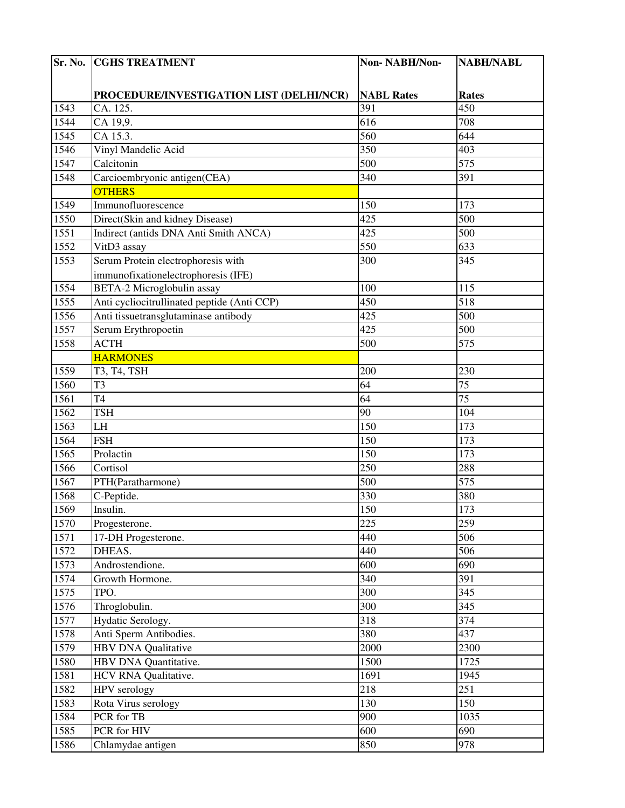| Sr. No. | <b>CGHS TREATMENT</b>                       | Non-NABH/Non-     | <b>NABH/NABL</b> |
|---------|---------------------------------------------|-------------------|------------------|
|         |                                             |                   |                  |
|         | PROCEDURE/INVESTIGATION LIST (DELHI/NCR)    | <b>NABL Rates</b> | <b>Rates</b>     |
| 1543    | CA. 125.                                    | 391               | 450              |
| 1544    | CA 19,9.                                    | 616               | 708              |
| 1545    | CA 15.3.                                    | 560               | 644              |
| 1546    | Vinyl Mandelic Acid                         | 350               | 403              |
| 1547    | Calcitonin                                  | $\overline{500}$  | 575              |
| 1548    | Carcioembryonic antigen(CEA)                | 340               | 391              |
|         | <b>OTHERS</b>                               |                   |                  |
| 1549    | Immunofluorescence                          | 150               | 173              |
| 1550    | Direct(Skin and kidney Disease)             | $\overline{425}$  | 500              |
| 1551    | Indirect (antids DNA Anti Smith ANCA)       | 425               | 500              |
| 1552    | VitD3 assay                                 | 550               | 633              |
| 1553    | Serum Protein electrophoresis with          | 300               | 345              |
|         | immunofixationelectrophoresis (IFE)         |                   |                  |
| 1554    | <b>BETA-2 Microglobulin assay</b>           | 100               | 115              |
| 1555    | Anti cycliocitrullinated peptide (Anti CCP) | 450               | 518              |
| 1556    | Anti tissuetransglutaminase antibody        | 425               | 500              |
| 1557    | Serum Erythropoetin                         | 425               | 500              |
| 1558    | <b>ACTH</b>                                 | 500               | 575              |
|         | <b>HARMONES</b>                             |                   |                  |
| 1559    | T3, T4, TSH                                 | 200               | 230              |
| 1560    | T3                                          | 64                | $\overline{75}$  |
| 1561    | T4                                          | 64                | $\overline{75}$  |
| 1562    | <b>TSH</b>                                  | 90                | 104              |
| 1563    | LH                                          | 150               | 173              |
|         |                                             | 150               | 173              |
| 1564    | <b>FSH</b>                                  |                   | 173              |
| 1565    | Prolactin                                   | 150               |                  |
| 1566    | Cortisol                                    | 250               | 288<br>575       |
| 1567    | PTH(Paratharmone)                           | $\overline{500}$  |                  |
| 1568    | C-Peptide.                                  | 330               | 380              |
| 1569    | Insulin.                                    | 150               | 173              |
| 1570    | Progesterone.                               | 225               | 259              |
| 1571    | 17-DH Progesterone.                         | 440               | 506              |
| 1572    | DHEAS.                                      | 440               | 506              |
| 1573    | Androstendione.                             | 600               | 690              |
| 1574    | Growth Hormone.                             | 340               | 391              |
| 1575    | TPO.                                        | 300               | 345              |
| 1576    | Throglobulin.                               | 300               | 345              |
| 1577    | Hydatic Serology.                           | 318               | 374              |
| 1578    | Anti Sperm Antibodies.                      | 380               | 437              |
| 1579    | <b>HBV DNA Qualitative</b>                  | 2000              | 2300             |
| 1580    | HBV DNA Quantitative.                       | 1500              | 1725             |
| 1581    | HCV RNA Qualitative.                        | 1691              | 1945             |
| 1582    | HPV serology                                | 218               | 251              |
| 1583    | Rota Virus serology                         | 130               | 150              |
| 1584    | PCR for TB                                  | 900               | 1035             |
| 1585    | PCR for HIV                                 | 600               | 690              |
| 1586    | Chlamydae antigen                           | 850               | 978              |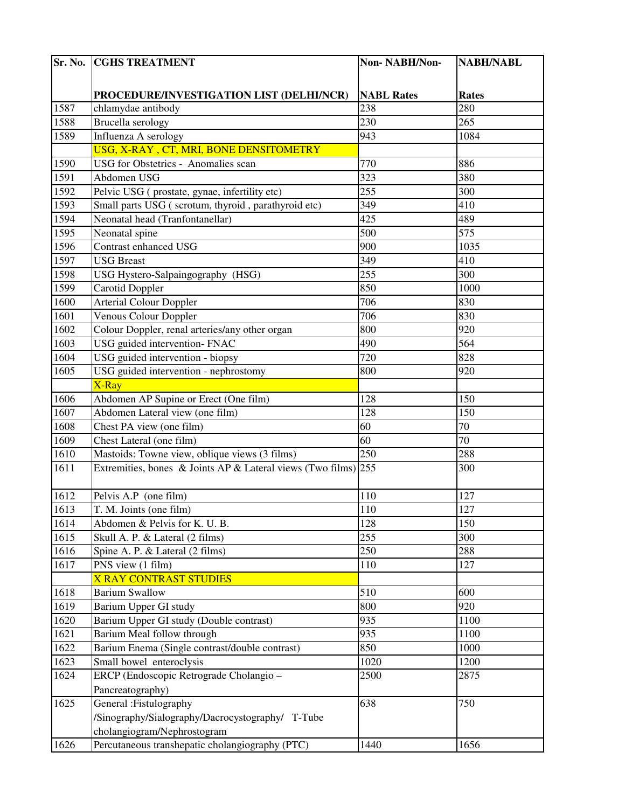| Sr. No. | <b>CGHS TREATMENT</b>                                          | Non-NABH/Non-     | <b>NABH/NABL</b> |
|---------|----------------------------------------------------------------|-------------------|------------------|
|         |                                                                |                   |                  |
|         | PROCEDURE/INVESTIGATION LIST (DELHI/NCR)                       | <b>NABL Rates</b> | <b>Rates</b>     |
| 1587    | chlamydae antibody                                             | 238               | 280              |
| 1588    | <b>Brucella</b> serology                                       | 230               | 265              |
| 1589    | Influenza A serology                                           | 943               | 1084             |
|         | USG, X-RAY, CT, MRI, BONE DENSITOMETRY                         |                   |                  |
| 1590    | USG for Obstetrics - Anomalies scan                            | 770               | 886              |
| 1591    | Abdomen USG                                                    | 323               | 380              |
| 1592    | Pelvic USG (prostate, gynae, infertility etc)                  | 255               | 300              |
| 1593    | Small parts USG (scrotum, thyroid, parathyroid etc)            | 349               | 410              |
| 1594    | Neonatal head (Tranfontanellar)                                | 425               | 489              |
| 1595    | Neonatal spine                                                 | 500               | 575              |
| 1596    | Contrast enhanced USG                                          | 900               | 1035             |
| 1597    | <b>USG Breast</b>                                              | 349               | 410              |
| 1598    | USG Hystero-Salpaingography (HSG)                              | 255               | 300              |
| 1599    | <b>Carotid Doppler</b>                                         | 850               | 1000             |
| 1600    | <b>Arterial Colour Doppler</b>                                 | 706               | 830              |
| 1601    | Venous Colour Doppler                                          | 706               | 830              |
| 1602    | Colour Doppler, renal arteries/any other organ                 | 800               | 920              |
| 1603    | USG guided intervention- FNAC                                  | 490               | 564              |
| 1604    | USG guided intervention - biopsy                               | 720               | 828              |
| 1605    | USG guided intervention - nephrostomy                          | 800               | 920              |
|         | X-Ray                                                          |                   |                  |
| 1606    | Abdomen AP Supine or Erect (One film)                          | 128               | 150              |
| 1607    | Abdomen Lateral view (one film)                                | 128               | 150              |
| 1608    | Chest PA view (one film)                                       | 60                | 70               |
| 1609    | Chest Lateral (one film)                                       | 60                | 70               |
| 1610    | Mastoids: Towne view, oblique views (3 films)                  | 250               | 288              |
| 1611    | Extremities, bones & Joints AP & Lateral views (Two films) 255 |                   | 300              |
|         |                                                                |                   |                  |
| 1612    | Pelvis A.P (one film)                                          | 110               | 127              |
| 1613    | T. M. Joints (one film)                                        | 110               | 127              |
| 1614    | Abdomen & Pelvis for K. U. B.                                  | 128               | 150              |
| 1615    | Skull A. P. & Lateral (2 films)                                | 255               | 300              |
| 1616    | Spine A. P. & Lateral (2 films)                                | 250               | 288              |
| 1617    | PNS view $(1$ film)                                            | 110               | 127              |
|         | <b>X RAY CONTRAST STUDIES</b>                                  |                   |                  |
| 1618    | <b>Barium Swallow</b>                                          | 510               | 600              |
| 1619    | Barium Upper GI study                                          | 800               | 920              |
| 1620    | Barium Upper GI study (Double contrast)                        | 935               | 1100             |
| 1621    | Barium Meal follow through                                     | 935               | 1100             |
| 1622    | Barium Enema (Single contrast/double contrast)                 | 850               | 1000             |
| 1623    | Small bowel enteroclysis                                       | 1020              | 1200             |
| 1624    | ERCP (Endoscopic Retrograde Cholangio -                        | 2500              | 2875             |
|         | Pancreatography)                                               |                   |                  |
| 1625    | General : Fistulography                                        | 638               | 750              |
|         | /Sinography/Sialography/Dacrocystography/ T-Tube               |                   |                  |
|         | cholangiogram/Nephrostogram                                    |                   |                  |
| 1626    | Percutaneous transhepatic cholangiography (PTC)                | 1440              | 1656             |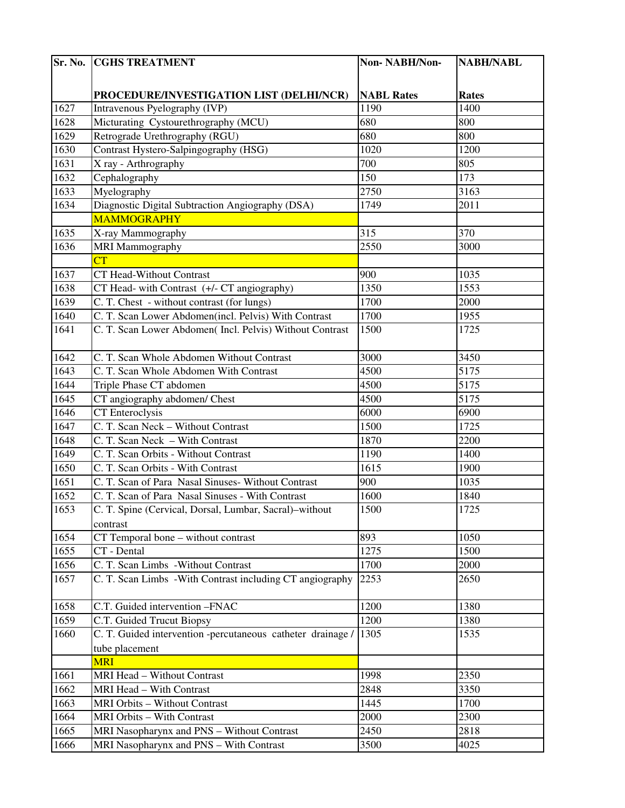| Sr. No. | <b>CGHS TREATMENT</b>                                       | Non-NABH/Non-     | <b>NABH/NABL</b> |
|---------|-------------------------------------------------------------|-------------------|------------------|
|         |                                                             |                   |                  |
|         | PROCEDURE/INVESTIGATION LIST (DELHI/NCR)                    | <b>NABL Rates</b> | <b>Rates</b>     |
| 1627    | Intravenous Pyelography (IVP)                               | 1190              | 1400             |
| 1628    | Micturating Cystourethrography (MCU)                        | 680               | 800              |
| 1629    | Retrograde Urethrography (RGU)                              | 680               | 800              |
| 1630    | Contrast Hystero-Salpingography (HSG)                       | 1020              | 1200             |
| 1631    | X ray - Arthrography                                        | 700               | 805              |
| 1632    | Cephalography                                               | 150               | 173              |
| 1633    | Myelography                                                 | 2750              | 3163             |
| 1634    | Diagnostic Digital Subtraction Angiography (DSA)            | 1749              | 2011             |
|         | <b>MAMMOGRAPHY</b>                                          |                   |                  |
| 1635    | X-ray Mammography                                           | 315               | 370              |
| 1636    | <b>MRI Mammography</b>                                      | 2550              | 3000             |
|         | $\overline{\text{CT}}$                                      |                   |                  |
| 1637    | CT Head-Without Contrast                                    | 900               | 1035             |
| 1638    | CT Head- with Contrast $(+/-$ CT angiography)               | 1350              | 1553             |
| 1639    | C. T. Chest - without contrast (for lungs)                  | 1700              | 2000             |
| 1640    | C. T. Scan Lower Abdomen(incl. Pelvis) With Contrast        | 1700              | 1955             |
| 1641    | C. T. Scan Lower Abdomen( Incl. Pelvis) Without Contrast    | 1500              | 1725             |
|         |                                                             |                   |                  |
| 1642    | C. T. Scan Whole Abdomen Without Contrast                   | 3000              | 3450             |
| 1643    | C. T. Scan Whole Abdomen With Contrast                      | 4500              | 5175             |
| 1644    | Triple Phase CT abdomen                                     | 4500              | 5175             |
| 1645    | CT angiography abdomen/ Chest                               | 4500              | 5175             |
| 1646    | <b>CT</b> Enteroclysis                                      | 6000              | 6900             |
| 1647    | C. T. Scan Neck - Without Contrast                          | 1500              | 1725             |
| 1648    | C. T. Scan Neck - With Contrast                             | 1870              | 2200             |
| 1649    | C. T. Scan Orbits - Without Contrast                        | 1190              | 1400             |
| 1650    | C. T. Scan Orbits - With Contrast                           | 1615              | 1900             |
| 1651    | C. T. Scan of Para Nasal Sinuses- Without Contrast          | 900               | 1035             |
| 1652    | C. T. Scan of Para Nasal Sinuses - With Contrast            | 1600              | 1840             |
| 1653    | C. T. Spine (Cervical, Dorsal, Lumbar, Sacral)-without      | 1500              | 1725             |
|         | contrast                                                    |                   |                  |
| 1654    | CT Temporal bone – without contrast                         | 893               | 1050             |
| 1655    | CT - Dental                                                 | 1275              | 1500             |
| 1656    | C. T. Scan Limbs - Without Contrast                         | 1700              | 2000             |
| 1657    | C. T. Scan Limbs - With Contrast including CT angiography   | 2253              | 2650             |
|         |                                                             |                   |                  |
| 1658    | C.T. Guided intervention -FNAC                              | 1200              | 1380             |
| 1659    | C.T. Guided Trucut Biopsy                                   | 1200              | 1380             |
| 1660    | C. T. Guided intervention -percutaneous catheter drainage / | 1305              | 1535             |
|         | tube placement                                              |                   |                  |
|         | MRI                                                         |                   |                  |
| 1661    | MRI Head - Without Contrast                                 | 1998              | 2350             |
| 1662    | MRI Head - With Contrast                                    | 2848              | 3350             |
| 1663    | <b>MRI Orbits - Without Contrast</b>                        | 1445              | 1700             |
| 1664    | <b>MRI Orbits - With Contrast</b>                           | 2000              | 2300             |
| 1665    | MRI Nasopharynx and PNS - Without Contrast                  | 2450              | 2818             |
| 1666    | MRI Nasopharynx and PNS - With Contrast                     | 3500              | 4025             |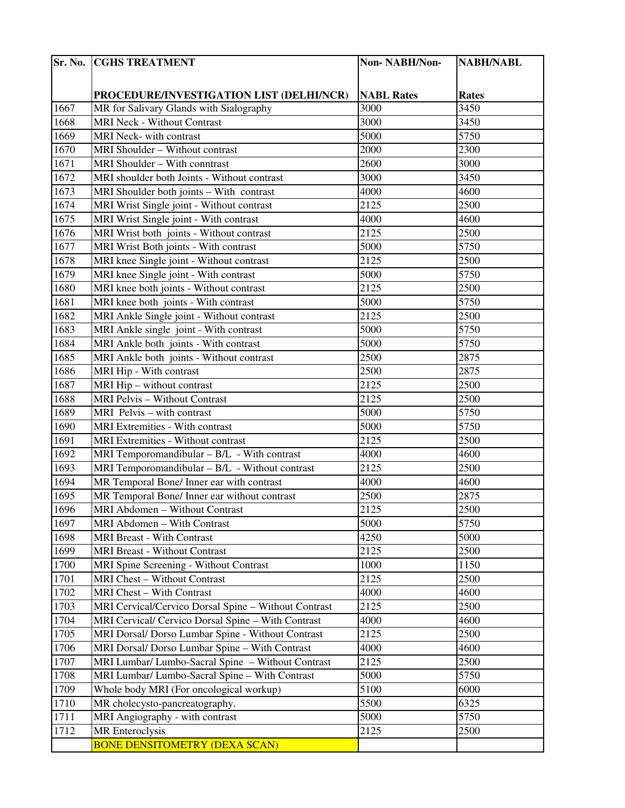|      | <b>Sr. No. CGHS TREATMENT</b>                        | Non-NABH/Non-     | <b>NABH/NABL</b> |
|------|------------------------------------------------------|-------------------|------------------|
|      |                                                      |                   |                  |
|      | PROCEDURE/INVESTIGATION LIST (DELHI/NCR)             | <b>NABL Rates</b> | Rates            |
| 1667 | MR for Salivary Glands with Sialography              | 3000              | 3450             |
| 1668 | <b>MRI Neck - Without Contrast</b>                   | 3000              | 3450             |
| 1669 | MRI Neck- with contrast                              | 5000              | 5750             |
| 1670 | MRI Shoulder - Without contrast                      | 2000              | 2300             |
| 1671 | MRI Shoulder - With conntrast                        | 2600              | 3000             |
| 1672 | MRI shoulder both Joints - Without contrast          | 3000              | 3450             |
| 1673 | MRI Shoulder both joints - With contrast             | 4000              | 4600             |
| 1674 | MRI Wrist Single joint - Without contrast            | 2125              | 2500             |
| 1675 | MRI Wrist Single joint - With contrast               | 4000              | 4600             |
| 1676 | MRI Wrist both joints - Without contrast             | 2125              | 2500             |
| 1677 | MRI Wrist Both joints - With contrast                | 5000              | 5750             |
| 1678 | MRI knee Single joint - Without contrast             | 2125              | 2500             |
| 1679 | MRI knee Single joint - With contrast                | 5000              | 5750             |
| 1680 | MRI knee both joints - Without contrast              | 2125              | 2500             |
| 1681 | MRI knee both joints - With contrast                 | 5000              | 5750             |
| 1682 | MRI Ankle Single joint - Without contrast            | 2125              | 2500             |
| 1683 | MRI Ankle single joint - With contrast               | 5000              | 5750             |
| 1684 | MRI Ankle both joints - With contrast                | 5000              | 5750             |
| 1685 | MRI Ankle both joints - Without contrast             | 2500              | 2875             |
| 1686 | MRI Hip - With contrast                              | 2500              | 2875             |
| 1687 | MRI Hip - without contrast                           | 2125              | 2500             |
| 1688 | MRI Pelvis - Without Contrast                        | 2125              | 2500             |
| 1689 | MRI Pelvis - with contrast                           | 5000              | 5750             |
| 1690 | MRI Extremities - With contrast                      | 5000              | 5750             |
| 1691 | <b>MRI Extremities - Without contrast</b>            | 2125              | 2500             |
| 1692 | MRI Temporomandibular - B/L - With contrast          | 4000              | 4600             |
| 1693 | MRI Temporomandibular - B/L - Without contrast       | 2125              | 2500             |
| 1694 | MR Temporal Bone/ Inner ear with contrast            | 4000              | 4600             |
| 1695 | MR Temporal Bone/ Inner ear without contrast         | 2500              | 2875             |
| 1696 | <b>MRI Abdomen – Without Contrast</b>                | 2125              | 2500             |
| 1697 | MRI Abdomen - With Contrast                          | 5000              | 5750             |
| 1698 | <b>MRI Breast - With Contrast</b>                    | 4250              | 5000             |
| 1699 | <b>MRI Breast - Without Contrast</b>                 | 2125              | 2500             |
| 1700 | MRI Spine Screening - Without Contrast               | 1000              | 1150             |
| 1701 | <b>MRI Chest - Without Contrast</b>                  | 2125              | 2500             |
| 1702 | MRI Chest - With Contrast                            | 4000              | 4600             |
| 1703 | MRI Cervical/Cervico Dorsal Spine - Without Contrast | 2125              | 2500             |
| 1704 | MRI Cervical/ Cervico Dorsal Spine - With Contrast   | 4000              | 4600             |
| 1705 | MRI Dorsal/ Dorso Lumbar Spine - Without Contrast    | 2125              | 2500             |
| 1706 | MRI Dorsal/ Dorso Lumbar Spine - With Contrast       | 4000              | 4600             |
| 1707 | MRI Lumbar/ Lumbo-Sacral Spine - Without Contrast    | 2125              | 2500             |
| 1708 | MRI Lumbar/ Lumbo-Sacral Spine - With Contrast       | 5000              | 5750             |
| 1709 | Whole body MRI (For oncological workup)              | 5100              | 6000             |
| 1710 | MR cholecysto-pancreatography.                       | 5500              | 6325             |
| 1711 | MRI Angiography - with contrast                      | 5000              | 5750             |
| 1712 | MR Enteroclysis                                      | 2125              | 2500             |
|      | <b>BONE DENSITOMETRY (DEXA SCAN)</b>                 |                   |                  |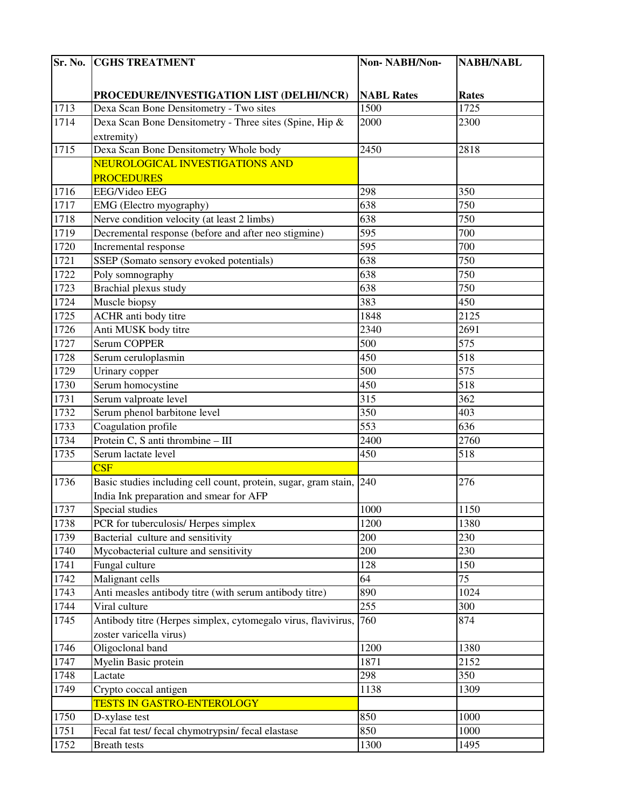| $\overline{\mathbf{S}}$ r. No. | <b>CGHS TREATMENT</b>                                               | Non-NABH/Non-     | <b>NABH/NABL</b> |
|--------------------------------|---------------------------------------------------------------------|-------------------|------------------|
|                                |                                                                     |                   |                  |
|                                | PROCEDURE/INVESTIGATION LIST (DELHI/NCR)                            | <b>NABL Rates</b> | <b>Rates</b>     |
| 1713                           | Dexa Scan Bone Densitometry - Two sites                             | 1500              | 1725             |
| 1714                           | Dexa Scan Bone Densitometry - Three sites (Spine, Hip &             | 2000              | 2300             |
|                                | extremity)                                                          |                   |                  |
| 1715                           | Dexa Scan Bone Densitometry Whole body                              | 2450              | 2818             |
|                                | NEUROLOGICAL INVESTIGATIONS AND                                     |                   |                  |
|                                | <b>PROCEDURES</b>                                                   |                   |                  |
| 1716                           | <b>EEG/Video EEG</b>                                                | 298               | 350              |
| 1717                           | EMG (Electro myography)                                             | 638               | 750              |
| 1718                           | Nerve condition velocity (at least 2 limbs)                         | 638               | 750              |
| 1719                           | Decremental response (before and after neo stigmine)                | 595               | 700              |
| 1720                           | Incremental response                                                | 595               | 700              |
| 1721                           | SSEP (Somato sensory evoked potentials)                             | 638               | 750              |
| 1722                           | Poly somnography                                                    | 638               | 750              |
| 1723                           | Brachial plexus study                                               | 638               | 750              |
| 1724                           | Muscle biopsy                                                       | 383               | 450              |
| 1725                           | ACHR anti body titre                                                | 1848              | 2125             |
| 1726                           | Anti MUSK body titre                                                | 2340              | 2691             |
| 1727                           | <b>Serum COPPER</b>                                                 | 500               | 575              |
| 1728                           | Serum ceruloplasmin                                                 | 450               | 518              |
| 1729                           | Urinary copper                                                      | 500               | 575              |
| 1730                           | Serum homocystine                                                   | 450               | 518              |
| 1731                           | Serum valproate level                                               | 315               | 362              |
| 1732                           | Serum phenol barbitone level                                        | 350               | 403              |
| 1733                           | Coagulation profile                                                 | 553               | 636              |
| 1734                           | Protein C, S anti thrombine - III                                   | 2400              | 2760             |
| 1735                           | Serum lactate level                                                 | 450               | 518              |
|                                | $\overline{\text{CSF}}$                                             |                   |                  |
| 1736                           | Basic studies including cell count, protein, sugar, gram stain, 240 |                   | 276              |
|                                | India Ink preparation and smear for AFP                             |                   |                  |
| 1737                           | Special studies                                                     | $1000\,$          | 1150             |
| 1738                           | PCR for tuberculosis/ Herpes simplex                                | 1200              | 1380             |
| 1739                           | Bacterial culture and sensitivity                                   | 200               | 230              |
| 1740                           | Mycobacterial culture and sensitivity                               | 200               | 230              |
| 1741                           | Fungal culture                                                      | 128               | 150              |
| 1742                           | Malignant cells                                                     | 64                | 75               |
| 1743                           | Anti measles antibody titre (with serum antibody titre)             | 890               | 1024             |
| 1744                           | Viral culture                                                       | 255               | 300              |
| 1745                           | Antibody titre (Herpes simplex, cytomegalo virus, flavivirus,       | 760               | 874              |
|                                | zoster varicella virus)                                             |                   |                  |
| 1746                           | Oligoclonal band                                                    | 1200              | 1380             |
| 1747                           | Myelin Basic protein                                                | 1871              | 2152             |
| 1748                           | Lactate                                                             | 298               | 350              |
| 1749                           | Crypto coccal antigen                                               | 1138              | 1309             |
|                                | <b>TESTS IN GASTRO-ENTEROLOGY</b>                                   |                   |                  |
| 1750                           | D-xylase test                                                       | 850               | 1000             |
| 1751                           | Fecal fat test/ fecal chymotrypsin/ fecal elastase                  | 850               | 1000             |
| 1752                           | Breath tests                                                        | 1300              | 1495             |